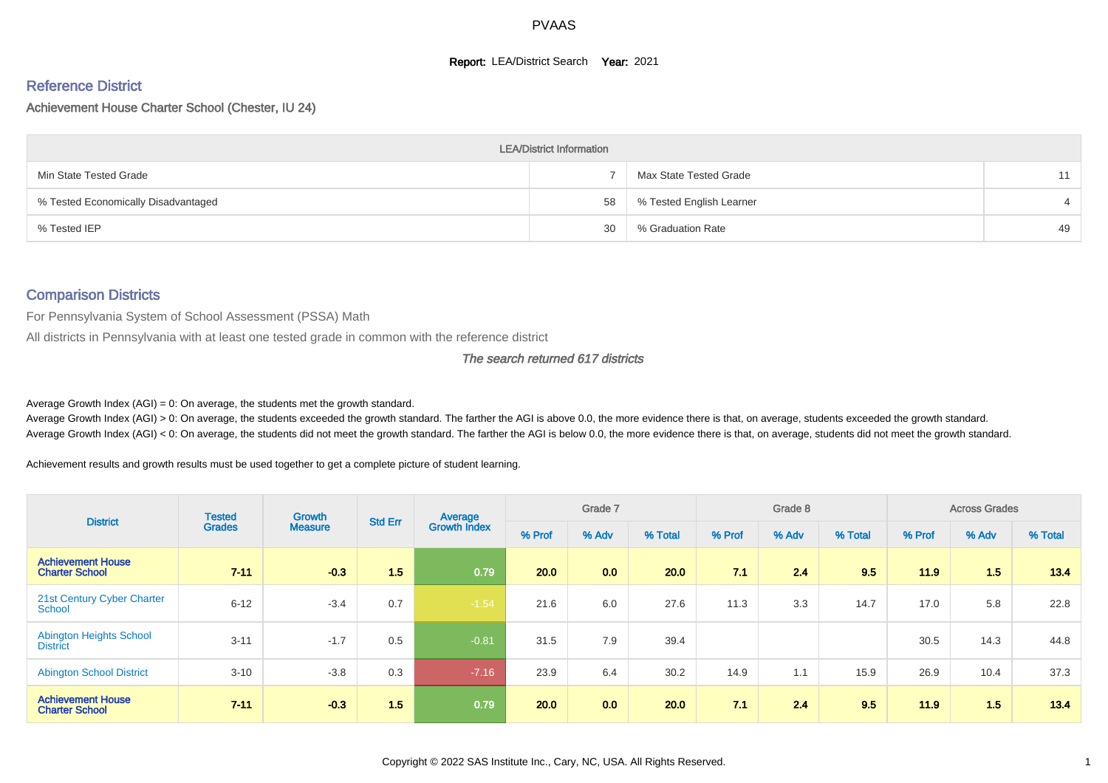#### **Report: LEA/District Search Year: 2021**

# Reference District

#### Achievement House Charter School (Chester, IU 24)

|                                     | <b>LEA/District Information</b> |                          |    |
|-------------------------------------|---------------------------------|--------------------------|----|
| Min State Tested Grade              |                                 | Max State Tested Grade   | 11 |
| % Tested Economically Disadvantaged | 58                              | % Tested English Learner |    |
| % Tested IEP                        | 30                              | % Graduation Rate        | 49 |

#### Comparison Districts

For Pennsylvania System of School Assessment (PSSA) Math

All districts in Pennsylvania with at least one tested grade in common with the reference district

#### The search returned 617 districts

Average Growth Index  $(AGI) = 0$ : On average, the students met the growth standard.

Average Growth Index (AGI) > 0: On average, the students exceeded the growth standard. The farther the AGI is above 0.0, the more evidence there is that, on average, students exceeded the growth standard. Average Growth Index (AGI) < 0: On average, the students did not meet the growth standard. The farther the AGI is below 0.0, the more evidence there is that, on average, students did not meet the growth standard.

Achievement results and growth results must be used together to get a complete picture of student learning.

| <b>District</b>                                   | <b>Tested</b> | <b>Growth</b>  | <b>Std Err</b> | Average             |        | Grade 7 |         |        | Grade 8 |         |        | <b>Across Grades</b> |         |
|---------------------------------------------------|---------------|----------------|----------------|---------------------|--------|---------|---------|--------|---------|---------|--------|----------------------|---------|
|                                                   | <b>Grades</b> | <b>Measure</b> |                | <b>Growth Index</b> | % Prof | % Adv   | % Total | % Prof | % Adv   | % Total | % Prof | % Adv                | % Total |
| <b>Achievement House</b><br><b>Charter School</b> | $7 - 11$      | $-0.3$         | 1.5            | 0.79                | 20.0   | 0.0     | 20.0    | 71     | 2.4     | 9.5     | 11.9   | 1.5                  | 13.4    |
| 21st Century Cyber Charter<br><b>School</b>       | $6 - 12$      | $-3.4$         | 0.7            | $-1.54$             | 21.6   | 6.0     | 27.6    | 11.3   | 3.3     | 14.7    | 17.0   | 5.8                  | 22.8    |
| <b>Abington Heights School</b><br><b>District</b> | $3 - 11$      | $-1.7$         | 0.5            | $-0.81$             | 31.5   | 7.9     | 39.4    |        |         |         | 30.5   | 14.3                 | 44.8    |
| <b>Abington School District</b>                   | $3 - 10$      | $-3.8$         | 0.3            | $-7.16$             | 23.9   | 6.4     | 30.2    | 14.9   | 1.1     | 15.9    | 26.9   | 10.4                 | 37.3    |
| <b>Achievement House</b><br><b>Charter School</b> | $7 - 11$      | $-0.3$         | 1.5            | 0.79                | 20.0   | 0.0     | 20.0    | 7.1    | 2.4     | 9.5     | 11.9   | 1.5                  | 13.4    |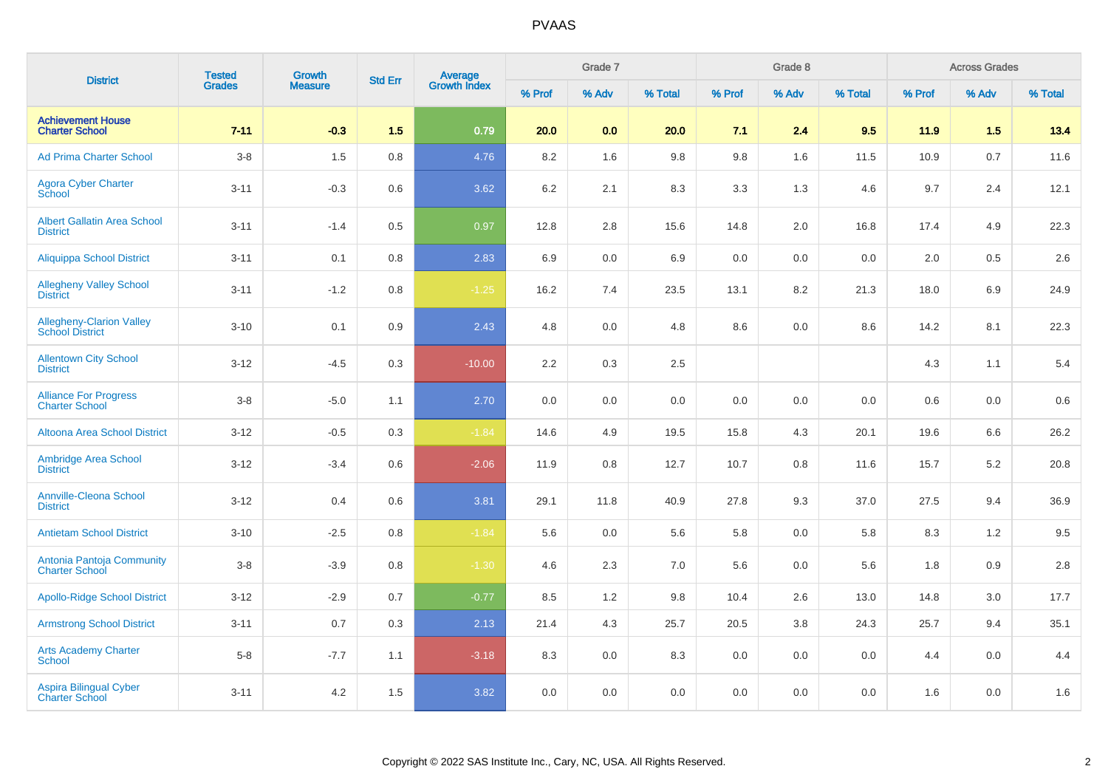| <b>District</b>                                           | <b>Tested</b> | Growth         | <b>Std Err</b> |                                |        | Grade 7 |         |         | Grade 8 |         |        | <b>Across Grades</b> |         |
|-----------------------------------------------------------|---------------|----------------|----------------|--------------------------------|--------|---------|---------|---------|---------|---------|--------|----------------------|---------|
|                                                           | <b>Grades</b> | <b>Measure</b> |                | <b>Average</b><br>Growth Index | % Prof | % Adv   | % Total | % Prof  | % Adv   | % Total | % Prof | % Adv                | % Total |
| <b>Achievement House</b><br><b>Charter School</b>         | $7 - 11$      | $-0.3$         | 1.5            | 0.79                           | 20.0   | 0.0     | 20.0    | 7.1     | 2.4     | 9.5     | 11.9   | 1.5                  | 13.4    |
| <b>Ad Prima Charter School</b>                            | $3-8$         | 1.5            | 0.8            | 4.76                           | 8.2    | 1.6     | 9.8     | 9.8     | 1.6     | 11.5    | 10.9   | 0.7                  | 11.6    |
| <b>Agora Cyber Charter</b><br>School                      | $3 - 11$      | $-0.3$         | 0.6            | 3.62                           | 6.2    | 2.1     | 8.3     | 3.3     | 1.3     | 4.6     | 9.7    | 2.4                  | 12.1    |
| <b>Albert Gallatin Area School</b><br><b>District</b>     | $3 - 11$      | $-1.4$         | 0.5            | 0.97                           | 12.8   | 2.8     | 15.6    | 14.8    | 2.0     | 16.8    | 17.4   | 4.9                  | 22.3    |
| <b>Aliquippa School District</b>                          | $3 - 11$      | 0.1            | 0.8            | 2.83                           | 6.9    | 0.0     | 6.9     | $0.0\,$ | 0.0     | 0.0     | 2.0    | 0.5                  | 2.6     |
| <b>Allegheny Valley School</b><br><b>District</b>         | $3 - 11$      | $-1.2$         | 0.8            | $-1.25$                        | 16.2   | 7.4     | 23.5    | 13.1    | 8.2     | 21.3    | 18.0   | 6.9                  | 24.9    |
| <b>Allegheny-Clarion Valley</b><br><b>School District</b> | $3 - 10$      | 0.1            | 0.9            | 2.43                           | 4.8    | 0.0     | 4.8     | 8.6     | 0.0     | 8.6     | 14.2   | 8.1                  | 22.3    |
| <b>Allentown City School</b><br><b>District</b>           | $3 - 12$      | $-4.5$         | 0.3            | $-10.00$                       | 2.2    | 0.3     | $2.5\,$ |         |         |         | 4.3    | 1.1                  | $5.4\,$ |
| <b>Alliance For Progress</b><br><b>Charter School</b>     | $3-8$         | $-5.0$         | 1.1            | 2.70                           | 0.0    | 0.0     | 0.0     | $0.0\,$ | 0.0     | 0.0     | 0.6    | 0.0                  | 0.6     |
| <b>Altoona Area School District</b>                       | $3 - 12$      | $-0.5$         | 0.3            | $-1.84$                        | 14.6   | 4.9     | 19.5    | 15.8    | 4.3     | 20.1    | 19.6   | 6.6                  | 26.2    |
| <b>Ambridge Area School</b><br><b>District</b>            | $3 - 12$      | $-3.4$         | 0.6            | $-2.06$                        | 11.9   | 0.8     | 12.7    | 10.7    | 0.8     | 11.6    | 15.7   | 5.2                  | 20.8    |
| <b>Annville-Cleona School</b><br><b>District</b>          | $3 - 12$      | 0.4            | 0.6            | 3.81                           | 29.1   | 11.8    | 40.9    | 27.8    | 9.3     | 37.0    | 27.5   | 9.4                  | 36.9    |
| <b>Antietam School District</b>                           | $3 - 10$      | $-2.5$         | 0.8            | $-1.84$                        | 5.6    | 0.0     | 5.6     | 5.8     | 0.0     | 5.8     | 8.3    | 1.2                  | 9.5     |
| Antonia Pantoja Community<br><b>Charter School</b>        | $3-8$         | $-3.9$         | 0.8            | $-1.30$                        | 4.6    | $2.3\,$ | 7.0     | 5.6     | 0.0     | 5.6     | 1.8    | 0.9                  | $2.8\,$ |
| <b>Apollo-Ridge School District</b>                       | $3 - 12$      | $-2.9$         | 0.7            | $-0.77$                        | 8.5    | 1.2     | 9.8     | 10.4    | 2.6     | 13.0    | 14.8   | 3.0                  | 17.7    |
| <b>Armstrong School District</b>                          | $3 - 11$      | 0.7            | 0.3            | 2.13                           | 21.4   | 4.3     | 25.7    | 20.5    | 3.8     | 24.3    | 25.7   | 9.4                  | 35.1    |
| <b>Arts Academy Charter</b><br><b>School</b>              | $5-8$         | $-7.7$         | 1.1            | $-3.18$                        | 8.3    | 0.0     | 8.3     | 0.0     | 0.0     | 0.0     | 4.4    | 0.0                  | 4.4     |
| Aspira Bilingual Cyber<br><b>Charter School</b>           | $3 - 11$      | 4.2            | 1.5            | 3.82                           | 0.0    | 0.0     | 0.0     | 0.0     | 0.0     | 0.0     | 1.6    | 0.0                  | 1.6     |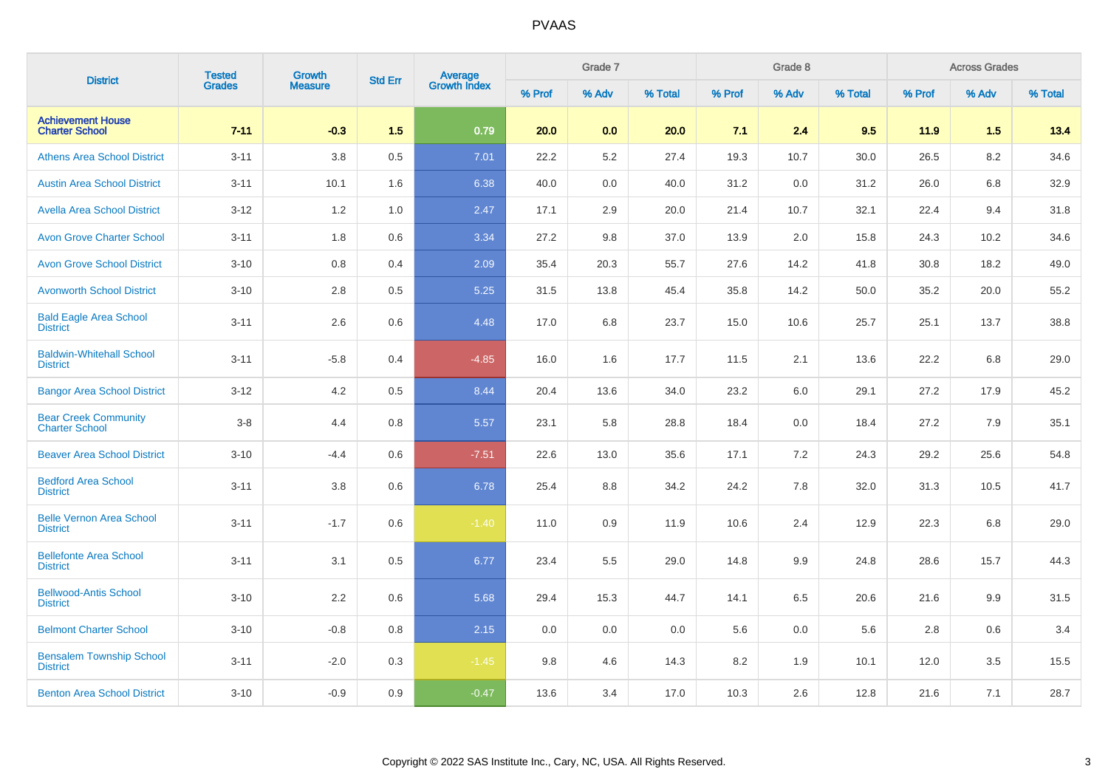| <b>District</b>                                      | <b>Tested</b> | <b>Growth</b><br><b>Measure</b> | <b>Std Err</b> | <b>Average</b><br>Growth Index |        | Grade 7 |         |        | Grade 8 |         |        | <b>Across Grades</b> |         |
|------------------------------------------------------|---------------|---------------------------------|----------------|--------------------------------|--------|---------|---------|--------|---------|---------|--------|----------------------|---------|
|                                                      | <b>Grades</b> |                                 |                |                                | % Prof | % Adv   | % Total | % Prof | % Adv   | % Total | % Prof | % Adv                | % Total |
| <b>Achievement House</b><br><b>Charter School</b>    | $7 - 11$      | $-0.3$                          | 1.5            | 0.79                           | 20.0   | 0.0     | 20.0    | 7.1    | 2.4     | 9.5     | 11.9   | 1.5                  | 13.4    |
| <b>Athens Area School District</b>                   | $3 - 11$      | 3.8                             | 0.5            | 7.01                           | 22.2   | 5.2     | 27.4    | 19.3   | 10.7    | 30.0    | 26.5   | 8.2                  | 34.6    |
| <b>Austin Area School District</b>                   | $3 - 11$      | 10.1                            | 1.6            | 6.38                           | 40.0   | 0.0     | 40.0    | 31.2   | 0.0     | 31.2    | 26.0   | 6.8                  | 32.9    |
| <b>Avella Area School District</b>                   | $3 - 12$      | 1.2                             | 1.0            | 2.47                           | 17.1   | 2.9     | 20.0    | 21.4   | 10.7    | 32.1    | 22.4   | 9.4                  | 31.8    |
| <b>Avon Grove Charter School</b>                     | $3 - 11$      | 1.8                             | 0.6            | 3.34                           | 27.2   | 9.8     | 37.0    | 13.9   | 2.0     | 15.8    | 24.3   | 10.2                 | 34.6    |
| <b>Avon Grove School District</b>                    | $3 - 10$      | 0.8                             | 0.4            | 2.09                           | 35.4   | 20.3    | 55.7    | 27.6   | 14.2    | 41.8    | 30.8   | 18.2                 | 49.0    |
| <b>Avonworth School District</b>                     | $3 - 10$      | 2.8                             | 0.5            | 5.25                           | 31.5   | 13.8    | 45.4    | 35.8   | 14.2    | 50.0    | 35.2   | 20.0                 | 55.2    |
| <b>Bald Eagle Area School</b><br><b>District</b>     | $3 - 11$      | 2.6                             | 0.6            | 4.48                           | 17.0   | 6.8     | 23.7    | 15.0   | 10.6    | 25.7    | 25.1   | 13.7                 | 38.8    |
| <b>Baldwin-Whitehall School</b><br><b>District</b>   | $3 - 11$      | $-5.8$                          | 0.4            | $-4.85$                        | 16.0   | 1.6     | 17.7    | 11.5   | 2.1     | 13.6    | 22.2   | 6.8                  | 29.0    |
| <b>Bangor Area School District</b>                   | $3 - 12$      | 4.2                             | 0.5            | 8.44                           | 20.4   | 13.6    | 34.0    | 23.2   | 6.0     | 29.1    | 27.2   | 17.9                 | 45.2    |
| <b>Bear Creek Community</b><br><b>Charter School</b> | $3 - 8$       | 4.4                             | 0.8            | 5.57                           | 23.1   | 5.8     | 28.8    | 18.4   | 0.0     | 18.4    | 27.2   | 7.9                  | 35.1    |
| <b>Beaver Area School District</b>                   | $3 - 10$      | $-4.4$                          | 0.6            | $-7.51$                        | 22.6   | 13.0    | 35.6    | 17.1   | 7.2     | 24.3    | 29.2   | 25.6                 | 54.8    |
| <b>Bedford Area School</b><br><b>District</b>        | $3 - 11$      | 3.8                             | 0.6            | 6.78                           | 25.4   | 8.8     | 34.2    | 24.2   | 7.8     | 32.0    | 31.3   | 10.5                 | 41.7    |
| <b>Belle Vernon Area School</b><br><b>District</b>   | $3 - 11$      | $-1.7$                          | 0.6            | $-1.40$                        | 11.0   | 0.9     | 11.9    | 10.6   | 2.4     | 12.9    | 22.3   | 6.8                  | 29.0    |
| <b>Bellefonte Area School</b><br><b>District</b>     | $3 - 11$      | 3.1                             | 0.5            | 6.77                           | 23.4   | 5.5     | 29.0    | 14.8   | 9.9     | 24.8    | 28.6   | 15.7                 | 44.3    |
| <b>Bellwood-Antis School</b><br><b>District</b>      | $3 - 10$      | 2.2                             | 0.6            | 5.68                           | 29.4   | 15.3    | 44.7    | 14.1   | 6.5     | 20.6    | 21.6   | 9.9                  | 31.5    |
| <b>Belmont Charter School</b>                        | $3 - 10$      | $-0.8$                          | 0.8            | 2.15                           | 0.0    | 0.0     | 0.0     | 5.6    | 0.0     | 5.6     | 2.8    | 0.6                  | 3.4     |
| <b>Bensalem Township School</b><br><b>District</b>   | $3 - 11$      | $-2.0$                          | 0.3            | $-1.45$                        | 9.8    | 4.6     | 14.3    | 8.2    | 1.9     | 10.1    | 12.0   | 3.5                  | 15.5    |
| <b>Benton Area School District</b>                   | $3 - 10$      | $-0.9$                          | 0.9            | $-0.47$                        | 13.6   | 3.4     | 17.0    | 10.3   | 2.6     | 12.8    | 21.6   | 7.1                  | 28.7    |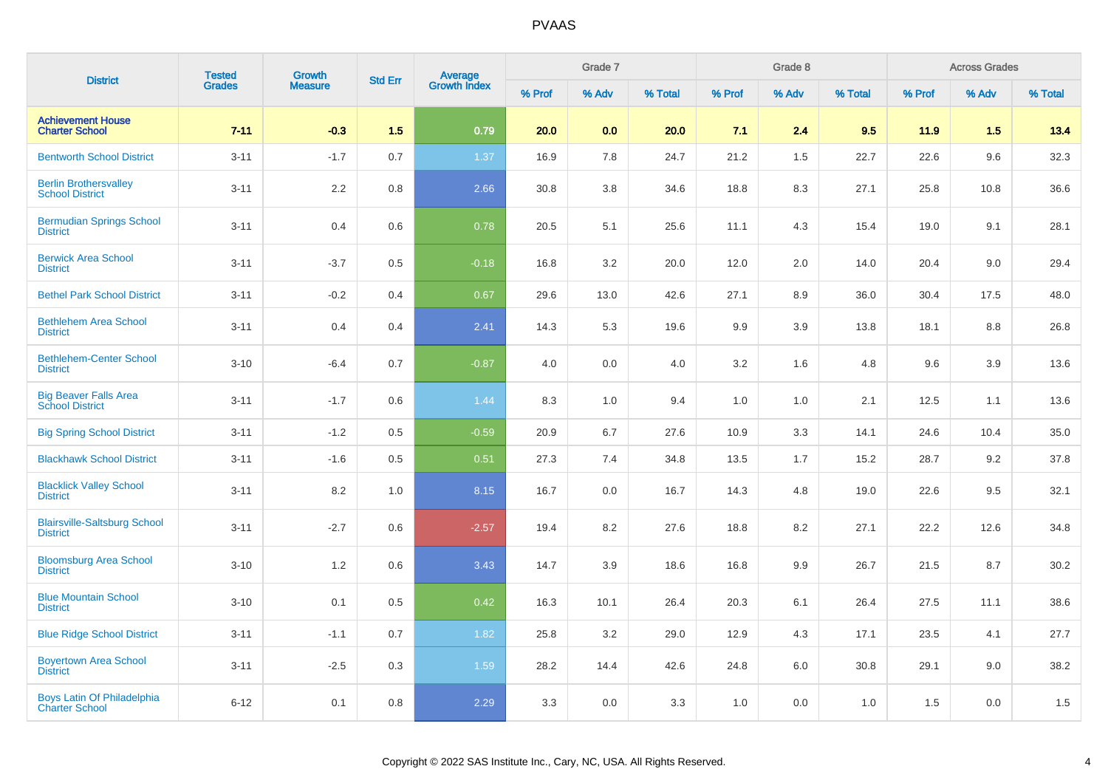| <b>District</b>                                        | <b>Tested</b> | <b>Growth</b>  | <b>Std Err</b> |                                |        | Grade 7 |         |         | Grade 8 |         |        | <b>Across Grades</b> |         |
|--------------------------------------------------------|---------------|----------------|----------------|--------------------------------|--------|---------|---------|---------|---------|---------|--------|----------------------|---------|
|                                                        | <b>Grades</b> | <b>Measure</b> |                | <b>Average</b><br>Growth Index | % Prof | % Adv   | % Total | % Prof  | % Adv   | % Total | % Prof | % Adv                | % Total |
| <b>Achievement House</b><br><b>Charter School</b>      | $7 - 11$      | $-0.3$         | 1.5            | 0.79                           | 20.0   | 0.0     | 20.0    | 7.1     | 2.4     | 9.5     | 11.9   | 1.5                  | 13.4    |
| <b>Bentworth School District</b>                       | $3 - 11$      | $-1.7$         | 0.7            | 1.37                           | 16.9   | 7.8     | 24.7    | 21.2    | 1.5     | 22.7    | 22.6   | 9.6                  | 32.3    |
| <b>Berlin Brothersvalley</b><br><b>School District</b> | $3 - 11$      | 2.2            | 0.8            | 2.66                           | 30.8   | 3.8     | 34.6    | 18.8    | 8.3     | 27.1    | 25.8   | 10.8                 | 36.6    |
| <b>Bermudian Springs School</b><br><b>District</b>     | $3 - 11$      | 0.4            | 0.6            | 0.78                           | 20.5   | 5.1     | 25.6    | 11.1    | 4.3     | 15.4    | 19.0   | 9.1                  | 28.1    |
| <b>Berwick Area School</b><br><b>District</b>          | $3 - 11$      | $-3.7$         | 0.5            | $-0.18$                        | 16.8   | 3.2     | 20.0    | 12.0    | 2.0     | 14.0    | 20.4   | 9.0                  | 29.4    |
| <b>Bethel Park School District</b>                     | $3 - 11$      | $-0.2$         | 0.4            | 0.67                           | 29.6   | 13.0    | 42.6    | 27.1    | 8.9     | 36.0    | 30.4   | 17.5                 | 48.0    |
| <b>Bethlehem Area School</b><br><b>District</b>        | $3 - 11$      | 0.4            | 0.4            | 2.41                           | 14.3   | 5.3     | 19.6    | 9.9     | 3.9     | 13.8    | 18.1   | 8.8                  | 26.8    |
| <b>Bethlehem-Center School</b><br><b>District</b>      | $3 - 10$      | $-6.4$         | 0.7            | $-0.87$                        | 4.0    | 0.0     | 4.0     | $3.2\,$ | 1.6     | 4.8     | 9.6    | 3.9                  | 13.6    |
| <b>Big Beaver Falls Area</b><br><b>School District</b> | $3 - 11$      | $-1.7$         | 0.6            | 1.44                           | 8.3    | 1.0     | 9.4     | 1.0     | 1.0     | 2.1     | 12.5   | 1.1                  | 13.6    |
| <b>Big Spring School District</b>                      | $3 - 11$      | $-1.2$         | 0.5            | $-0.59$                        | 20.9   | 6.7     | 27.6    | 10.9    | 3.3     | 14.1    | 24.6   | 10.4                 | 35.0    |
| <b>Blackhawk School District</b>                       | $3 - 11$      | $-1.6$         | 0.5            | 0.51                           | 27.3   | 7.4     | 34.8    | 13.5    | 1.7     | 15.2    | 28.7   | 9.2                  | 37.8    |
| <b>Blacklick Valley School</b><br><b>District</b>      | $3 - 11$      | 8.2            | 1.0            | 8.15                           | 16.7   | 0.0     | 16.7    | 14.3    | 4.8     | 19.0    | 22.6   | 9.5                  | 32.1    |
| <b>Blairsville-Saltsburg School</b><br><b>District</b> | $3 - 11$      | $-2.7$         | 0.6            | $-2.57$                        | 19.4   | 8.2     | 27.6    | 18.8    | 8.2     | 27.1    | 22.2   | 12.6                 | 34.8    |
| <b>Bloomsburg Area School</b><br><b>District</b>       | $3 - 10$      | 1.2            | 0.6            | 3.43                           | 14.7   | 3.9     | 18.6    | 16.8    | 9.9     | 26.7    | 21.5   | 8.7                  | 30.2    |
| <b>Blue Mountain School</b><br><b>District</b>         | $3 - 10$      | 0.1            | 0.5            | 0.42                           | 16.3   | 10.1    | 26.4    | 20.3    | 6.1     | 26.4    | 27.5   | 11.1                 | 38.6    |
| <b>Blue Ridge School District</b>                      | $3 - 11$      | $-1.1$         | 0.7            | 1.82                           | 25.8   | 3.2     | 29.0    | 12.9    | 4.3     | 17.1    | 23.5   | 4.1                  | 27.7    |
| <b>Boyertown Area School</b><br><b>District</b>        | $3 - 11$      | $-2.5$         | 0.3            | 1.59                           | 28.2   | 14.4    | 42.6    | 24.8    | 6.0     | 30.8    | 29.1   | 9.0                  | 38.2    |
| Boys Latin Of Philadelphia<br><b>Charter School</b>    | $6 - 12$      | 0.1            | 0.8            | 2.29                           | 3.3    | $0.0\,$ | 3.3     | 1.0     | 0.0     | $1.0$   | 1.5    | 0.0                  | 1.5     |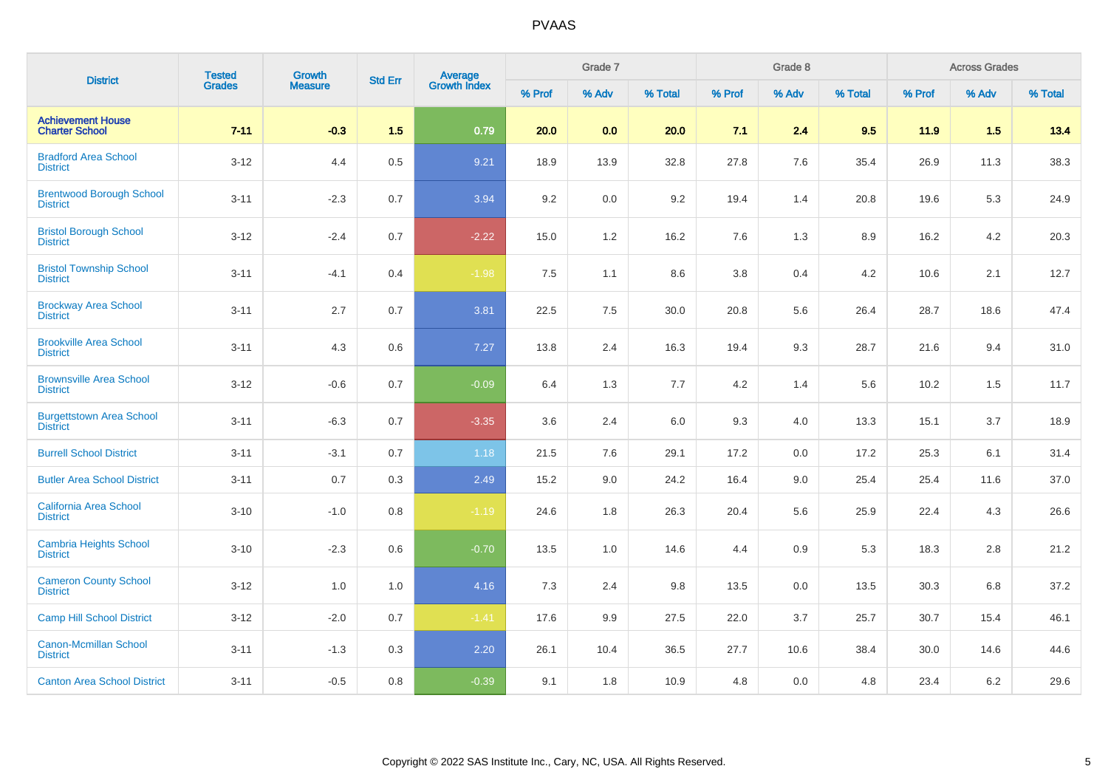| <b>District</b>                                    | <b>Tested</b> | <b>Growth</b>  | <b>Std Err</b> |                         |        | Grade 7 |         |        | Grade 8 |         |        | <b>Across Grades</b> |         |
|----------------------------------------------------|---------------|----------------|----------------|-------------------------|--------|---------|---------|--------|---------|---------|--------|----------------------|---------|
|                                                    | <b>Grades</b> | <b>Measure</b> |                | Average<br>Growth Index | % Prof | % Adv   | % Total | % Prof | % Adv   | % Total | % Prof | % Adv                | % Total |
| <b>Achievement House</b><br><b>Charter School</b>  | $7 - 11$      | $-0.3$         | 1.5            | 0.79                    | 20.0   | 0.0     | 20.0    | 7.1    | 2.4     | 9.5     | 11.9   | 1.5                  | 13.4    |
| <b>Bradford Area School</b><br><b>District</b>     | $3-12$        | 4.4            | 0.5            | 9.21                    | 18.9   | 13.9    | 32.8    | 27.8   | 7.6     | 35.4    | 26.9   | 11.3                 | 38.3    |
| <b>Brentwood Borough School</b><br><b>District</b> | $3 - 11$      | $-2.3$         | 0.7            | 3.94                    | 9.2    | $0.0\,$ | 9.2     | 19.4   | 1.4     | 20.8    | 19.6   | 5.3                  | 24.9    |
| <b>Bristol Borough School</b><br><b>District</b>   | $3 - 12$      | $-2.4$         | 0.7            | $-2.22$                 | 15.0   | 1.2     | 16.2    | 7.6    | 1.3     | 8.9     | 16.2   | 4.2                  | 20.3    |
| <b>Bristol Township School</b><br><b>District</b>  | $3 - 11$      | $-4.1$         | 0.4            | $-1.98$                 | 7.5    | 1.1     | 8.6     | 3.8    | 0.4     | 4.2     | 10.6   | 2.1                  | 12.7    |
| <b>Brockway Area School</b><br><b>District</b>     | $3 - 11$      | 2.7            | 0.7            | 3.81                    | 22.5   | 7.5     | 30.0    | 20.8   | 5.6     | 26.4    | 28.7   | 18.6                 | 47.4    |
| <b>Brookville Area School</b><br><b>District</b>   | $3 - 11$      | 4.3            | 0.6            | 7.27                    | 13.8   | 2.4     | 16.3    | 19.4   | 9.3     | 28.7    | 21.6   | 9.4                  | 31.0    |
| <b>Brownsville Area School</b><br><b>District</b>  | $3 - 12$      | $-0.6$         | 0.7            | $-0.09$                 | 6.4    | 1.3     | 7.7     | 4.2    | 1.4     | 5.6     | 10.2   | 1.5                  | 11.7    |
| <b>Burgettstown Area School</b><br><b>District</b> | $3 - 11$      | $-6.3$         | 0.7            | $-3.35$                 | 3.6    | 2.4     | 6.0     | 9.3    | 4.0     | 13.3    | 15.1   | 3.7                  | 18.9    |
| <b>Burrell School District</b>                     | $3 - 11$      | $-3.1$         | 0.7            | 1.18                    | 21.5   | 7.6     | 29.1    | 17.2   | 0.0     | 17.2    | 25.3   | 6.1                  | 31.4    |
| <b>Butler Area School District</b>                 | $3 - 11$      | 0.7            | 0.3            | 2.49                    | 15.2   | 9.0     | 24.2    | 16.4   | 9.0     | 25.4    | 25.4   | 11.6                 | 37.0    |
| <b>California Area School</b><br><b>District</b>   | $3 - 10$      | $-1.0$         | 0.8            | $-1.19$                 | 24.6   | 1.8     | 26.3    | 20.4   | 5.6     | 25.9    | 22.4   | 4.3                  | 26.6    |
| <b>Cambria Heights School</b><br><b>District</b>   | $3 - 10$      | $-2.3$         | 0.6            | $-0.70$                 | 13.5   | 1.0     | 14.6    | 4.4    | 0.9     | 5.3     | 18.3   | $2.8$                | 21.2    |
| <b>Cameron County School</b><br><b>District</b>    | $3 - 12$      | 1.0            | 1.0            | 4.16                    | 7.3    | 2.4     | 9.8     | 13.5   | 0.0     | 13.5    | 30.3   | 6.8                  | 37.2    |
| <b>Camp Hill School District</b>                   | $3 - 12$      | $-2.0$         | 0.7            | $-1.41$                 | 17.6   | 9.9     | 27.5    | 22.0   | 3.7     | 25.7    | 30.7   | 15.4                 | 46.1    |
| <b>Canon-Mcmillan School</b><br><b>District</b>    | $3 - 11$      | $-1.3$         | 0.3            | $2.20\,$                | 26.1   | 10.4    | 36.5    | 27.7   | 10.6    | 38.4    | 30.0   | 14.6                 | 44.6    |
| <b>Canton Area School District</b>                 | $3 - 11$      | $-0.5$         | 0.8            | $-0.39$                 | 9.1    | 1.8     | 10.9    | 4.8    | 0.0     | 4.8     | 23.4   | 6.2                  | 29.6    |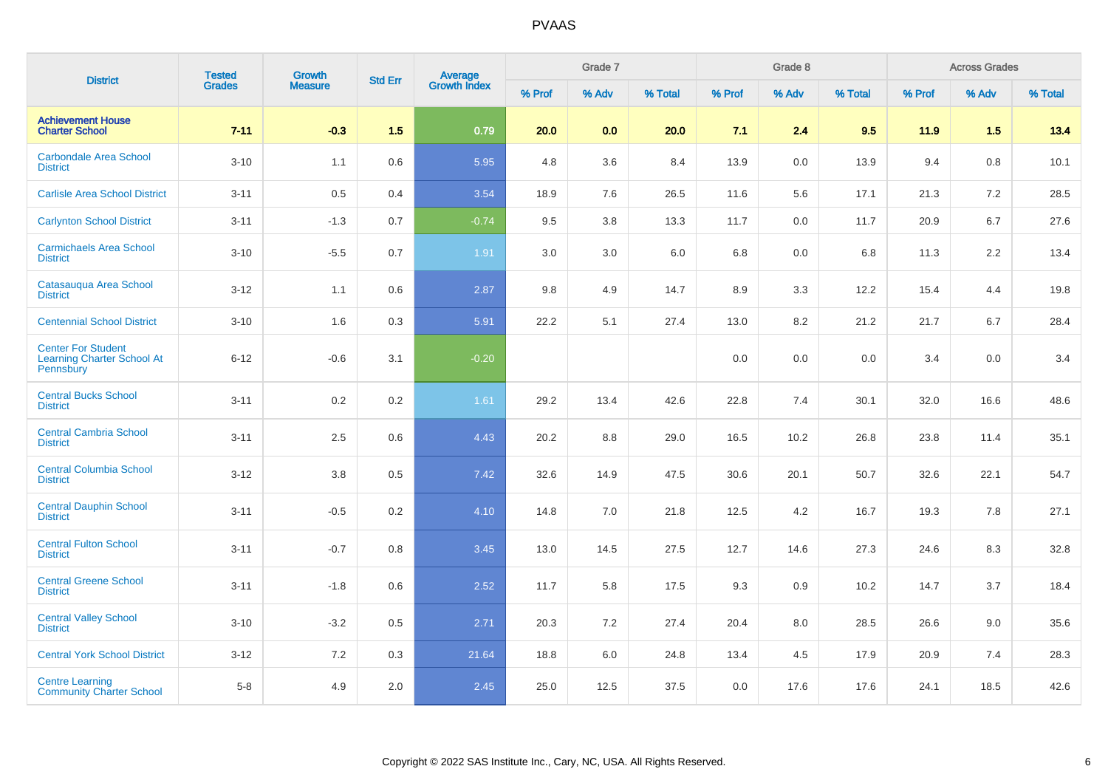| <b>District</b>                                                                    | <b>Tested</b> | Growth         | <b>Std Err</b> |                                |        | Grade 7 |         |        | Grade 8 |         |        | <b>Across Grades</b> |         |
|------------------------------------------------------------------------------------|---------------|----------------|----------------|--------------------------------|--------|---------|---------|--------|---------|---------|--------|----------------------|---------|
|                                                                                    | <b>Grades</b> | <b>Measure</b> |                | <b>Average</b><br>Growth Index | % Prof | % Adv   | % Total | % Prof | % Adv   | % Total | % Prof | % Adv                | % Total |
| <b>Achievement House</b><br><b>Charter School</b>                                  | $7 - 11$      | $-0.3$         | 1.5            | 0.79                           | 20.0   | 0.0     | 20.0    | 7.1    | 2.4     | 9.5     | $11.9$ | 1.5                  | 13.4    |
| <b>Carbondale Area School</b><br><b>District</b>                                   | $3 - 10$      | 1.1            | 0.6            | 5.95                           | 4.8    | 3.6     | 8.4     | 13.9   | 0.0     | 13.9    | 9.4    | 0.8                  | 10.1    |
| <b>Carlisle Area School District</b>                                               | $3 - 11$      | $0.5\,$        | 0.4            | 3.54                           | 18.9   | 7.6     | 26.5    | 11.6   | 5.6     | 17.1    | 21.3   | 7.2                  | 28.5    |
| <b>Carlynton School District</b>                                                   | $3 - 11$      | $-1.3$         | 0.7            | $-0.74$                        | 9.5    | 3.8     | 13.3    | 11.7   | 0.0     | 11.7    | 20.9   | 6.7                  | 27.6    |
| <b>Carmichaels Area School</b><br><b>District</b>                                  | $3 - 10$      | $-5.5$         | 0.7            | 1.91                           | 3.0    | 3.0     | 6.0     | 6.8    | 0.0     | 6.8     | 11.3   | 2.2                  | 13.4    |
| Catasauqua Area School<br><b>District</b>                                          | $3 - 12$      | 1.1            | 0.6            | 2.87                           | 9.8    | 4.9     | 14.7    | 8.9    | 3.3     | 12.2    | 15.4   | 4.4                  | 19.8    |
| <b>Centennial School District</b>                                                  | $3 - 10$      | 1.6            | 0.3            | 5.91                           | 22.2   | 5.1     | 27.4    | 13.0   | 8.2     | 21.2    | 21.7   | 6.7                  | 28.4    |
| <b>Center For Student</b><br><b>Learning Charter School At</b><br><b>Pennsbury</b> | $6 - 12$      | $-0.6$         | 3.1            | $-0.20$                        |        |         |         | 0.0    | 0.0     | 0.0     | 3.4    | 0.0                  | 3.4     |
| <b>Central Bucks School</b><br><b>District</b>                                     | $3 - 11$      | 0.2            | 0.2            | 1.61                           | 29.2   | 13.4    | 42.6    | 22.8   | 7.4     | 30.1    | 32.0   | 16.6                 | 48.6    |
| <b>Central Cambria School</b><br><b>District</b>                                   | $3 - 11$      | 2.5            | 0.6            | 4.43                           | 20.2   | 8.8     | 29.0    | 16.5   | 10.2    | 26.8    | 23.8   | 11.4                 | 35.1    |
| <b>Central Columbia School</b><br><b>District</b>                                  | $3 - 12$      | 3.8            | 0.5            | 7.42                           | 32.6   | 14.9    | 47.5    | 30.6   | 20.1    | 50.7    | 32.6   | 22.1                 | 54.7    |
| <b>Central Dauphin School</b><br><b>District</b>                                   | $3 - 11$      | $-0.5$         | 0.2            | 4.10                           | 14.8   | 7.0     | 21.8    | 12.5   | 4.2     | 16.7    | 19.3   | 7.8                  | 27.1    |
| <b>Central Fulton School</b><br><b>District</b>                                    | $3 - 11$      | $-0.7$         | 0.8            | 3.45                           | 13.0   | 14.5    | 27.5    | 12.7   | 14.6    | 27.3    | 24.6   | 8.3                  | 32.8    |
| <b>Central Greene School</b><br><b>District</b>                                    | $3 - 11$      | $-1.8$         | 0.6            | 2.52                           | 11.7   | 5.8     | 17.5    | 9.3    | 0.9     | 10.2    | 14.7   | 3.7                  | 18.4    |
| <b>Central Valley School</b><br><b>District</b>                                    | $3 - 10$      | $-3.2$         | 0.5            | 2.71                           | 20.3   | 7.2     | 27.4    | 20.4   | 8.0     | 28.5    | 26.6   | 9.0                  | 35.6    |
| <b>Central York School District</b>                                                | $3 - 12$      | 7.2            | 0.3            | 21.64                          | 18.8   | 6.0     | 24.8    | 13.4   | 4.5     | 17.9    | 20.9   | 7.4                  | 28.3    |
| <b>Centre Learning</b><br><b>Community Charter School</b>                          | $5-8$         | 4.9            | 2.0            | 2.45                           | 25.0   | 12.5    | 37.5    | 0.0    | 17.6    | 17.6    | 24.1   | 18.5                 | 42.6    |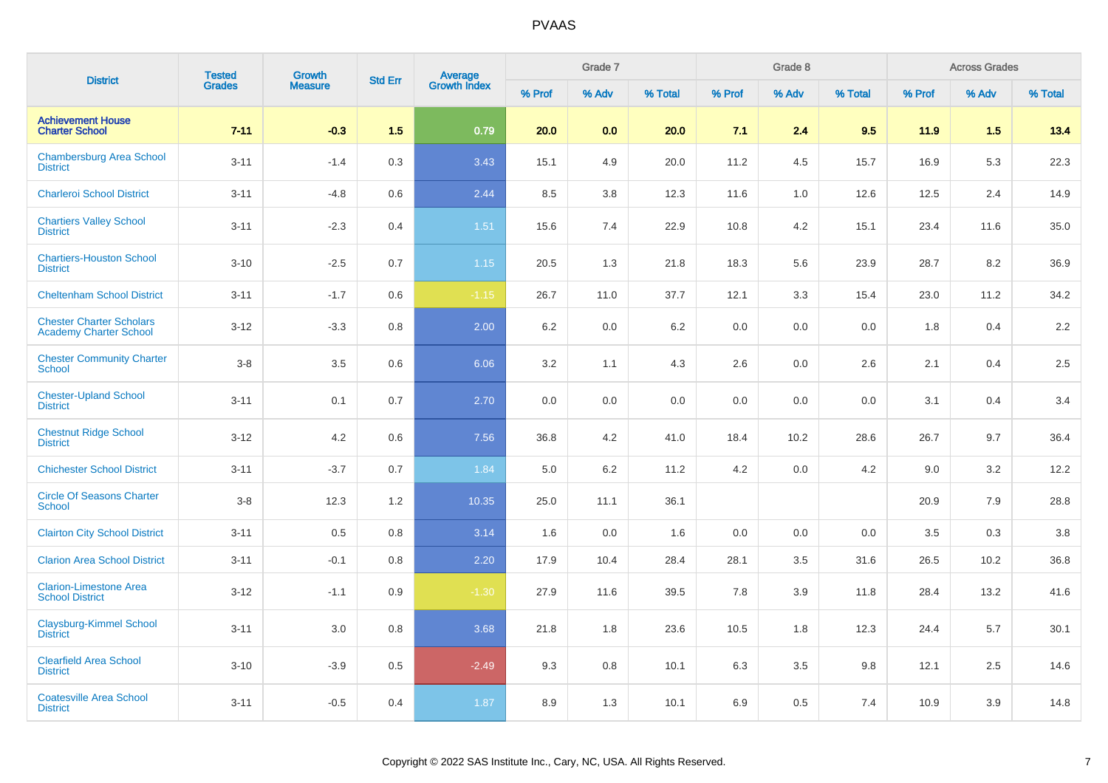| <b>District</b>                                                  | <b>Tested</b> | <b>Growth</b>  | <b>Std Err</b> | <b>Average</b><br>Growth Index |        | Grade 7 |         |        | Grade 8 |         |        | <b>Across Grades</b> |         |
|------------------------------------------------------------------|---------------|----------------|----------------|--------------------------------|--------|---------|---------|--------|---------|---------|--------|----------------------|---------|
|                                                                  | <b>Grades</b> | <b>Measure</b> |                |                                | % Prof | % Adv   | % Total | % Prof | % Adv   | % Total | % Prof | % Adv                | % Total |
| <b>Achievement House</b><br><b>Charter School</b>                | $7 - 11$      | $-0.3$         | 1.5            | 0.79                           | 20.0   | 0.0     | 20.0    | 7.1    | 2.4     | 9.5     | 11.9   | 1.5                  | 13.4    |
| <b>Chambersburg Area School</b><br><b>District</b>               | $3 - 11$      | $-1.4$         | 0.3            | 3.43                           | 15.1   | 4.9     | 20.0    | 11.2   | 4.5     | 15.7    | 16.9   | 5.3                  | 22.3    |
| <b>Charleroi School District</b>                                 | $3 - 11$      | $-4.8$         | 0.6            | 2.44                           | 8.5    | 3.8     | 12.3    | 11.6   | 1.0     | 12.6    | 12.5   | 2.4                  | 14.9    |
| <b>Chartiers Valley School</b><br><b>District</b>                | $3 - 11$      | $-2.3$         | 0.4            | 1.51                           | 15.6   | 7.4     | 22.9    | 10.8   | 4.2     | 15.1    | 23.4   | 11.6                 | 35.0    |
| <b>Chartiers-Houston School</b><br><b>District</b>               | $3 - 10$      | $-2.5$         | 0.7            | 1.15                           | 20.5   | 1.3     | 21.8    | 18.3   | 5.6     | 23.9    | 28.7   | 8.2                  | 36.9    |
| <b>Cheltenham School District</b>                                | $3 - 11$      | $-1.7$         | 0.6            | $-1.15$                        | 26.7   | 11.0    | 37.7    | 12.1   | 3.3     | 15.4    | 23.0   | 11.2                 | 34.2    |
| <b>Chester Charter Scholars</b><br><b>Academy Charter School</b> | $3 - 12$      | $-3.3$         | 0.8            | 2.00                           | 6.2    | 0.0     | 6.2     | 0.0    | 0.0     | 0.0     | 1.8    | 0.4                  | 2.2     |
| <b>Chester Community Charter</b><br><b>School</b>                | $3-8$         | 3.5            | 0.6            | 6.06                           | 3.2    | 1.1     | 4.3     | 2.6    | 0.0     | 2.6     | 2.1    | 0.4                  | 2.5     |
| <b>Chester-Upland School</b><br><b>District</b>                  | $3 - 11$      | 0.1            | 0.7            | 2.70                           | 0.0    | 0.0     | 0.0     | 0.0    | 0.0     | 0.0     | 3.1    | 0.4                  | 3.4     |
| <b>Chestnut Ridge School</b><br><b>District</b>                  | $3 - 12$      | 4.2            | 0.6            | 7.56                           | 36.8   | 4.2     | 41.0    | 18.4   | 10.2    | 28.6    | 26.7   | 9.7                  | 36.4    |
| <b>Chichester School District</b>                                | $3 - 11$      | $-3.7$         | 0.7            | 1.84                           | 5.0    | 6.2     | 11.2    | 4.2    | 0.0     | 4.2     | 9.0    | 3.2                  | 12.2    |
| <b>Circle Of Seasons Charter</b><br><b>School</b>                | $3-8$         | 12.3           | 1.2            | 10.35                          | 25.0   | 11.1    | 36.1    |        |         |         | 20.9   | 7.9                  | 28.8    |
| <b>Clairton City School District</b>                             | $3 - 11$      | 0.5            | 0.8            | 3.14                           | 1.6    | 0.0     | 1.6     | 0.0    | 0.0     | 0.0     | 3.5    | 0.3                  | $3.8\,$ |
| <b>Clarion Area School District</b>                              | $3 - 11$      | $-0.1$         | 0.8            | 2.20                           | 17.9   | 10.4    | 28.4    | 28.1   | 3.5     | 31.6    | 26.5   | 10.2                 | 36.8    |
| <b>Clarion-Limestone Area</b><br><b>School District</b>          | $3 - 12$      | $-1.1$         | 0.9            | $-1.30$                        | 27.9   | 11.6    | 39.5    | 7.8    | 3.9     | 11.8    | 28.4   | 13.2                 | 41.6    |
| <b>Claysburg-Kimmel School</b><br><b>District</b>                | $3 - 11$      | 3.0            | 0.8            | 3.68                           | 21.8   | 1.8     | 23.6    | 10.5   | 1.8     | 12.3    | 24.4   | 5.7                  | 30.1    |
| <b>Clearfield Area School</b><br><b>District</b>                 | $3 - 10$      | $-3.9$         | 0.5            | $-2.49$                        | 9.3    | 0.8     | 10.1    | 6.3    | 3.5     | 9.8     | 12.1   | 2.5                  | 14.6    |
| <b>Coatesville Area School</b><br><b>District</b>                | $3 - 11$      | $-0.5$         | 0.4            | 1.87                           | 8.9    | 1.3     | 10.1    | 6.9    | 0.5     | 7.4     | 10.9   | 3.9                  | 14.8    |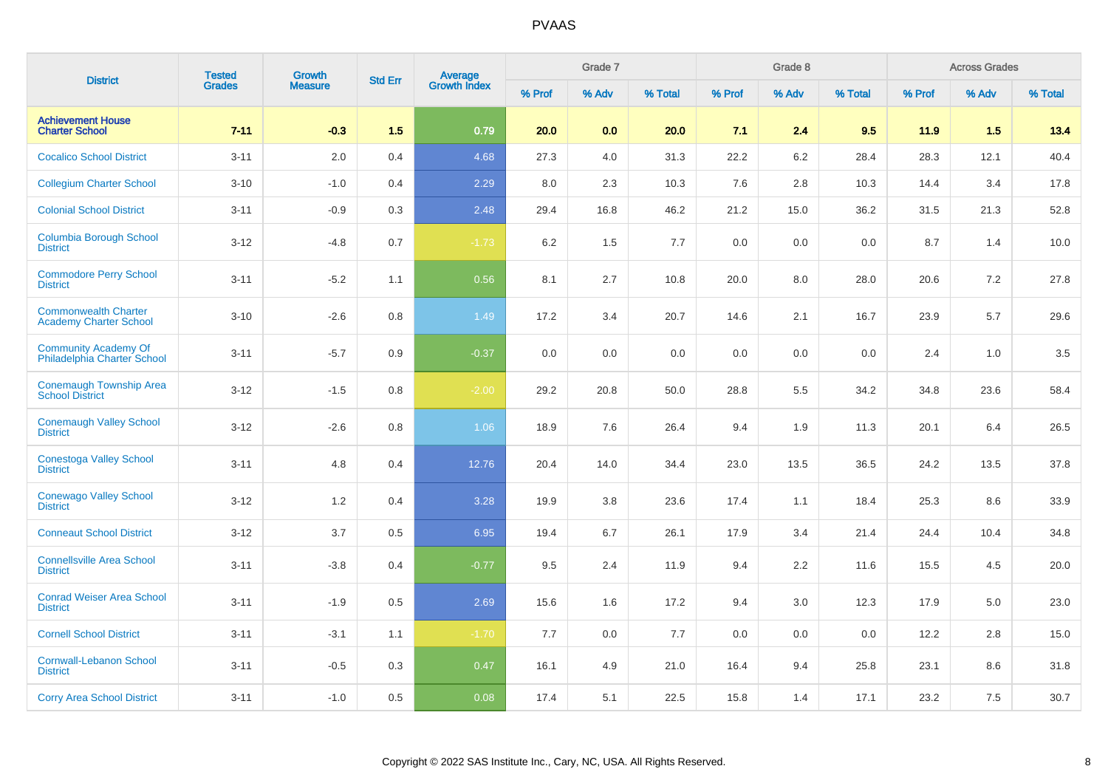| <b>District</b>                                              | <b>Tested</b> | <b>Growth</b>  | <b>Std Err</b> |                                |        | Grade 7 |         |        | Grade 8 |         |        | <b>Across Grades</b> |         |
|--------------------------------------------------------------|---------------|----------------|----------------|--------------------------------|--------|---------|---------|--------|---------|---------|--------|----------------------|---------|
|                                                              | <b>Grades</b> | <b>Measure</b> |                | <b>Average</b><br>Growth Index | % Prof | % Adv   | % Total | % Prof | % Adv   | % Total | % Prof | % Adv                | % Total |
| <b>Achievement House</b><br><b>Charter School</b>            | $7 - 11$      | $-0.3$         | 1.5            | 0.79                           | 20.0   | 0.0     | 20.0    | 7.1    | 2.4     | 9.5     | 11.9   | 1.5                  | 13.4    |
| <b>Cocalico School District</b>                              | $3 - 11$      | 2.0            | 0.4            | 4.68                           | 27.3   | 4.0     | 31.3    | 22.2   | 6.2     | 28.4    | 28.3   | 12.1                 | 40.4    |
| <b>Collegium Charter School</b>                              | $3 - 10$      | $-1.0$         | 0.4            | 2.29                           | 8.0    | 2.3     | 10.3    | 7.6    | 2.8     | 10.3    | 14.4   | 3.4                  | 17.8    |
| <b>Colonial School District</b>                              | $3 - 11$      | $-0.9$         | 0.3            | 2.48                           | 29.4   | 16.8    | 46.2    | 21.2   | 15.0    | 36.2    | 31.5   | 21.3                 | 52.8    |
| <b>Columbia Borough School</b><br><b>District</b>            | $3 - 12$      | $-4.8$         | 0.7            | $-1.73$                        | 6.2    | 1.5     | 7.7     | 0.0    | 0.0     | 0.0     | 8.7    | 1.4                  | 10.0    |
| <b>Commodore Perry School</b><br><b>District</b>             | $3 - 11$      | $-5.2$         | 1.1            | 0.56                           | 8.1    | 2.7     | 10.8    | 20.0   | 8.0     | 28.0    | 20.6   | 7.2                  | 27.8    |
| <b>Commonwealth Charter</b><br><b>Academy Charter School</b> | $3 - 10$      | $-2.6$         | 0.8            | 1.49                           | 17.2   | 3.4     | 20.7    | 14.6   | 2.1     | 16.7    | 23.9   | 5.7                  | 29.6    |
| <b>Community Academy Of</b><br>Philadelphia Charter School   | $3 - 11$      | $-5.7$         | 0.9            | $-0.37$                        | 0.0    | 0.0     | 0.0     | 0.0    | 0.0     | 0.0     | 2.4    | 1.0                  | 3.5     |
| <b>Conemaugh Township Area</b><br><b>School District</b>     | $3 - 12$      | $-1.5$         | 0.8            | $-2.00$                        | 29.2   | 20.8    | 50.0    | 28.8   | 5.5     | 34.2    | 34.8   | 23.6                 | 58.4    |
| <b>Conemaugh Valley School</b><br><b>District</b>            | $3 - 12$      | $-2.6$         | 0.8            | 1.06                           | 18.9   | 7.6     | 26.4    | 9.4    | 1.9     | 11.3    | 20.1   | 6.4                  | 26.5    |
| <b>Conestoga Valley School</b><br><b>District</b>            | $3 - 11$      | 4.8            | 0.4            | 12.76                          | 20.4   | 14.0    | 34.4    | 23.0   | 13.5    | 36.5    | 24.2   | 13.5                 | 37.8    |
| <b>Conewago Valley School</b><br><b>District</b>             | $3 - 12$      | 1.2            | 0.4            | 3.28                           | 19.9   | 3.8     | 23.6    | 17.4   | 1.1     | 18.4    | 25.3   | 8.6                  | 33.9    |
| <b>Conneaut School District</b>                              | $3 - 12$      | 3.7            | 0.5            | 6.95                           | 19.4   | 6.7     | 26.1    | 17.9   | 3.4     | 21.4    | 24.4   | 10.4                 | 34.8    |
| <b>Connellsville Area School</b><br><b>District</b>          | $3 - 11$      | $-3.8$         | 0.4            | $-0.77$                        | 9.5    | 2.4     | 11.9    | 9.4    | 2.2     | 11.6    | 15.5   | 4.5                  | 20.0    |
| <b>Conrad Weiser Area School</b><br><b>District</b>          | $3 - 11$      | $-1.9$         | 0.5            | 2.69                           | 15.6   | 1.6     | 17.2    | 9.4    | 3.0     | 12.3    | 17.9   | 5.0                  | 23.0    |
| <b>Cornell School District</b>                               | $3 - 11$      | $-3.1$         | 1.1            | $-1.70$                        | 7.7    | 0.0     | 7.7     | 0.0    | 0.0     | 0.0     | 12.2   | 2.8                  | 15.0    |
| <b>Cornwall-Lebanon School</b><br><b>District</b>            | $3 - 11$      | $-0.5$         | 0.3            | 0.47                           | 16.1   | 4.9     | 21.0    | 16.4   | 9.4     | 25.8    | 23.1   | 8.6                  | 31.8    |
| <b>Corry Area School District</b>                            | $3 - 11$      | $-1.0$         | 0.5            | 0.08                           | 17.4   | 5.1     | 22.5    | 15.8   | 1.4     | 17.1    | 23.2   | 7.5                  | 30.7    |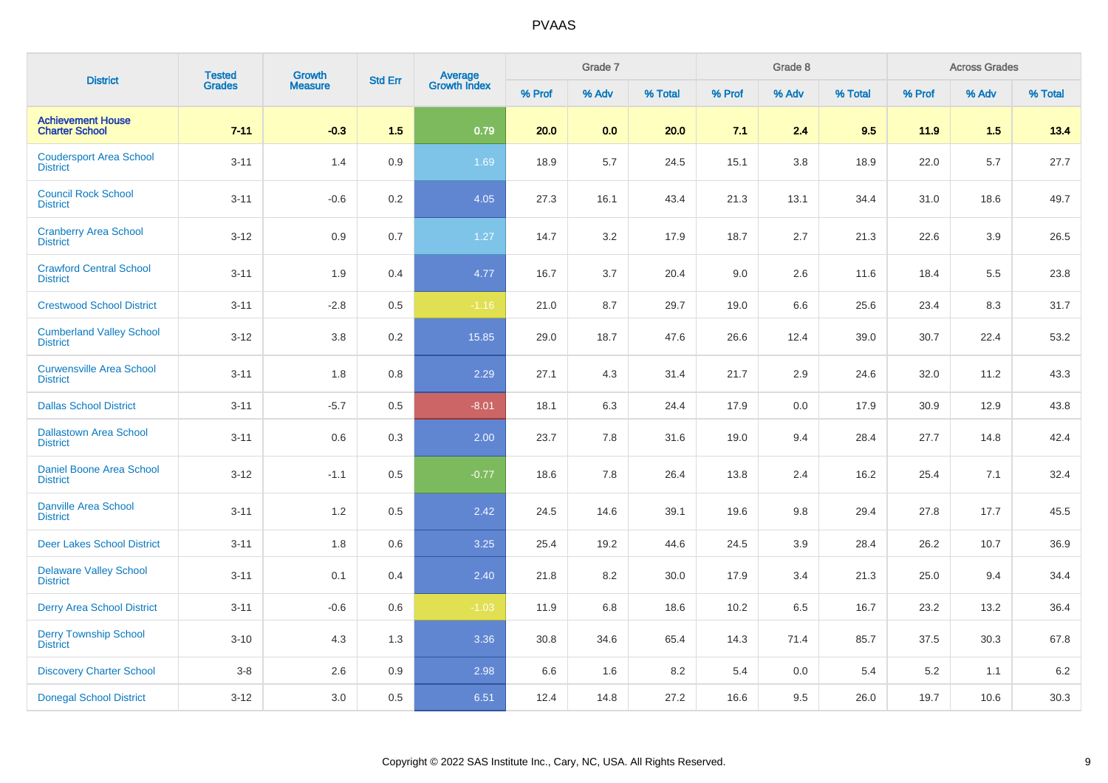| <b>District</b>                                    | <b>Tested</b> | Growth         | <b>Std Err</b> |                                |        | Grade 7 |         |        | Grade 8 |         |        | <b>Across Grades</b> |         |
|----------------------------------------------------|---------------|----------------|----------------|--------------------------------|--------|---------|---------|--------|---------|---------|--------|----------------------|---------|
|                                                    | <b>Grades</b> | <b>Measure</b> |                | <b>Average</b><br>Growth Index | % Prof | % Adv   | % Total | % Prof | % Adv   | % Total | % Prof | % Adv                | % Total |
| <b>Achievement House</b><br><b>Charter School</b>  | $7 - 11$      | $-0.3$         | 1.5            | 0.79                           | 20.0   | 0.0     | 20.0    | 7.1    | 2.4     | 9.5     | 11.9   | 1.5                  | 13.4    |
| <b>Coudersport Area School</b><br><b>District</b>  | $3 - 11$      | 1.4            | 0.9            | 1.69                           | 18.9   | 5.7     | 24.5    | 15.1   | 3.8     | 18.9    | 22.0   | 5.7                  | 27.7    |
| <b>Council Rock School</b><br><b>District</b>      | $3 - 11$      | $-0.6$         | 0.2            | 4.05                           | 27.3   | 16.1    | 43.4    | 21.3   | 13.1    | 34.4    | 31.0   | 18.6                 | 49.7    |
| <b>Cranberry Area School</b><br><b>District</b>    | $3 - 12$      | 0.9            | 0.7            | 1.27                           | 14.7   | 3.2     | 17.9    | 18.7   | 2.7     | 21.3    | 22.6   | 3.9                  | 26.5    |
| <b>Crawford Central School</b><br><b>District</b>  | $3 - 11$      | 1.9            | 0.4            | 4.77                           | 16.7   | 3.7     | 20.4    | 9.0    | 2.6     | 11.6    | 18.4   | 5.5                  | 23.8    |
| <b>Crestwood School District</b>                   | $3 - 11$      | $-2.8$         | 0.5            | $-1.16$                        | 21.0   | 8.7     | 29.7    | 19.0   | 6.6     | 25.6    | 23.4   | 8.3                  | 31.7    |
| <b>Cumberland Valley School</b><br><b>District</b> | $3 - 12$      | 3.8            | 0.2            | 15.85                          | 29.0   | 18.7    | 47.6    | 26.6   | 12.4    | 39.0    | 30.7   | 22.4                 | 53.2    |
| <b>Curwensville Area School</b><br><b>District</b> | $3 - 11$      | 1.8            | 0.8            | 2.29                           | 27.1   | 4.3     | 31.4    | 21.7   | 2.9     | 24.6    | 32.0   | 11.2                 | 43.3    |
| <b>Dallas School District</b>                      | $3 - 11$      | $-5.7$         | 0.5            | $-8.01$                        | 18.1   | 6.3     | 24.4    | 17.9   | 0.0     | 17.9    | 30.9   | 12.9                 | 43.8    |
| <b>Dallastown Area School</b><br><b>District</b>   | $3 - 11$      | 0.6            | 0.3            | 2.00                           | 23.7   | 7.8     | 31.6    | 19.0   | 9.4     | 28.4    | 27.7   | 14.8                 | 42.4    |
| Daniel Boone Area School<br><b>District</b>        | $3 - 12$      | $-1.1$         | 0.5            | $-0.77$                        | 18.6   | 7.8     | 26.4    | 13.8   | 2.4     | 16.2    | 25.4   | 7.1                  | 32.4    |
| <b>Danville Area School</b><br><b>District</b>     | $3 - 11$      | 1.2            | 0.5            | 2.42                           | 24.5   | 14.6    | 39.1    | 19.6   | 9.8     | 29.4    | 27.8   | 17.7                 | 45.5    |
| <b>Deer Lakes School District</b>                  | $3 - 11$      | 1.8            | 0.6            | 3.25                           | 25.4   | 19.2    | 44.6    | 24.5   | 3.9     | 28.4    | 26.2   | 10.7                 | 36.9    |
| <b>Delaware Valley School</b><br><b>District</b>   | $3 - 11$      | 0.1            | 0.4            | 2.40                           | 21.8   | 8.2     | 30.0    | 17.9   | 3.4     | 21.3    | 25.0   | 9.4                  | 34.4    |
| <b>Derry Area School District</b>                  | $3 - 11$      | $-0.6$         | 0.6            | $-1.03$                        | 11.9   | 6.8     | 18.6    | 10.2   | 6.5     | 16.7    | 23.2   | 13.2                 | 36.4    |
| <b>Derry Township School</b><br><b>District</b>    | $3 - 10$      | 4.3            | 1.3            | 3.36                           | 30.8   | 34.6    | 65.4    | 14.3   | 71.4    | 85.7    | 37.5   | 30.3                 | 67.8    |
| <b>Discovery Charter School</b>                    | $3 - 8$       | 2.6            | 0.9            | 2.98                           | 6.6    | 1.6     | 8.2     | 5.4    | 0.0     | 5.4     | 5.2    | 1.1                  | 6.2     |
| <b>Donegal School District</b>                     | $3 - 12$      | 3.0            | 0.5            | 6.51                           | 12.4   | 14.8    | 27.2    | 16.6   | 9.5     | 26.0    | 19.7   | 10.6                 | 30.3    |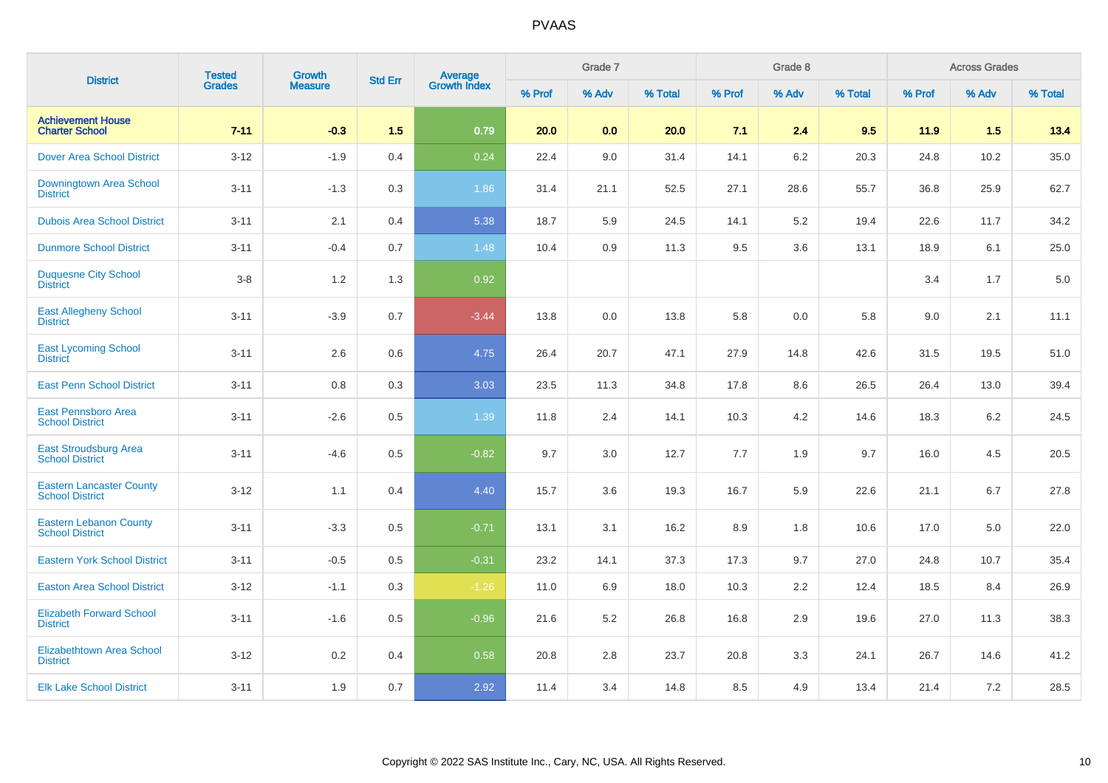| <b>District</b>                                           | <b>Tested</b> | <b>Growth</b>  | <b>Std Err</b> |                                |        | Grade 7 |         |        | Grade 8 |         |        | <b>Across Grades</b> |         |
|-----------------------------------------------------------|---------------|----------------|----------------|--------------------------------|--------|---------|---------|--------|---------|---------|--------|----------------------|---------|
|                                                           | <b>Grades</b> | <b>Measure</b> |                | <b>Average</b><br>Growth Index | % Prof | % Adv   | % Total | % Prof | % Adv   | % Total | % Prof | % Adv                | % Total |
| <b>Achievement House</b><br><b>Charter School</b>         | $7 - 11$      | $-0.3$         | 1.5            | 0.79                           | 20.0   | 0.0     | 20.0    | 7.1    | 2.4     | 9.5     | 11.9   | 1.5                  | 13.4    |
| <b>Dover Area School District</b>                         | $3 - 12$      | $-1.9$         | 0.4            | 0.24                           | 22.4   | 9.0     | 31.4    | 14.1   | 6.2     | 20.3    | 24.8   | 10.2                 | 35.0    |
| Downingtown Area School<br><b>District</b>                | $3 - 11$      | $-1.3$         | 0.3            | 1.86                           | 31.4   | 21.1    | 52.5    | 27.1   | 28.6    | 55.7    | 36.8   | 25.9                 | 62.7    |
| <b>Dubois Area School District</b>                        | $3 - 11$      | 2.1            | 0.4            | 5.38                           | 18.7   | 5.9     | 24.5    | 14.1   | 5.2     | 19.4    | 22.6   | 11.7                 | 34.2    |
| <b>Dunmore School District</b>                            | $3 - 11$      | $-0.4$         | 0.7            | 1.48                           | 10.4   | 0.9     | 11.3    | 9.5    | 3.6     | 13.1    | 18.9   | 6.1                  | 25.0    |
| <b>Duquesne City School</b><br><b>District</b>            | $3-8$         | 1.2            | 1.3            | 0.92                           |        |         |         |        |         |         | 3.4    | 1.7                  | $5.0\,$ |
| <b>East Allegheny School</b><br><b>District</b>           | $3 - 11$      | $-3.9$         | 0.7            | $-3.44$                        | 13.8   | 0.0     | 13.8    | 5.8    | 0.0     | 5.8     | 9.0    | 2.1                  | 11.1    |
| <b>East Lycoming School</b><br><b>District</b>            | $3 - 11$      | 2.6            | 0.6            | 4.75                           | 26.4   | 20.7    | 47.1    | 27.9   | 14.8    | 42.6    | 31.5   | 19.5                 | 51.0    |
| <b>East Penn School District</b>                          | $3 - 11$      | 0.8            | 0.3            | 3.03                           | 23.5   | 11.3    | 34.8    | 17.8   | 8.6     | 26.5    | 26.4   | 13.0                 | 39.4    |
| East Pennsboro Area<br><b>School District</b>             | $3 - 11$      | $-2.6$         | 0.5            | 1.39                           | 11.8   | 2.4     | 14.1    | 10.3   | 4.2     | 14.6    | 18.3   | $6.2\,$              | 24.5    |
| <b>East Stroudsburg Area</b><br><b>School District</b>    | $3 - 11$      | $-4.6$         | 0.5            | $-0.82$                        | 9.7    | 3.0     | 12.7    | 7.7    | 1.9     | 9.7     | 16.0   | 4.5                  | 20.5    |
| <b>Eastern Lancaster County</b><br><b>School District</b> | $3 - 12$      | 1.1            | 0.4            | 4.40                           | 15.7   | 3.6     | 19.3    | 16.7   | 5.9     | 22.6    | 21.1   | 6.7                  | 27.8    |
| <b>Eastern Lebanon County</b><br><b>School District</b>   | $3 - 11$      | $-3.3$         | 0.5            | $-0.71$                        | 13.1   | 3.1     | 16.2    | 8.9    | 1.8     | 10.6    | 17.0   | 5.0                  | 22.0    |
| <b>Eastern York School District</b>                       | $3 - 11$      | $-0.5$         | 0.5            | $-0.31$                        | 23.2   | 14.1    | 37.3    | 17.3   | 9.7     | 27.0    | 24.8   | 10.7                 | 35.4    |
| <b>Easton Area School District</b>                        | $3 - 12$      | $-1.1$         | 0.3            | $-1.26$                        | 11.0   | 6.9     | 18.0    | 10.3   | 2.2     | 12.4    | 18.5   | 8.4                  | 26.9    |
| <b>Elizabeth Forward School</b><br><b>District</b>        | $3 - 11$      | $-1.6$         | 0.5            | $-0.96$                        | 21.6   | $5.2\,$ | 26.8    | 16.8   | 2.9     | 19.6    | 27.0   | 11.3                 | 38.3    |
| Elizabethtown Area School<br><b>District</b>              | $3 - 12$      | 0.2            | 0.4            | 0.58                           | 20.8   | 2.8     | 23.7    | 20.8   | 3.3     | 24.1    | 26.7   | 14.6                 | 41.2    |
| <b>Elk Lake School District</b>                           | $3 - 11$      | 1.9            | 0.7            | 2.92                           | 11.4   | 3.4     | 14.8    | 8.5    | 4.9     | 13.4    | 21.4   | 7.2                  | 28.5    |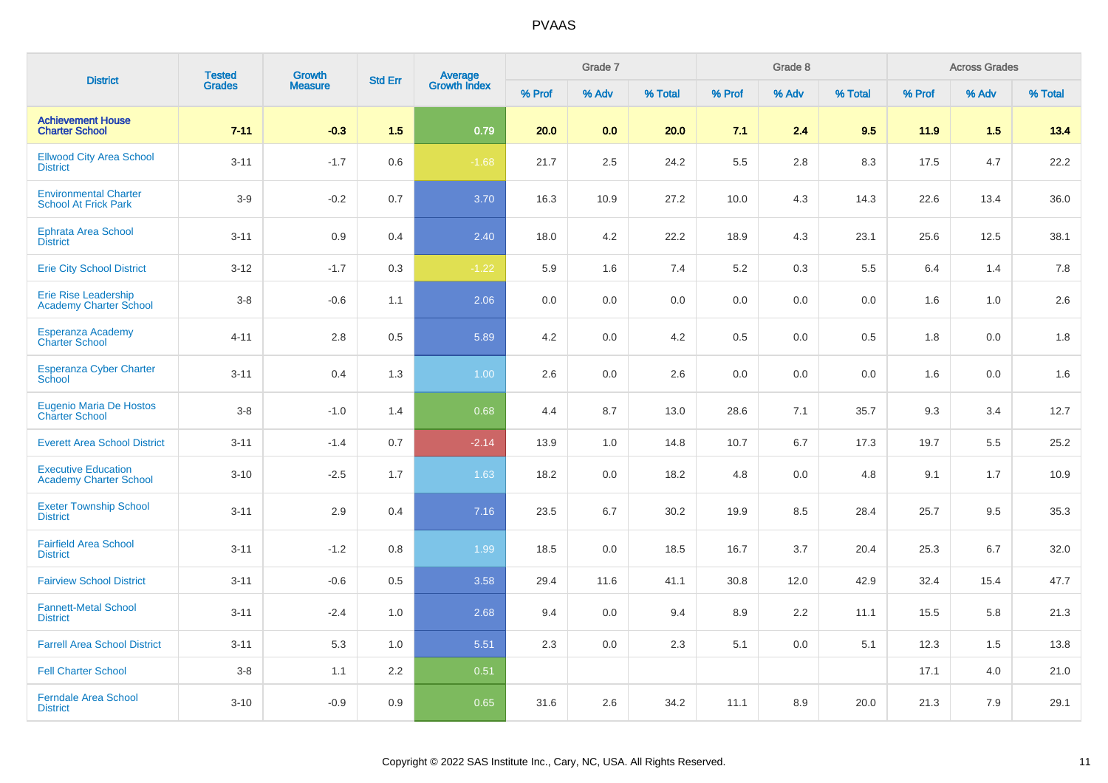| <b>District</b>                                              | <b>Tested</b> | Growth         | <b>Std Err</b> | Average<br>Growth Index |        | Grade 7 |         |         | Grade 8 |         |        | <b>Across Grades</b> |         |
|--------------------------------------------------------------|---------------|----------------|----------------|-------------------------|--------|---------|---------|---------|---------|---------|--------|----------------------|---------|
|                                                              | <b>Grades</b> | <b>Measure</b> |                |                         | % Prof | % Adv   | % Total | % Prof  | % Adv   | % Total | % Prof | % Adv                | % Total |
| <b>Achievement House</b><br><b>Charter School</b>            | $7 - 11$      | $-0.3$         | 1.5            | 0.79                    | 20.0   | 0.0     | 20.0    | 7.1     | 2.4     | 9.5     | 11.9   | 1.5                  | 13.4    |
| <b>Ellwood City Area School</b><br><b>District</b>           | $3 - 11$      | $-1.7$         | 0.6            | $-1.68$                 | 21.7   | 2.5     | 24.2    | 5.5     | 2.8     | 8.3     | 17.5   | 4.7                  | 22.2    |
| <b>Environmental Charter</b><br><b>School At Frick Park</b>  | $3-9$         | $-0.2$         | 0.7            | 3.70                    | 16.3   | 10.9    | 27.2    | 10.0    | 4.3     | 14.3    | 22.6   | 13.4                 | 36.0    |
| <b>Ephrata Area School</b><br><b>District</b>                | $3 - 11$      | 0.9            | 0.4            | 2.40                    | 18.0   | 4.2     | 22.2    | 18.9    | 4.3     | 23.1    | 25.6   | 12.5                 | 38.1    |
| <b>Erie City School District</b>                             | $3 - 12$      | $-1.7$         | 0.3            | $-1.22$                 | 5.9    | 1.6     | $7.4$   | 5.2     | 0.3     | 5.5     | 6.4    | 1.4                  | 7.8     |
| <b>Erie Rise Leadership</b><br><b>Academy Charter School</b> | $3-8$         | $-0.6$         | 1.1            | 2.06                    | 0.0    | 0.0     | 0.0     | 0.0     | 0.0     | 0.0     | 1.6    | 1.0                  | 2.6     |
| Esperanza Academy<br><b>Charter School</b>                   | $4 - 11$      | 2.8            | 0.5            | 5.89                    | 4.2    | 0.0     | 4.2     | 0.5     | 0.0     | 0.5     | 1.8    | 0.0                  | 1.8     |
| <b>Esperanza Cyber Charter</b><br>School                     | $3 - 11$      | 0.4            | 1.3            | $1.00\,$                | 2.6    | 0.0     | 2.6     | $0.0\,$ | 0.0     | 0.0     | 1.6    | 0.0                  | 1.6     |
| Eugenio Maria De Hostos<br><b>Charter School</b>             | $3-8$         | $-1.0$         | 1.4            | 0.68                    | 4.4    | 8.7     | 13.0    | 28.6    | 7.1     | 35.7    | 9.3    | 3.4                  | 12.7    |
| <b>Everett Area School District</b>                          | $3 - 11$      | $-1.4$         | 0.7            | $-2.14$                 | 13.9   | 1.0     | 14.8    | 10.7    | 6.7     | 17.3    | 19.7   | 5.5                  | 25.2    |
| <b>Executive Education</b><br><b>Academy Charter School</b>  | $3 - 10$      | $-2.5$         | 1.7            | 1.63                    | 18.2   | 0.0     | 18.2    | 4.8     | 0.0     | 4.8     | 9.1    | 1.7                  | 10.9    |
| <b>Exeter Township School</b><br><b>District</b>             | $3 - 11$      | 2.9            | 0.4            | 7.16                    | 23.5   | 6.7     | 30.2    | 19.9    | 8.5     | 28.4    | 25.7   | 9.5                  | 35.3    |
| <b>Fairfield Area School</b><br><b>District</b>              | $3 - 11$      | $-1.2$         | 0.8            | 1.99                    | 18.5   | 0.0     | 18.5    | 16.7    | 3.7     | 20.4    | 25.3   | 6.7                  | 32.0    |
| <b>Fairview School District</b>                              | $3 - 11$      | $-0.6$         | 0.5            | 3.58                    | 29.4   | 11.6    | 41.1    | 30.8    | 12.0    | 42.9    | 32.4   | 15.4                 | 47.7    |
| <b>Fannett-Metal School</b><br><b>District</b>               | $3 - 11$      | $-2.4$         | 1.0            | 2.68                    | 9.4    | 0.0     | 9.4     | 8.9     | 2.2     | 11.1    | 15.5   | 5.8                  | 21.3    |
| <b>Farrell Area School District</b>                          | $3 - 11$      | 5.3            | 1.0            | 5.51                    | 2.3    | 0.0     | 2.3     | 5.1     | 0.0     | 5.1     | 12.3   | 1.5                  | 13.8    |
| <b>Fell Charter School</b>                                   | $3-8$         | 1.1            | 2.2            | 0.51                    |        |         |         |         |         |         | 17.1   | 4.0                  | 21.0    |
| <b>Ferndale Area School</b><br><b>District</b>               | $3 - 10$      | $-0.9$         | 0.9            | 0.65                    | 31.6   | 2.6     | 34.2    | 11.1    | 8.9     | 20.0    | 21.3   | 7.9                  | 29.1    |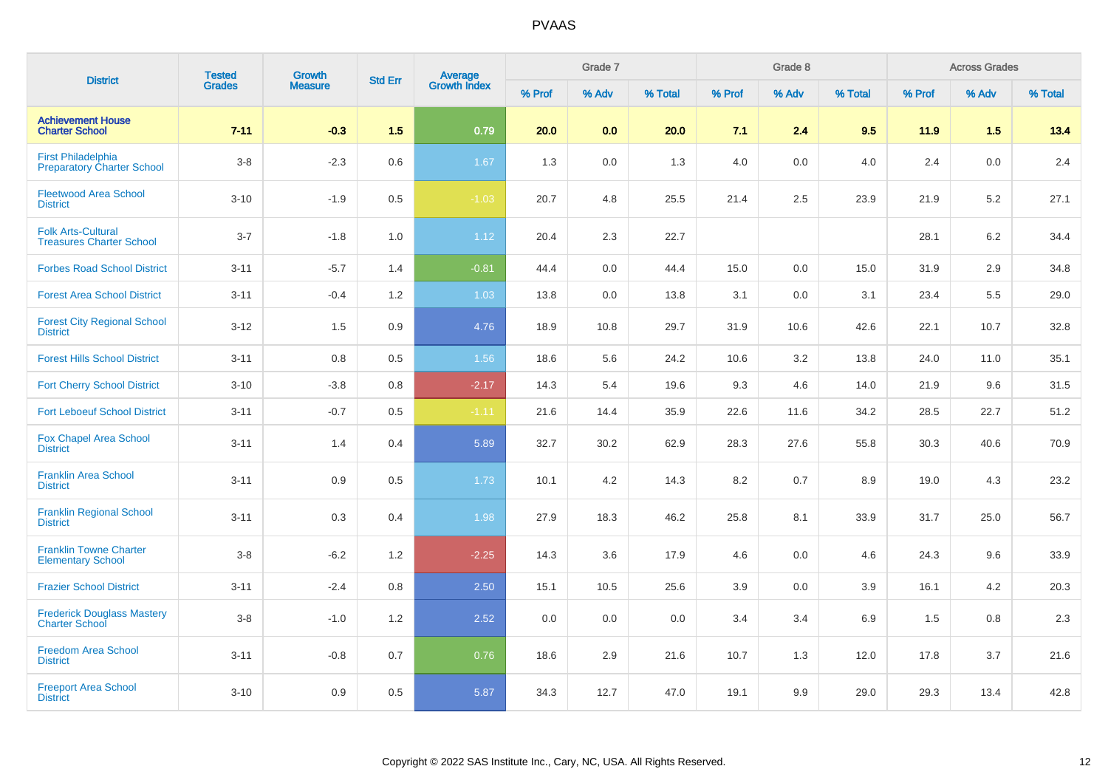| <b>District</b>                                                | <b>Tested</b> | Growth         |                |                                |        | Grade 7 |         |        | Grade 8 |         |         | <b>Across Grades</b> |         |
|----------------------------------------------------------------|---------------|----------------|----------------|--------------------------------|--------|---------|---------|--------|---------|---------|---------|----------------------|---------|
|                                                                | <b>Grades</b> | <b>Measure</b> | <b>Std Err</b> | <b>Average</b><br>Growth Index | % Prof | % Adv   | % Total | % Prof | % Adv   | % Total | % Prof  | % Adv                | % Total |
| <b>Achievement House</b><br><b>Charter School</b>              | $7 - 11$      | $-0.3$         | 1.5            | 0.79                           | 20.0   | 0.0     | 20.0    | 7.1    | 2.4     | 9.5     | 11.9    | 1.5                  | 13.4    |
| <b>First Philadelphia</b><br><b>Preparatory Charter School</b> | $3-8$         | $-2.3$         | 0.6            | 1.67                           | 1.3    | 0.0     | 1.3     | 4.0    | 0.0     | 4.0     | 2.4     | 0.0                  | 2.4     |
| <b>Fleetwood Area School</b><br><b>District</b>                | $3 - 10$      | $-1.9$         | 0.5            | $-1.03$                        | 20.7   | 4.8     | 25.5    | 21.4   | 2.5     | 23.9    | 21.9    | 5.2                  | 27.1    |
| <b>Folk Arts-Cultural</b><br><b>Treasures Charter School</b>   | $3 - 7$       | $-1.8$         | 1.0            | 1.12                           | 20.4   | 2.3     | 22.7    |        |         |         | 28.1    | 6.2                  | 34.4    |
| <b>Forbes Road School District</b>                             | $3 - 11$      | $-5.7$         | 1.4            | $-0.81$                        | 44.4   | 0.0     | 44.4    | 15.0   | 0.0     | 15.0    | 31.9    | 2.9                  | 34.8    |
| <b>Forest Area School District</b>                             | $3 - 11$      | $-0.4$         | 1.2            | 1.03                           | 13.8   | 0.0     | 13.8    | 3.1    | 0.0     | 3.1     | 23.4    | 5.5                  | 29.0    |
| <b>Forest City Regional School</b><br><b>District</b>          | $3 - 12$      | 1.5            | 0.9            | 4.76                           | 18.9   | 10.8    | 29.7    | 31.9   | 10.6    | 42.6    | 22.1    | 10.7                 | 32.8    |
| <b>Forest Hills School District</b>                            | $3 - 11$      | 0.8            | 0.5            | 1.56                           | 18.6   | 5.6     | 24.2    | 10.6   | 3.2     | 13.8    | 24.0    | 11.0                 | 35.1    |
| <b>Fort Cherry School District</b>                             | $3 - 10$      | $-3.8$         | 0.8            | $-2.17$                        | 14.3   | 5.4     | 19.6    | 9.3    | 4.6     | 14.0    | 21.9    | 9.6                  | 31.5    |
| <b>Fort Leboeuf School District</b>                            | $3 - 11$      | $-0.7$         | 0.5            | $-1.11$                        | 21.6   | 14.4    | 35.9    | 22.6   | 11.6    | 34.2    | 28.5    | 22.7                 | 51.2    |
| <b>Fox Chapel Area School</b><br><b>District</b>               | $3 - 11$      | 1.4            | 0.4            | 5.89                           | 32.7   | 30.2    | 62.9    | 28.3   | 27.6    | 55.8    | 30.3    | 40.6                 | 70.9    |
| <b>Franklin Area School</b><br><b>District</b>                 | $3 - 11$      | 0.9            | 0.5            | 1.73                           | 10.1   | 4.2     | 14.3    | 8.2    | 0.7     | 8.9     | 19.0    | 4.3                  | 23.2    |
| <b>Franklin Regional School</b><br><b>District</b>             | $3 - 11$      | 0.3            | 0.4            | 1.98                           | 27.9   | 18.3    | 46.2    | 25.8   | 8.1     | 33.9    | 31.7    | 25.0                 | 56.7    |
| <b>Franklin Towne Charter</b><br><b>Elementary School</b>      | $3-8$         | $-6.2$         | 1.2            | $-2.25$                        | 14.3   | 3.6     | 17.9    | 4.6    | 0.0     | 4.6     | 24.3    | 9.6                  | 33.9    |
| <b>Frazier School District</b>                                 | $3 - 11$      | $-2.4$         | 0.8            | 2.50                           | 15.1   | 10.5    | 25.6    | 3.9    | 0.0     | 3.9     | 16.1    | 4.2                  | 20.3    |
| <b>Frederick Douglass Mastery</b><br><b>Charter School</b>     | $3-8$         | $-1.0$         | 1.2            | 2.52                           | 0.0    | 0.0     | 0.0     | 3.4    | 3.4     | 6.9     | $1.5\,$ | 0.8                  | $2.3\,$ |
| <b>Freedom Area School</b><br><b>District</b>                  | $3 - 11$      | $-0.8$         | 0.7            | 0.76                           | 18.6   | 2.9     | 21.6    | 10.7   | 1.3     | 12.0    | 17.8    | 3.7                  | 21.6    |
| <b>Freeport Area School</b><br><b>District</b>                 | $3 - 10$      | 0.9            | 0.5            | 5.87                           | 34.3   | 12.7    | 47.0    | 19.1   | 9.9     | 29.0    | 29.3    | 13.4                 | 42.8    |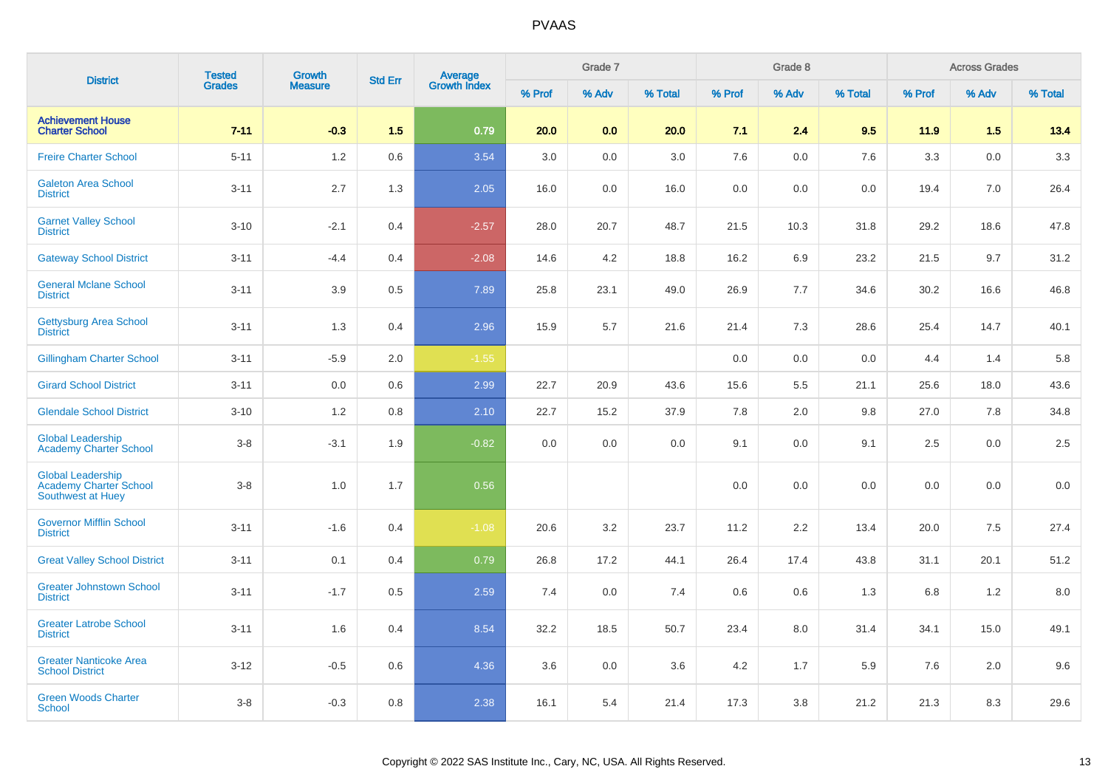| <b>District</b>                                                         | <b>Tested</b> | <b>Growth</b>  | <b>Std Err</b> |                                |        | Grade 7 |         |        | Grade 8 |         |         | <b>Across Grades</b> |         |
|-------------------------------------------------------------------------|---------------|----------------|----------------|--------------------------------|--------|---------|---------|--------|---------|---------|---------|----------------------|---------|
|                                                                         | <b>Grades</b> | <b>Measure</b> |                | <b>Average</b><br>Growth Index | % Prof | % Adv   | % Total | % Prof | % Adv   | % Total | % Prof  | % Adv                | % Total |
| <b>Achievement House</b><br><b>Charter School</b>                       | $7 - 11$      | $-0.3$         | 1.5            | 0.79                           | 20.0   | 0.0     | 20.0    | 7.1    | 2.4     | 9.5     | 11.9    | 1.5                  | 13.4    |
| <b>Freire Charter School</b>                                            | $5 - 11$      | 1.2            | 0.6            | 3.54                           | 3.0    | 0.0     | 3.0     | 7.6    | 0.0     | 7.6     | 3.3     | 0.0                  | $3.3\,$ |
| <b>Galeton Area School</b><br><b>District</b>                           | $3 - 11$      | 2.7            | 1.3            | 2.05                           | 16.0   | 0.0     | 16.0    | 0.0    | 0.0     | 0.0     | 19.4    | 7.0                  | 26.4    |
| <b>Garnet Valley School</b><br><b>District</b>                          | $3 - 10$      | $-2.1$         | 0.4            | $-2.57$                        | 28.0   | 20.7    | 48.7    | 21.5   | 10.3    | 31.8    | 29.2    | 18.6                 | 47.8    |
| <b>Gateway School District</b>                                          | $3 - 11$      | $-4.4$         | 0.4            | $-2.08$                        | 14.6   | 4.2     | 18.8    | 16.2   | 6.9     | 23.2    | 21.5    | 9.7                  | 31.2    |
| <b>General Mclane School</b><br><b>District</b>                         | $3 - 11$      | 3.9            | 0.5            | 7.89                           | 25.8   | 23.1    | 49.0    | 26.9   | 7.7     | 34.6    | 30.2    | 16.6                 | 46.8    |
| <b>Gettysburg Area School</b><br><b>District</b>                        | $3 - 11$      | 1.3            | 0.4            | 2.96                           | 15.9   | 5.7     | 21.6    | 21.4   | 7.3     | 28.6    | 25.4    | 14.7                 | 40.1    |
| <b>Gillingham Charter School</b>                                        | $3 - 11$      | $-5.9$         | 2.0            | $-1.55$                        |        |         |         | 0.0    | 0.0     | 0.0     | 4.4     | 1.4                  | 5.8     |
| <b>Girard School District</b>                                           | $3 - 11$      | 0.0            | 0.6            | 2.99                           | 22.7   | 20.9    | 43.6    | 15.6   | 5.5     | 21.1    | 25.6    | 18.0                 | 43.6    |
| <b>Glendale School District</b>                                         | $3 - 10$      | 1.2            | 0.8            | 2.10                           | 22.7   | 15.2    | 37.9    | 7.8    | 2.0     | 9.8     | 27.0    | 7.8                  | 34.8    |
| <b>Global Leadership</b><br><b>Academy Charter School</b>               | $3-8$         | $-3.1$         | 1.9            | $-0.82$                        | 0.0    | 0.0     | 0.0     | 9.1    | 0.0     | 9.1     | 2.5     | 0.0                  | 2.5     |
| <b>Global Leadership</b><br>Academy Charter School<br>Southwest at Huey | $3-8$         | 1.0            | 1.7            | 0.56                           |        |         |         | 0.0    | 0.0     | 0.0     | $0.0\,$ | 0.0                  | $0.0\,$ |
| <b>Governor Mifflin School</b><br><b>District</b>                       | $3 - 11$      | $-1.6$         | 0.4            | $-1.08$                        | 20.6   | 3.2     | 23.7    | 11.2   | 2.2     | 13.4    | 20.0    | 7.5                  | 27.4    |
| <b>Great Valley School District</b>                                     | $3 - 11$      | 0.1            | 0.4            | 0.79                           | 26.8   | 17.2    | 44.1    | 26.4   | 17.4    | 43.8    | 31.1    | 20.1                 | 51.2    |
| <b>Greater Johnstown School</b><br><b>District</b>                      | $3 - 11$      | $-1.7$         | 0.5            | 2.59                           | 7.4    | 0.0     | 7.4     | 0.6    | 0.6     | 1.3     | 6.8     | 1.2                  | 8.0     |
| <b>Greater Latrobe School</b><br><b>District</b>                        | $3 - 11$      | 1.6            | 0.4            | 8.54                           | 32.2   | 18.5    | 50.7    | 23.4   | 8.0     | 31.4    | 34.1    | 15.0                 | 49.1    |
| <b>Greater Nanticoke Area</b><br><b>School District</b>                 | $3 - 12$      | $-0.5$         | 0.6            | 4.36                           | 3.6    | 0.0     | 3.6     | 4.2    | 1.7     | 5.9     | 7.6     | 2.0                  | 9.6     |
| <b>Green Woods Charter</b><br><b>School</b>                             | $3 - 8$       | $-0.3$         | 0.8            | 2.38                           | 16.1   | 5.4     | 21.4    | 17.3   | 3.8     | 21.2    | 21.3    | 8.3                  | 29.6    |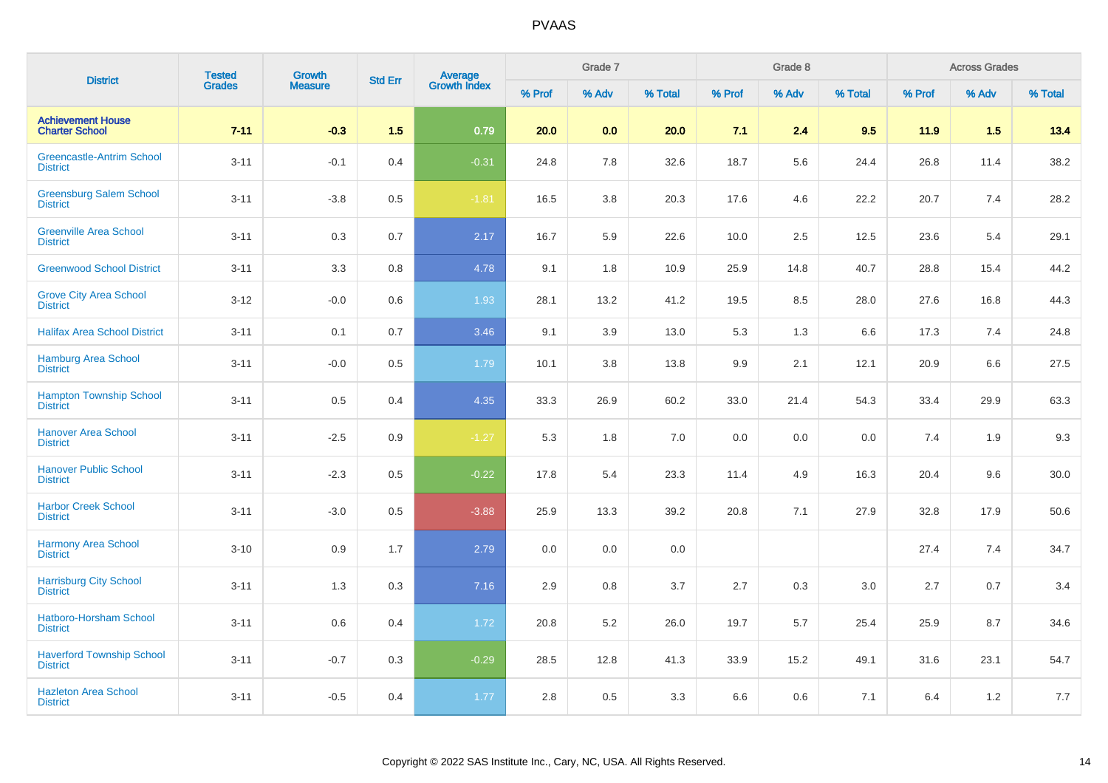| <b>District</b>                                     | <b>Tested</b> | <b>Growth</b>  | <b>Std Err</b> |                                |        | Grade 7 |         |        | Grade 8 |         |        | <b>Across Grades</b> |          |
|-----------------------------------------------------|---------------|----------------|----------------|--------------------------------|--------|---------|---------|--------|---------|---------|--------|----------------------|----------|
|                                                     | <b>Grades</b> | <b>Measure</b> |                | <b>Average</b><br>Growth Index | % Prof | % Adv   | % Total | % Prof | % Adv   | % Total | % Prof | % Adv                | % Total  |
| <b>Achievement House</b><br><b>Charter School</b>   | $7 - 11$      | $-0.3$         | 1.5            | 0.79                           | 20.0   | 0.0     | 20.0    | 7.1    | 2.4     | 9.5     | 11.9   | 1.5                  | 13.4     |
| <b>Greencastle-Antrim School</b><br><b>District</b> | $3 - 11$      | $-0.1$         | 0.4            | $-0.31$                        | 24.8   | 7.8     | 32.6    | 18.7   | 5.6     | 24.4    | 26.8   | 11.4                 | 38.2     |
| <b>Greensburg Salem School</b><br><b>District</b>   | $3 - 11$      | $-3.8$         | 0.5            | $-1.81$                        | 16.5   | 3.8     | 20.3    | 17.6   | 4.6     | 22.2    | 20.7   | 7.4                  | 28.2     |
| <b>Greenville Area School</b><br><b>District</b>    | $3 - 11$      | 0.3            | 0.7            | 2.17                           | 16.7   | 5.9     | 22.6    | 10.0   | 2.5     | 12.5    | 23.6   | 5.4                  | 29.1     |
| <b>Greenwood School District</b>                    | $3 - 11$      | 3.3            | 0.8            | 4.78                           | 9.1    | 1.8     | 10.9    | 25.9   | 14.8    | 40.7    | 28.8   | 15.4                 | 44.2     |
| <b>Grove City Area School</b><br><b>District</b>    | $3 - 12$      | $-0.0$         | 0.6            | 1.93                           | 28.1   | 13.2    | 41.2    | 19.5   | 8.5     | 28.0    | 27.6   | 16.8                 | 44.3     |
| <b>Halifax Area School District</b>                 | $3 - 11$      | 0.1            | 0.7            | 3.46                           | 9.1    | 3.9     | 13.0    | 5.3    | 1.3     | 6.6     | 17.3   | 7.4                  | 24.8     |
| <b>Hamburg Area School</b><br><b>District</b>       | $3 - 11$      | $-0.0$         | 0.5            | 1.79                           | 10.1   | 3.8     | 13.8    | 9.9    | 2.1     | 12.1    | 20.9   | 6.6                  | 27.5     |
| <b>Hampton Township School</b><br><b>District</b>   | $3 - 11$      | 0.5            | 0.4            | 4.35                           | 33.3   | 26.9    | 60.2    | 33.0   | 21.4    | 54.3    | 33.4   | 29.9                 | 63.3     |
| <b>Hanover Area School</b><br><b>District</b>       | $3 - 11$      | $-2.5$         | 0.9            | $-1.27$                        | 5.3    | 1.8     | 7.0     | 0.0    | 0.0     | 0.0     | 7.4    | 1.9                  | 9.3      |
| <b>Hanover Public School</b><br><b>District</b>     | $3 - 11$      | $-2.3$         | 0.5            | $-0.22$                        | 17.8   | 5.4     | 23.3    | 11.4   | 4.9     | 16.3    | 20.4   | 9.6                  | $30.0\,$ |
| <b>Harbor Creek School</b><br><b>District</b>       | $3 - 11$      | $-3.0$         | 0.5            | $-3.88$                        | 25.9   | 13.3    | 39.2    | 20.8   | 7.1     | 27.9    | 32.8   | 17.9                 | 50.6     |
| <b>Harmony Area School</b><br><b>District</b>       | $3 - 10$      | 0.9            | 1.7            | 2.79                           | 0.0    | 0.0     | 0.0     |        |         |         | 27.4   | 7.4                  | 34.7     |
| <b>Harrisburg City School</b><br><b>District</b>    | $3 - 11$      | 1.3            | 0.3            | 7.16                           | 2.9    | 0.8     | 3.7     | 2.7    | 0.3     | 3.0     | 2.7    | 0.7                  | 3.4      |
| <b>Hatboro-Horsham School</b><br><b>District</b>    | $3 - 11$      | 0.6            | 0.4            | 1.72                           | 20.8   | 5.2     | 26.0    | 19.7   | 5.7     | 25.4    | 25.9   | 8.7                  | 34.6     |
| <b>Haverford Township School</b><br><b>District</b> | $3 - 11$      | $-0.7$         | 0.3            | $-0.29$                        | 28.5   | 12.8    | 41.3    | 33.9   | 15.2    | 49.1    | 31.6   | 23.1                 | 54.7     |
| <b>Hazleton Area School</b><br><b>District</b>      | $3 - 11$      | $-0.5$         | 0.4            | 1.77                           | 2.8    | 0.5     | 3.3     | 6.6    | 0.6     | 7.1     | 6.4    | 1.2                  | 7.7      |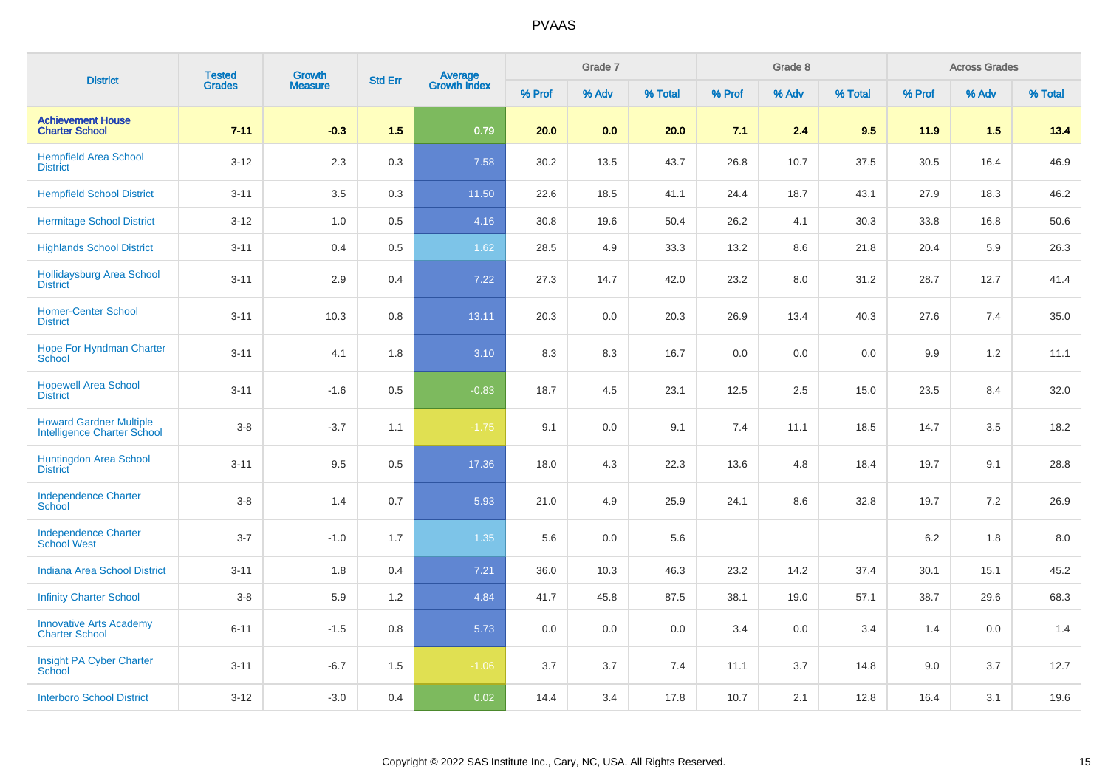|                                                                      | <b>Tested</b> | Growth         |                |                                |        | Grade 7 |         |        | Grade 8 |         |         | <b>Across Grades</b> |         |
|----------------------------------------------------------------------|---------------|----------------|----------------|--------------------------------|--------|---------|---------|--------|---------|---------|---------|----------------------|---------|
| <b>District</b>                                                      | <b>Grades</b> | <b>Measure</b> | <b>Std Err</b> | <b>Average</b><br>Growth Index | % Prof | % Adv   | % Total | % Prof | % Adv   | % Total | % Prof  | % Adv                | % Total |
| <b>Achievement House</b><br><b>Charter School</b>                    | $7 - 11$      | $-0.3$         | 1.5            | 0.79                           | 20.0   | 0.0     | 20.0    | 7.1    | 2.4     | 9.5     | 11.9    | 1.5                  | 13.4    |
| <b>Hempfield Area School</b><br><b>District</b>                      | $3 - 12$      | 2.3            | 0.3            | 7.58                           | 30.2   | 13.5    | 43.7    | 26.8   | 10.7    | 37.5    | 30.5    | 16.4                 | 46.9    |
| <b>Hempfield School District</b>                                     | $3 - 11$      | 3.5            | 0.3            | 11.50                          | 22.6   | 18.5    | 41.1    | 24.4   | 18.7    | 43.1    | 27.9    | 18.3                 | 46.2    |
| <b>Hermitage School District</b>                                     | $3 - 12$      | 1.0            | 0.5            | 4.16                           | 30.8   | 19.6    | 50.4    | 26.2   | 4.1     | 30.3    | 33.8    | 16.8                 | 50.6    |
| <b>Highlands School District</b>                                     | $3 - 11$      | 0.4            | 0.5            | 1.62                           | 28.5   | 4.9     | 33.3    | 13.2   | 8.6     | 21.8    | 20.4    | 5.9                  | 26.3    |
| <b>Hollidaysburg Area School</b><br><b>District</b>                  | $3 - 11$      | 2.9            | 0.4            | 7.22                           | 27.3   | 14.7    | 42.0    | 23.2   | 8.0     | 31.2    | 28.7    | 12.7                 | 41.4    |
| <b>Homer-Center School</b><br><b>District</b>                        | $3 - 11$      | 10.3           | 0.8            | 13.11                          | 20.3   | 0.0     | 20.3    | 26.9   | 13.4    | 40.3    | 27.6    | 7.4                  | 35.0    |
| <b>Hope For Hyndman Charter</b><br>School                            | $3 - 11$      | 4.1            | 1.8            | 3.10                           | 8.3    | 8.3     | 16.7    | 0.0    | 0.0     | 0.0     | 9.9     | 1.2                  | 11.1    |
| <b>Hopewell Area School</b><br><b>District</b>                       | $3 - 11$      | $-1.6$         | 0.5            | $-0.83$                        | 18.7   | 4.5     | 23.1    | 12.5   | 2.5     | 15.0    | 23.5    | 8.4                  | 32.0    |
| <b>Howard Gardner Multiple</b><br><b>Intelligence Charter School</b> | $3-8$         | $-3.7$         | 1.1            | $-1.75$                        | 9.1    | 0.0     | 9.1     | 7.4    | 11.1    | 18.5    | 14.7    | 3.5                  | 18.2    |
| <b>Huntingdon Area School</b><br><b>District</b>                     | $3 - 11$      | 9.5            | 0.5            | 17.36                          | 18.0   | 4.3     | 22.3    | 13.6   | 4.8     | 18.4    | 19.7    | 9.1                  | 28.8    |
| <b>Independence Charter</b><br>School                                | $3-8$         | 1.4            | 0.7            | 5.93                           | 21.0   | 4.9     | 25.9    | 24.1   | 8.6     | 32.8    | 19.7    | 7.2                  | 26.9    |
| <b>Independence Charter</b><br><b>School West</b>                    | $3 - 7$       | $-1.0$         | 1.7            | 1.35                           | 5.6    | 0.0     | 5.6     |        |         |         | 6.2     | 1.8                  | 8.0     |
| <b>Indiana Area School District</b>                                  | $3 - 11$      | 1.8            | 0.4            | 7.21                           | 36.0   | 10.3    | 46.3    | 23.2   | 14.2    | 37.4    | 30.1    | 15.1                 | 45.2    |
| <b>Infinity Charter School</b>                                       | $3-8$         | 5.9            | 1.2            | 4.84                           | 41.7   | 45.8    | 87.5    | 38.1   | 19.0    | 57.1    | 38.7    | 29.6                 | 68.3    |
| <b>Innovative Arts Academy</b><br><b>Charter School</b>              | $6 - 11$      | $-1.5$         | 0.8            | 5.73                           | 0.0    | 0.0     | 0.0     | 3.4    | 0.0     | 3.4     | 1.4     | 0.0                  | 1.4     |
| Insight PA Cyber Charter<br>School                                   | $3 - 11$      | $-6.7$         | 1.5            | $-1.06$                        | 3.7    | 3.7     | 7.4     | 11.1   | 3.7     | 14.8    | $9.0\,$ | 3.7                  | 12.7    |
| <b>Interboro School District</b>                                     | $3 - 12$      | $-3.0$         | 0.4            | 0.02                           | 14.4   | 3.4     | 17.8    | 10.7   | 2.1     | 12.8    | 16.4    | 3.1                  | 19.6    |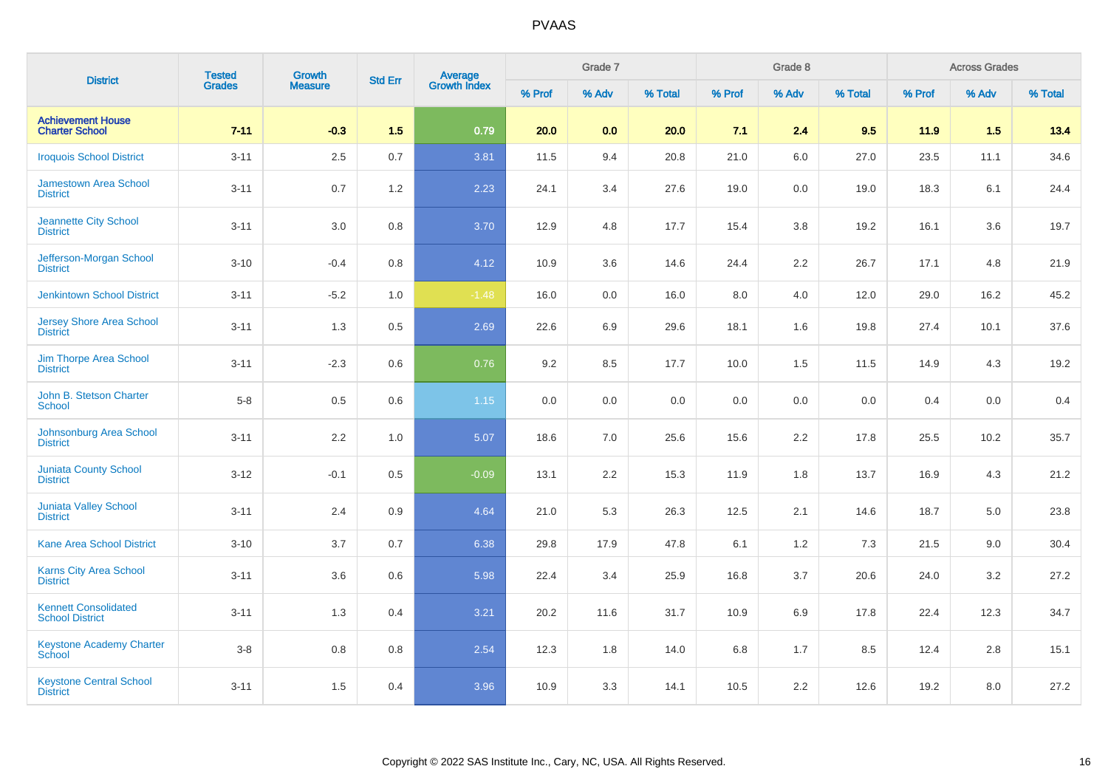| <b>District</b>                                       | <b>Tested</b><br>Grades | Growth         | <b>Std Err</b> |                                |        | Grade 7 |         |         | Grade 8 |         |        | <b>Across Grades</b> |         |
|-------------------------------------------------------|-------------------------|----------------|----------------|--------------------------------|--------|---------|---------|---------|---------|---------|--------|----------------------|---------|
|                                                       |                         | <b>Measure</b> |                | <b>Average</b><br>Growth Index | % Prof | % Adv   | % Total | % Prof  | % Adv   | % Total | % Prof | % Adv                | % Total |
| <b>Achievement House</b><br><b>Charter School</b>     | $7 - 11$                | $-0.3$         | 1.5            | 0.79                           | 20.0   | 0.0     | 20.0    | 7.1     | 2.4     | 9.5     | 11.9   | 1.5                  | 13.4    |
| <b>Iroquois School District</b>                       | $3 - 11$                | $2.5\,$        | 0.7            | 3.81                           | 11.5   | 9.4     | 20.8    | 21.0    | 6.0     | 27.0    | 23.5   | 11.1                 | 34.6    |
| <b>Jamestown Area School</b><br><b>District</b>       | $3 - 11$                | 0.7            | 1.2            | 2.23                           | 24.1   | 3.4     | 27.6    | 19.0    | 0.0     | 19.0    | 18.3   | 6.1                  | 24.4    |
| <b>Jeannette City School</b><br><b>District</b>       | $3 - 11$                | 3.0            | 0.8            | 3.70                           | 12.9   | 4.8     | 17.7    | 15.4    | 3.8     | 19.2    | 16.1   | 3.6                  | 19.7    |
| Jefferson-Morgan School<br><b>District</b>            | $3 - 10$                | $-0.4$         | 0.8            | 4.12                           | 10.9   | 3.6     | 14.6    | 24.4    | 2.2     | 26.7    | 17.1   | 4.8                  | 21.9    |
| <b>Jenkintown School District</b>                     | $3 - 11$                | $-5.2$         | 1.0            | $-1.48$                        | 16.0   | 0.0     | 16.0    | 8.0     | 4.0     | 12.0    | 29.0   | 16.2                 | 45.2    |
| <b>Jersey Shore Area School</b><br><b>District</b>    | $3 - 11$                | 1.3            | 0.5            | 2.69                           | 22.6   | 6.9     | 29.6    | 18.1    | 1.6     | 19.8    | 27.4   | 10.1                 | 37.6    |
| <b>Jim Thorpe Area School</b><br><b>District</b>      | $3 - 11$                | $-2.3$         | 0.6            | 0.76                           | 9.2    | 8.5     | 17.7    | 10.0    | 1.5     | 11.5    | 14.9   | 4.3                  | 19.2    |
| John B. Stetson Charter<br><b>School</b>              | $5 - 8$                 | $0.5\,$        | 0.6            | 1.15                           | 0.0    | 0.0     | 0.0     | 0.0     | 0.0     | 0.0     | 0.4    | 0.0                  | 0.4     |
| Johnsonburg Area School<br><b>District</b>            | $3 - 11$                | $2.2\,$        | 1.0            | 5.07                           | 18.6   | $7.0\,$ | 25.6    | 15.6    | 2.2     | 17.8    | 25.5   | 10.2                 | 35.7    |
| <b>Juniata County School</b><br><b>District</b>       | $3 - 12$                | $-0.1$         | 0.5            | $-0.09$                        | 13.1   | 2.2     | 15.3    | 11.9    | 1.8     | 13.7    | 16.9   | 4.3                  | 21.2    |
| <b>Juniata Valley School</b><br><b>District</b>       | $3 - 11$                | 2.4            | 0.9            | 4.64                           | 21.0   | 5.3     | 26.3    | 12.5    | 2.1     | 14.6    | 18.7   | 5.0                  | 23.8    |
| <b>Kane Area School District</b>                      | $3 - 10$                | 3.7            | 0.7            | 6.38                           | 29.8   | 17.9    | 47.8    | 6.1     | 1.2     | 7.3     | 21.5   | 9.0                  | 30.4    |
| Karns City Area School<br><b>District</b>             | $3 - 11$                | 3.6            | 0.6            | 5.98                           | 22.4   | 3.4     | 25.9    | 16.8    | 3.7     | 20.6    | 24.0   | 3.2                  | 27.2    |
| <b>Kennett Consolidated</b><br><b>School District</b> | $3 - 11$                | 1.3            | 0.4            | 3.21                           | 20.2   | 11.6    | 31.7    | 10.9    | 6.9     | 17.8    | 22.4   | 12.3                 | 34.7    |
| <b>Keystone Academy Charter</b><br>School             | $3 - 8$                 | $0.8\,$        | 0.8            | 2.54                           | 12.3   | 1.8     | 14.0    | $6.8\,$ | 1.7     | 8.5     | 12.4   | 2.8                  | 15.1    |
| <b>Keystone Central School</b><br><b>District</b>     | $3 - 11$                | 1.5            | 0.4            | 3.96                           | 10.9   | 3.3     | 14.1    | 10.5    | 2.2     | 12.6    | 19.2   | 8.0                  | 27.2    |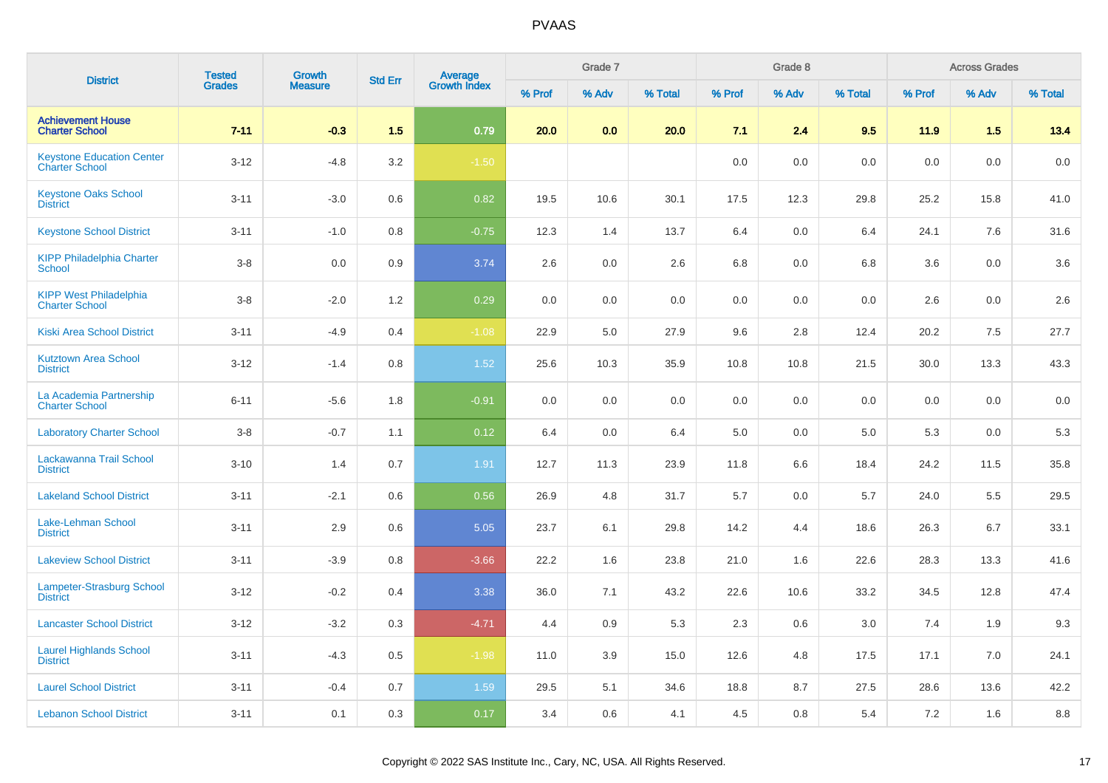| <b>District</b>                                        | <b>Tested</b> | <b>Growth</b>  | <b>Std Err</b> |                                |        | Grade 7 |         |         | Grade 8 |         |        | <b>Across Grades</b> |         |
|--------------------------------------------------------|---------------|----------------|----------------|--------------------------------|--------|---------|---------|---------|---------|---------|--------|----------------------|---------|
|                                                        | <b>Grades</b> | <b>Measure</b> |                | <b>Average</b><br>Growth Index | % Prof | % Adv   | % Total | % Prof  | % Adv   | % Total | % Prof | % Adv                | % Total |
| <b>Achievement House</b><br><b>Charter School</b>      | $7 - 11$      | $-0.3$         | 1.5            | 0.79                           | 20.0   | 0.0     | 20.0    | 7.1     | 2.4     | 9.5     | 11.9   | 1.5                  | 13.4    |
| <b>Keystone Education Center</b><br>Charter School     | $3 - 12$      | $-4.8$         | 3.2            | $-1.50$                        |        |         |         | 0.0     | 0.0     | 0.0     | 0.0    | 0.0                  | 0.0     |
| <b>Keystone Oaks School</b><br><b>District</b>         | $3 - 11$      | $-3.0$         | 0.6            | 0.82                           | 19.5   | 10.6    | 30.1    | 17.5    | 12.3    | 29.8    | 25.2   | 15.8                 | 41.0    |
| <b>Keystone School District</b>                        | $3 - 11$      | $-1.0$         | 0.8            | $-0.75$                        | 12.3   | 1.4     | 13.7    | 6.4     | 0.0     | 6.4     | 24.1   | 7.6                  | 31.6    |
| <b>KIPP Philadelphia Charter</b><br><b>School</b>      | $3-8$         | 0.0            | 0.9            | 3.74                           | 2.6    | 0.0     | 2.6     | 6.8     | 0.0     | 6.8     | 3.6    | 0.0                  | 3.6     |
| <b>KIPP West Philadelphia</b><br><b>Charter School</b> | $3-8$         | $-2.0$         | 1.2            | 0.29                           | 0.0    | 0.0     | 0.0     | $0.0\,$ | 0.0     | 0.0     | 2.6    | 0.0                  | 2.6     |
| <b>Kiski Area School District</b>                      | $3 - 11$      | $-4.9$         | 0.4            | $-1.08$                        | 22.9   | 5.0     | 27.9    | 9.6     | 2.8     | 12.4    | 20.2   | 7.5                  | 27.7    |
| <b>Kutztown Area School</b><br><b>District</b>         | $3 - 12$      | $-1.4$         | 0.8            | 1.52                           | 25.6   | 10.3    | 35.9    | 10.8    | 10.8    | 21.5    | 30.0   | 13.3                 | 43.3    |
| La Academia Partnership<br><b>Charter School</b>       | $6 - 11$      | $-5.6$         | 1.8            | $-0.91$                        | 0.0    | 0.0     | 0.0     | 0.0     | 0.0     | 0.0     | 0.0    | 0.0                  | 0.0     |
| <b>Laboratory Charter School</b>                       | $3 - 8$       | $-0.7$         | 1.1            | 0.12                           | 6.4    | 0.0     | 6.4     | 5.0     | 0.0     | 5.0     | 5.3    | 0.0                  | 5.3     |
| Lackawanna Trail School<br><b>District</b>             | $3 - 10$      | 1.4            | 0.7            | 1.91                           | 12.7   | 11.3    | 23.9    | 11.8    | 6.6     | 18.4    | 24.2   | 11.5                 | 35.8    |
| <b>Lakeland School District</b>                        | $3 - 11$      | $-2.1$         | 0.6            | 0.56                           | 26.9   | 4.8     | 31.7    | 5.7     | 0.0     | 5.7     | 24.0   | 5.5                  | 29.5    |
| Lake-Lehman School<br><b>District</b>                  | $3 - 11$      | 2.9            | 0.6            | 5.05                           | 23.7   | 6.1     | 29.8    | 14.2    | 4.4     | 18.6    | 26.3   | 6.7                  | 33.1    |
| <b>Lakeview School District</b>                        | $3 - 11$      | $-3.9$         | 0.8            | $-3.66$                        | 22.2   | 1.6     | 23.8    | 21.0    | 1.6     | 22.6    | 28.3   | 13.3                 | 41.6    |
| <b>Lampeter-Strasburg School</b><br><b>District</b>    | $3 - 12$      | $-0.2$         | 0.4            | 3.38                           | 36.0   | 7.1     | 43.2    | 22.6    | 10.6    | 33.2    | 34.5   | 12.8                 | 47.4    |
| <b>Lancaster School District</b>                       | $3 - 12$      | $-3.2$         | 0.3            | $-4.71$                        | 4.4    | 0.9     | 5.3     | 2.3     | 0.6     | 3.0     | 7.4    | 1.9                  | 9.3     |
| <b>Laurel Highlands School</b><br><b>District</b>      | $3 - 11$      | $-4.3$         | 0.5            | $-1.98$                        | 11.0   | 3.9     | 15.0    | 12.6    | 4.8     | 17.5    | 17.1   | 7.0                  | 24.1    |
| <b>Laurel School District</b>                          | $3 - 11$      | $-0.4$         | 0.7            | 1.59                           | 29.5   | 5.1     | 34.6    | 18.8    | 8.7     | 27.5    | 28.6   | 13.6                 | 42.2    |
| <b>Lebanon School District</b>                         | $3 - 11$      | 0.1            | 0.3            | 0.17                           | 3.4    | 0.6     | 4.1     | 4.5     | 0.8     | 5.4     | 7.2    | 1.6                  | 8.8     |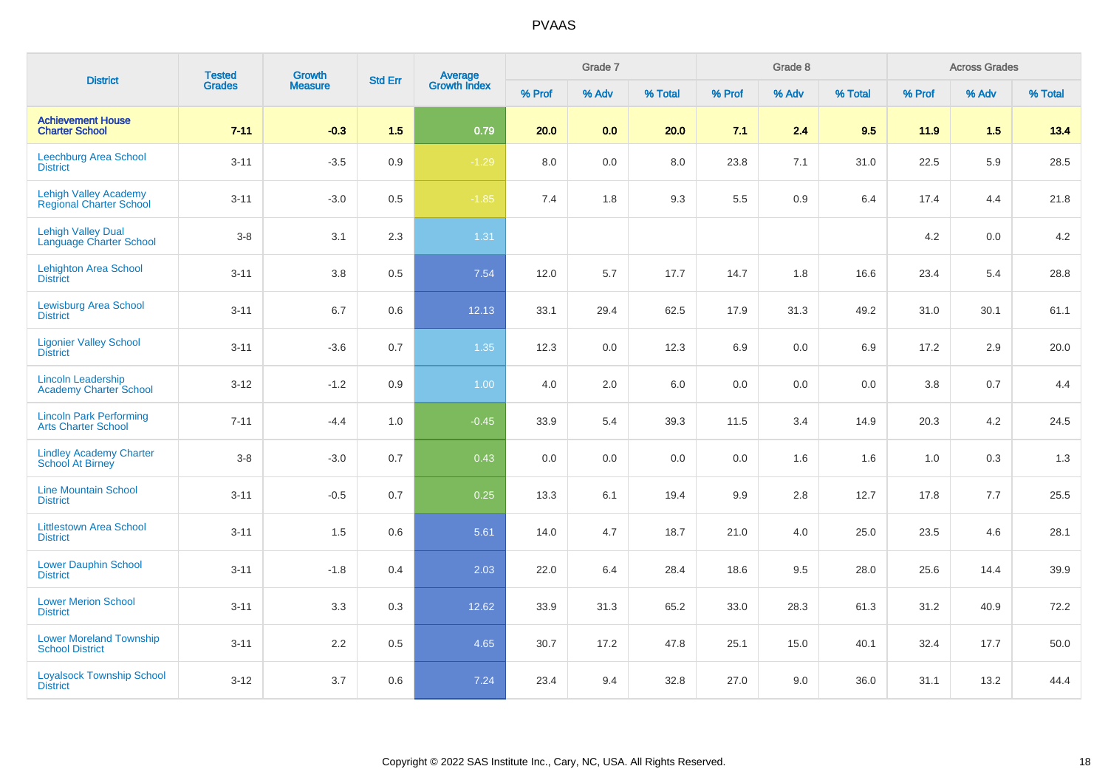| <b>District</b>                                              | <b>Tested</b> | Growth         | <b>Std Err</b> | Average<br>Growth Index |        | Grade 7 |         |        | Grade 8 |         |        | <b>Across Grades</b> |         |
|--------------------------------------------------------------|---------------|----------------|----------------|-------------------------|--------|---------|---------|--------|---------|---------|--------|----------------------|---------|
|                                                              | <b>Grades</b> | <b>Measure</b> |                |                         | % Prof | % Adv   | % Total | % Prof | % Adv   | % Total | % Prof | % Adv                | % Total |
| <b>Achievement House</b><br><b>Charter School</b>            | $7 - 11$      | $-0.3$         | 1.5            | 0.79                    | 20.0   | 0.0     | 20.0    | 7.1    | 2.4     | 9.5     | 11.9   | 1.5                  | 13.4    |
| Leechburg Area School<br><b>District</b>                     | $3 - 11$      | $-3.5$         | 0.9            | $-1.29$                 | 8.0    | 0.0     | 8.0     | 23.8   | 7.1     | 31.0    | 22.5   | 5.9                  | 28.5    |
| <b>Lehigh Valley Academy</b><br>Regional Charter School      | $3 - 11$      | $-3.0$         | 0.5            | $-1.85$                 | 7.4    | 1.8     | 9.3     | 5.5    | 0.9     | 6.4     | 17.4   | 4.4                  | 21.8    |
| <b>Lehigh Valley Dual</b><br>Language Charter School         | $3 - 8$       | 3.1            | 2.3            | 1.31                    |        |         |         |        |         |         | 4.2    | 0.0                  | 4.2     |
| <b>Lehighton Area School</b><br><b>District</b>              | $3 - 11$      | 3.8            | 0.5            | 7.54                    | 12.0   | 5.7     | 17.7    | 14.7   | 1.8     | 16.6    | 23.4   | 5.4                  | 28.8    |
| <b>Lewisburg Area School</b><br><b>District</b>              | $3 - 11$      | 6.7            | 0.6            | 12.13                   | 33.1   | 29.4    | 62.5    | 17.9   | 31.3    | 49.2    | 31.0   | 30.1                 | 61.1    |
| <b>Ligonier Valley School</b><br><b>District</b>             | $3 - 11$      | $-3.6$         | 0.7            | 1.35                    | 12.3   | 0.0     | 12.3    | 6.9    | 0.0     | 6.9     | 17.2   | 2.9                  | 20.0    |
| <b>Lincoln Leadership</b><br>Academy Charter School          | $3 - 12$      | $-1.2$         | 0.9            | 1.00                    | 4.0    | 2.0     | 6.0     | 0.0    | 0.0     | 0.0     | 3.8    | 0.7                  | 4.4     |
| <b>Lincoln Park Performing</b><br><b>Arts Charter School</b> | $7 - 11$      | $-4.4$         | 1.0            | $-0.45$                 | 33.9   | 5.4     | 39.3    | 11.5   | 3.4     | 14.9    | 20.3   | 4.2                  | 24.5    |
| <b>Lindley Academy Charter</b><br>School At Birney           | $3-8$         | $-3.0$         | 0.7            | 0.43                    | 0.0    | 0.0     | 0.0     | 0.0    | 1.6     | 1.6     | 1.0    | 0.3                  | 1.3     |
| <b>Line Mountain School</b><br><b>District</b>               | $3 - 11$      | $-0.5$         | 0.7            | 0.25                    | 13.3   | 6.1     | 19.4    | 9.9    | 2.8     | 12.7    | 17.8   | 7.7                  | 25.5    |
| <b>Littlestown Area School</b><br><b>District</b>            | $3 - 11$      | 1.5            | 0.6            | 5.61                    | 14.0   | 4.7     | 18.7    | 21.0   | 4.0     | 25.0    | 23.5   | 4.6                  | 28.1    |
| <b>Lower Dauphin School</b><br><b>District</b>               | $3 - 11$      | $-1.8$         | 0.4            | 2.03                    | 22.0   | 6.4     | 28.4    | 18.6   | 9.5     | 28.0    | 25.6   | 14.4                 | 39.9    |
| <b>Lower Merion School</b><br><b>District</b>                | $3 - 11$      | 3.3            | 0.3            | 12.62                   | 33.9   | 31.3    | 65.2    | 33.0   | 28.3    | 61.3    | 31.2   | 40.9                 | 72.2    |
| <b>Lower Moreland Township</b><br><b>School District</b>     | $3 - 11$      | 2.2            | 0.5            | 4.65                    | 30.7   | 17.2    | 47.8    | 25.1   | 15.0    | 40.1    | 32.4   | 17.7                 | 50.0    |
| <b>Loyalsock Township School</b><br><b>District</b>          | $3 - 12$      | 3.7            | 0.6            | 7.24                    | 23.4   | 9.4     | 32.8    | 27.0   | 9.0     | 36.0    | 31.1   | 13.2                 | 44.4    |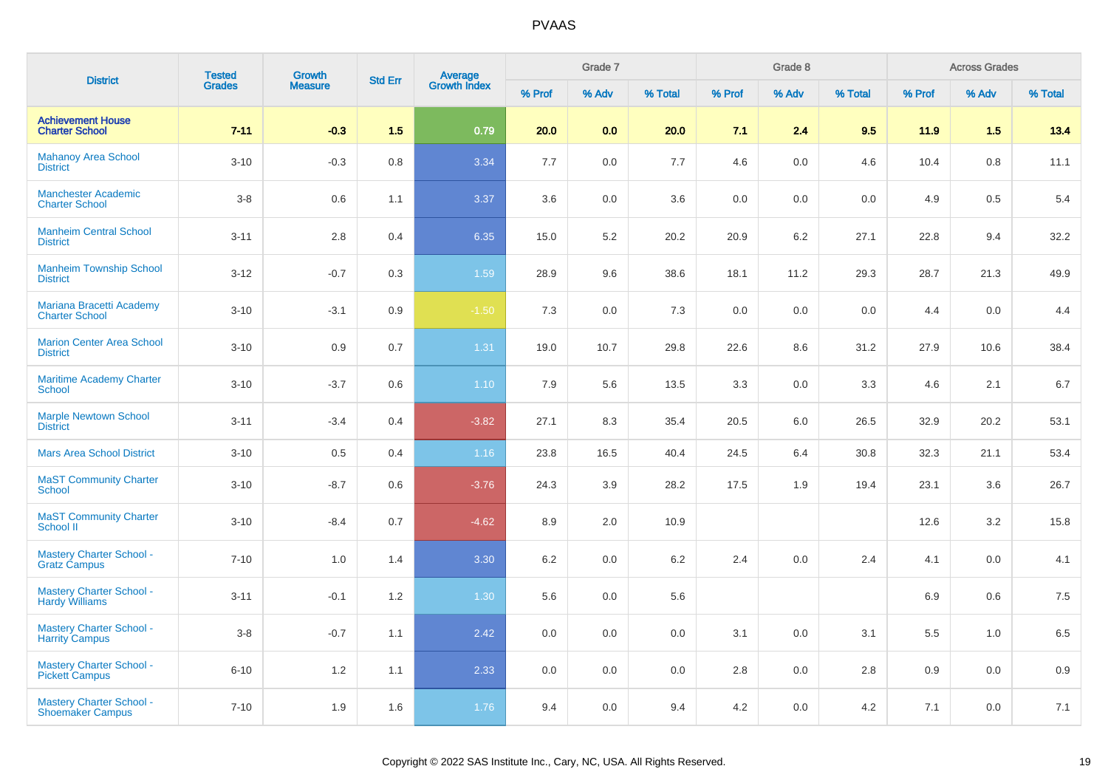| <b>District</b>                                            | <b>Tested</b> | <b>Growth</b>  | <b>Std Err</b> |                                |        | Grade 7 |         |        | Grade 8 |         |         | <b>Across Grades</b> |         |
|------------------------------------------------------------|---------------|----------------|----------------|--------------------------------|--------|---------|---------|--------|---------|---------|---------|----------------------|---------|
|                                                            | <b>Grades</b> | <b>Measure</b> |                | <b>Average</b><br>Growth Index | % Prof | % Adv   | % Total | % Prof | % Adv   | % Total | % Prof  | % Adv                | % Total |
| <b>Achievement House</b><br><b>Charter School</b>          | $7 - 11$      | $-0.3$         | 1.5            | 0.79                           | 20.0   | 0.0     | 20.0    | 7.1    | 2.4     | 9.5     | 11.9    | 1.5                  | 13.4    |
| <b>Mahanoy Area School</b><br><b>District</b>              | $3 - 10$      | $-0.3$         | 0.8            | 3.34                           | 7.7    | 0.0     | 7.7     | 4.6    | 0.0     | 4.6     | 10.4    | 0.8                  | 11.1    |
| <b>Manchester Academic</b><br><b>Charter School</b>        | $3-8$         | 0.6            | 1.1            | 3.37                           | 3.6    | 0.0     | 3.6     | 0.0    | 0.0     | 0.0     | 4.9     | 0.5                  | 5.4     |
| <b>Manheim Central School</b><br><b>District</b>           | $3 - 11$      | 2.8            | 0.4            | 6.35                           | 15.0   | 5.2     | 20.2    | 20.9   | 6.2     | 27.1    | 22.8    | 9.4                  | 32.2    |
| <b>Manheim Township School</b><br><b>District</b>          | $3 - 12$      | $-0.7$         | 0.3            | 1.59                           | 28.9   | 9.6     | 38.6    | 18.1   | 11.2    | 29.3    | 28.7    | 21.3                 | 49.9    |
| Mariana Bracetti Academy<br><b>Charter School</b>          | $3 - 10$      | $-3.1$         | 0.9            | $-1.50$                        | 7.3    | 0.0     | 7.3     | 0.0    | 0.0     | 0.0     | 4.4     | 0.0                  | 4.4     |
| <b>Marion Center Area School</b><br><b>District</b>        | $3 - 10$      | 0.9            | 0.7            | 1.31                           | 19.0   | 10.7    | 29.8    | 22.6   | 8.6     | 31.2    | 27.9    | 10.6                 | 38.4    |
| <b>Maritime Academy Charter</b><br><b>School</b>           | $3 - 10$      | $-3.7$         | 0.6            | 1.10                           | 7.9    | 5.6     | 13.5    | 3.3    | 0.0     | 3.3     | 4.6     | 2.1                  | $6.7\,$ |
| <b>Marple Newtown School</b><br><b>District</b>            | $3 - 11$      | $-3.4$         | 0.4            | $-3.82$                        | 27.1   | 8.3     | 35.4    | 20.5   | 6.0     | 26.5    | 32.9    | 20.2                 | 53.1    |
| <b>Mars Area School District</b>                           | $3 - 10$      | 0.5            | 0.4            | 1.16                           | 23.8   | 16.5    | 40.4    | 24.5   | 6.4     | 30.8    | 32.3    | 21.1                 | 53.4    |
| <b>MaST Community Charter</b><br><b>School</b>             | $3 - 10$      | $-8.7$         | 0.6            | $-3.76$                        | 24.3   | 3.9     | 28.2    | 17.5   | 1.9     | 19.4    | 23.1    | 3.6                  | 26.7    |
| <b>MaST Community Charter</b><br><b>School II</b>          | $3 - 10$      | $-8.4$         | 0.7            | $-4.62$                        | 8.9    | 2.0     | 10.9    |        |         |         | 12.6    | 3.2                  | 15.8    |
| <b>Mastery Charter School -</b><br><b>Gratz Campus</b>     | $7 - 10$      | 1.0            | 1.4            | 3.30                           | 6.2    | $0.0\,$ | 6.2     | 2.4    | 0.0     | 2.4     | 4.1     | $0.0\,$              | 4.1     |
| <b>Mastery Charter School -</b><br><b>Hardy Williams</b>   | $3 - 11$      | $-0.1$         | 1.2            | 1.30                           | 5.6    | 0.0     | 5.6     |        |         |         | $6.9\,$ | 0.6                  | 7.5     |
| <b>Mastery Charter School -</b><br><b>Harrity Campus</b>   | $3-8$         | $-0.7$         | 1.1            | 2.42                           | 0.0    | 0.0     | 0.0     | 3.1    | 0.0     | 3.1     | 5.5     | 1.0                  | 6.5     |
| <b>Mastery Charter School -</b><br><b>Pickett Campus</b>   | $6 - 10$      | 1.2            | 1.1            | 2.33                           | 0.0    | 0.0     | 0.0     | 2.8    | 0.0     | 2.8     | 0.9     | 0.0                  | 0.9     |
| <b>Mastery Charter School -</b><br><b>Shoemaker Campus</b> | $7 - 10$      | 1.9            | 1.6            | 1.76                           | 9.4    | 0.0     | 9.4     | 4.2    | 0.0     | 4.2     | 7.1     | 0.0                  | 7.1     |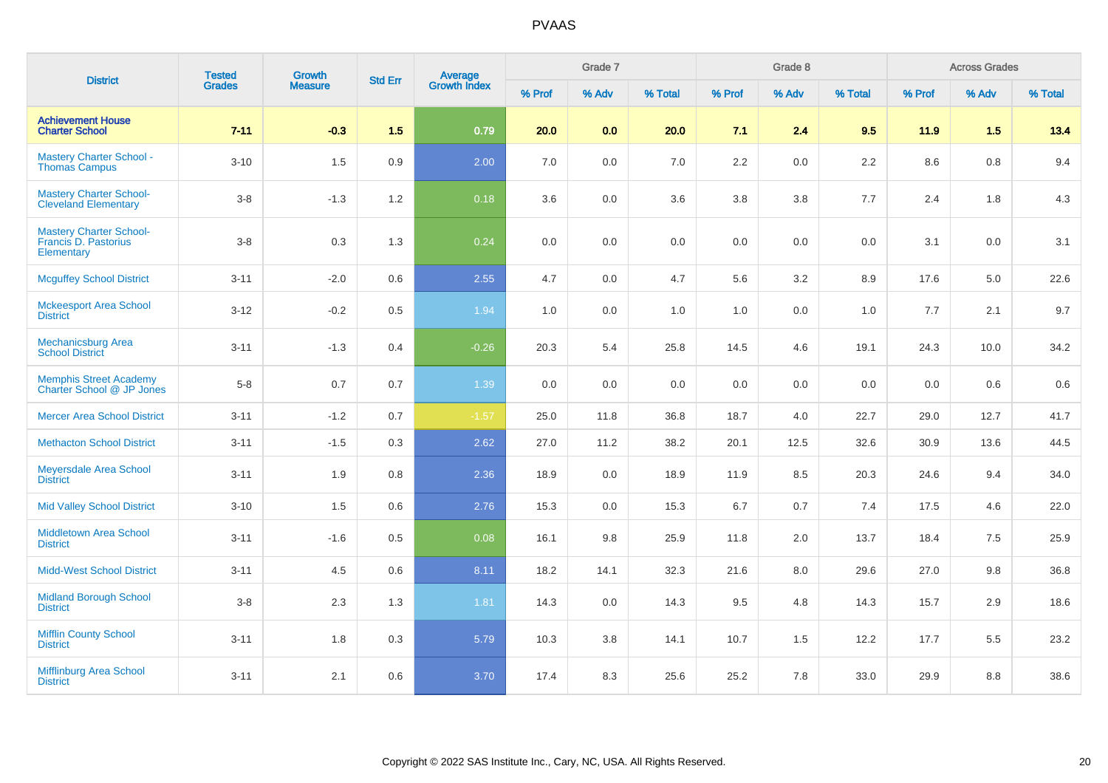| <b>District</b>                                                             | <b>Tested</b> | <b>Growth</b>  | <b>Std Err</b> |                         |        | Grade 7 |         |        | Grade 8 |         |         | <b>Across Grades</b> |         |
|-----------------------------------------------------------------------------|---------------|----------------|----------------|-------------------------|--------|---------|---------|--------|---------|---------|---------|----------------------|---------|
|                                                                             | <b>Grades</b> | <b>Measure</b> |                | Average<br>Growth Index | % Prof | % Adv   | % Total | % Prof | % Adv   | % Total | % Prof  | % Adv                | % Total |
| <b>Achievement House</b><br><b>Charter School</b>                           | $7 - 11$      | $-0.3$         | 1.5            | 0.79                    | 20.0   | 0.0     | 20.0    | 7.1    | 2.4     | 9.5     | 11.9    | 1.5                  | 13.4    |
| <b>Mastery Charter School -</b><br><b>Thomas Campus</b>                     | $3 - 10$      | 1.5            | 0.9            | 2.00                    | 7.0    | 0.0     | 7.0     | 2.2    | 0.0     | 2.2     | $8.6\,$ | $0.8\,$              | 9.4     |
| <b>Mastery Charter School-</b><br><b>Cleveland Elementary</b>               | $3-8$         | $-1.3$         | 1.2            | 0.18                    | 3.6    | 0.0     | 3.6     | 3.8    | 3.8     | 7.7     | 2.4     | 1.8                  | 4.3     |
| <b>Mastery Charter School-</b><br><b>Francis D. Pastorius</b><br>Elementary | $3-8$         | 0.3            | 1.3            | 0.24                    | 0.0    | 0.0     | 0.0     | 0.0    | 0.0     | 0.0     | 3.1     | 0.0                  | 3.1     |
| <b>Mcguffey School District</b>                                             | $3 - 11$      | $-2.0$         | 0.6            | 2.55                    | 4.7    | 0.0     | 4.7     | 5.6    | 3.2     | 8.9     | 17.6    | 5.0                  | 22.6    |
| <b>Mckeesport Area School</b><br><b>District</b>                            | $3 - 12$      | $-0.2$         | 0.5            | 1.94                    | 1.0    | 0.0     | 1.0     | 1.0    | 0.0     | 1.0     | 7.7     | 2.1                  | 9.7     |
| <b>Mechanicsburg Area</b><br><b>School District</b>                         | $3 - 11$      | $-1.3$         | 0.4            | $-0.26$                 | 20.3   | 5.4     | 25.8    | 14.5   | 4.6     | 19.1    | 24.3    | 10.0                 | 34.2    |
| Memphis Street Academy<br>Charter School @ JP Jones                         | $5 - 8$       | 0.7            | 0.7            | 1.39                    | 0.0    | $0.0\,$ | 0.0     | 0.0    | 0.0     | 0.0     | $0.0\,$ | 0.6                  | $0.6\,$ |
| <b>Mercer Area School District</b>                                          | $3 - 11$      | $-1.2$         | 0.7            | $-1.57$                 | 25.0   | 11.8    | 36.8    | 18.7   | 4.0     | 22.7    | 29.0    | 12.7                 | 41.7    |
| <b>Methacton School District</b>                                            | $3 - 11$      | $-1.5$         | 0.3            | 2.62                    | 27.0   | 11.2    | 38.2    | 20.1   | 12.5    | 32.6    | 30.9    | 13.6                 | 44.5    |
| Meyersdale Area School<br><b>District</b>                                   | $3 - 11$      | 1.9            | 0.8            | 2.36                    | 18.9   | 0.0     | 18.9    | 11.9   | 8.5     | 20.3    | 24.6    | 9.4                  | 34.0    |
| <b>Mid Valley School District</b>                                           | $3 - 10$      | $1.5$          | 0.6            | 2.76                    | 15.3   | 0.0     | 15.3    | 6.7    | 0.7     | 7.4     | 17.5    | 4.6                  | 22.0    |
| <b>Middletown Area School</b><br><b>District</b>                            | $3 - 11$      | $-1.6$         | 0.5            | 0.08                    | 16.1   | 9.8     | 25.9    | 11.8   | 2.0     | 13.7    | 18.4    | 7.5                  | 25.9    |
| <b>Midd-West School District</b>                                            | $3 - 11$      | 4.5            | 0.6            | 8.11                    | 18.2   | 14.1    | 32.3    | 21.6   | 8.0     | 29.6    | 27.0    | 9.8                  | 36.8    |
| <b>Midland Borough School</b><br><b>District</b>                            | $3-8$         | 2.3            | 1.3            | 1.81                    | 14.3   | 0.0     | 14.3    | 9.5    | 4.8     | 14.3    | 15.7    | 2.9                  | 18.6    |
| <b>Mifflin County School</b><br><b>District</b>                             | $3 - 11$      | 1.8            | 0.3            | 5.79                    | 10.3   | 3.8     | 14.1    | 10.7   | 1.5     | 12.2    | 17.7    | 5.5                  | 23.2    |
| Mifflinburg Area School<br><b>District</b>                                  | $3 - 11$      | 2.1            | 0.6            | 3.70                    | 17.4   | 8.3     | 25.6    | 25.2   | 7.8     | 33.0    | 29.9    | 8.8                  | 38.6    |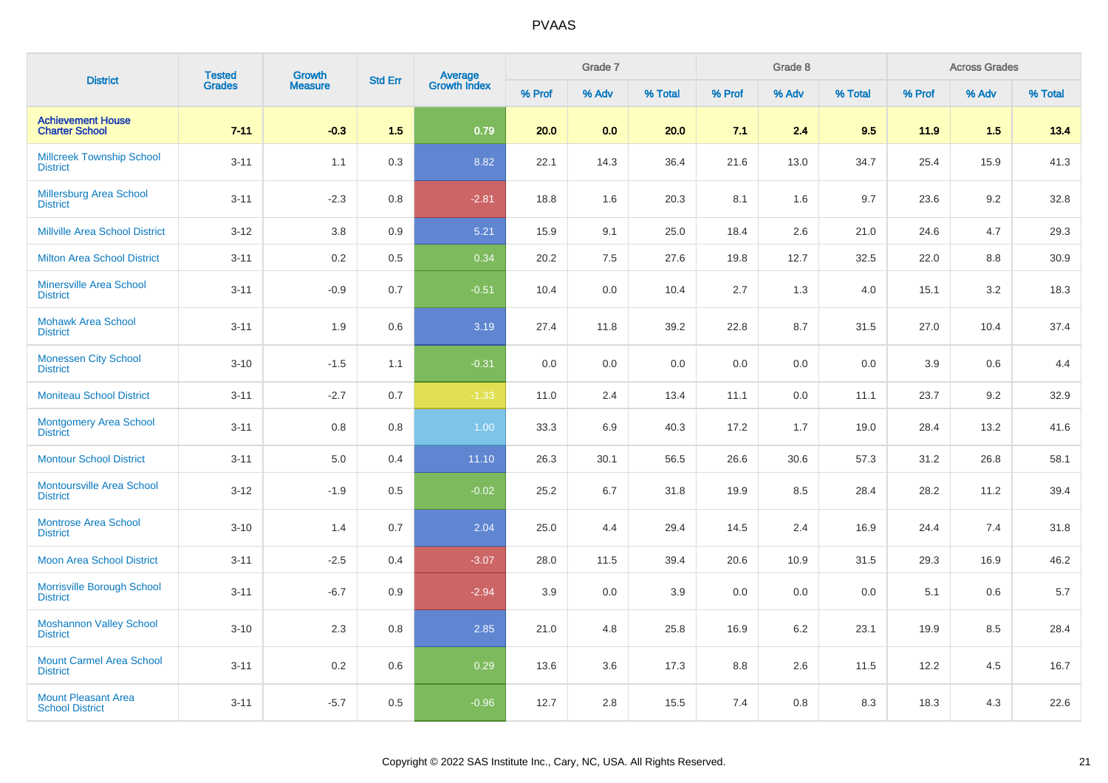| <b>District</b>                                      | <b>Tested</b> | <b>Growth</b>  | <b>Std Err</b> | <b>Average</b><br>Growth Index |        | Grade 7 |         |        | Grade 8 |         |        | <b>Across Grades</b> |         |
|------------------------------------------------------|---------------|----------------|----------------|--------------------------------|--------|---------|---------|--------|---------|---------|--------|----------------------|---------|
|                                                      | <b>Grades</b> | <b>Measure</b> |                |                                | % Prof | % Adv   | % Total | % Prof | % Adv   | % Total | % Prof | % Adv                | % Total |
| <b>Achievement House</b><br><b>Charter School</b>    | $7 - 11$      | $-0.3$         | 1.5            | 0.79                           | 20.0   | 0.0     | 20.0    | 7.1    | 2.4     | 9.5     | 11.9   | 1.5                  | 13.4    |
| <b>Millcreek Township School</b><br><b>District</b>  | $3 - 11$      | 1.1            | 0.3            | 8.82                           | 22.1   | 14.3    | 36.4    | 21.6   | 13.0    | 34.7    | 25.4   | 15.9                 | 41.3    |
| Millersburg Area School<br><b>District</b>           | $3 - 11$      | $-2.3$         | 0.8            | $-2.81$                        | 18.8   | 1.6     | 20.3    | 8.1    | 1.6     | 9.7     | 23.6   | 9.2                  | 32.8    |
| <b>Millville Area School District</b>                | $3 - 12$      | 3.8            | 0.9            | 5.21                           | 15.9   | 9.1     | 25.0    | 18.4   | 2.6     | 21.0    | 24.6   | 4.7                  | 29.3    |
| <b>Milton Area School District</b>                   | $3 - 11$      | 0.2            | 0.5            | 0.34                           | 20.2   | 7.5     | 27.6    | 19.8   | 12.7    | 32.5    | 22.0   | 8.8                  | 30.9    |
| <b>Minersville Area School</b><br><b>District</b>    | $3 - 11$      | $-0.9$         | 0.7            | $-0.51$                        | 10.4   | 0.0     | 10.4    | 2.7    | 1.3     | 4.0     | 15.1   | 3.2                  | 18.3    |
| <b>Mohawk Area School</b><br><b>District</b>         | $3 - 11$      | 1.9            | 0.6            | 3.19                           | 27.4   | 11.8    | 39.2    | 22.8   | 8.7     | 31.5    | 27.0   | 10.4                 | 37.4    |
| <b>Monessen City School</b><br><b>District</b>       | $3 - 10$      | $-1.5$         | 1.1            | $-0.31$                        | 0.0    | 0.0     | 0.0     | 0.0    | 0.0     | 0.0     | 3.9    | 0.6                  | 4.4     |
| <b>Moniteau School District</b>                      | $3 - 11$      | $-2.7$         | 0.7            | $-1.33$                        | 11.0   | 2.4     | 13.4    | 11.1   | 0.0     | 11.1    | 23.7   | 9.2                  | 32.9    |
| <b>Montgomery Area School</b><br><b>District</b>     | $3 - 11$      | 0.8            | 0.8            | 1.00                           | 33.3   | 6.9     | 40.3    | 17.2   | 1.7     | 19.0    | 28.4   | 13.2                 | 41.6    |
| <b>Montour School District</b>                       | $3 - 11$      | 5.0            | 0.4            | 11.10                          | 26.3   | 30.1    | 56.5    | 26.6   | 30.6    | 57.3    | 31.2   | 26.8                 | 58.1    |
| <b>Montoursville Area School</b><br><b>District</b>  | $3 - 12$      | $-1.9$         | 0.5            | $-0.02$                        | 25.2   | 6.7     | 31.8    | 19.9   | 8.5     | 28.4    | 28.2   | 11.2                 | 39.4    |
| <b>Montrose Area School</b><br><b>District</b>       | $3 - 10$      | 1.4            | 0.7            | 2.04                           | 25.0   | 4.4     | 29.4    | 14.5   | 2.4     | 16.9    | 24.4   | 7.4                  | 31.8    |
| <b>Moon Area School District</b>                     | $3 - 11$      | $-2.5$         | 0.4            | $-3.07$                        | 28.0   | 11.5    | 39.4    | 20.6   | 10.9    | 31.5    | 29.3   | 16.9                 | 46.2    |
| Morrisville Borough School<br><b>District</b>        | $3 - 11$      | $-6.7$         | 0.9            | $-2.94$                        | 3.9    | 0.0     | 3.9     | 0.0    | 0.0     | 0.0     | 5.1    | 0.6                  | 5.7     |
| <b>Moshannon Valley School</b><br><b>District</b>    | $3 - 10$      | 2.3            | 0.8            | 2.85                           | 21.0   | 4.8     | 25.8    | 16.9   | 6.2     | 23.1    | 19.9   | 8.5                  | 28.4    |
| <b>Mount Carmel Area School</b><br><b>District</b>   | $3 - 11$      | 0.2            | 0.6            | 0.29                           | 13.6   | 3.6     | 17.3    | 8.8    | 2.6     | 11.5    | 12.2   | 4.5                  | 16.7    |
| <b>Mount Pleasant Area</b><br><b>School District</b> | $3 - 11$      | $-5.7$         | 0.5            | $-0.96$                        | 12.7   | 2.8     | 15.5    | 7.4    | 0.8     | 8.3     | 18.3   | 4.3                  | 22.6    |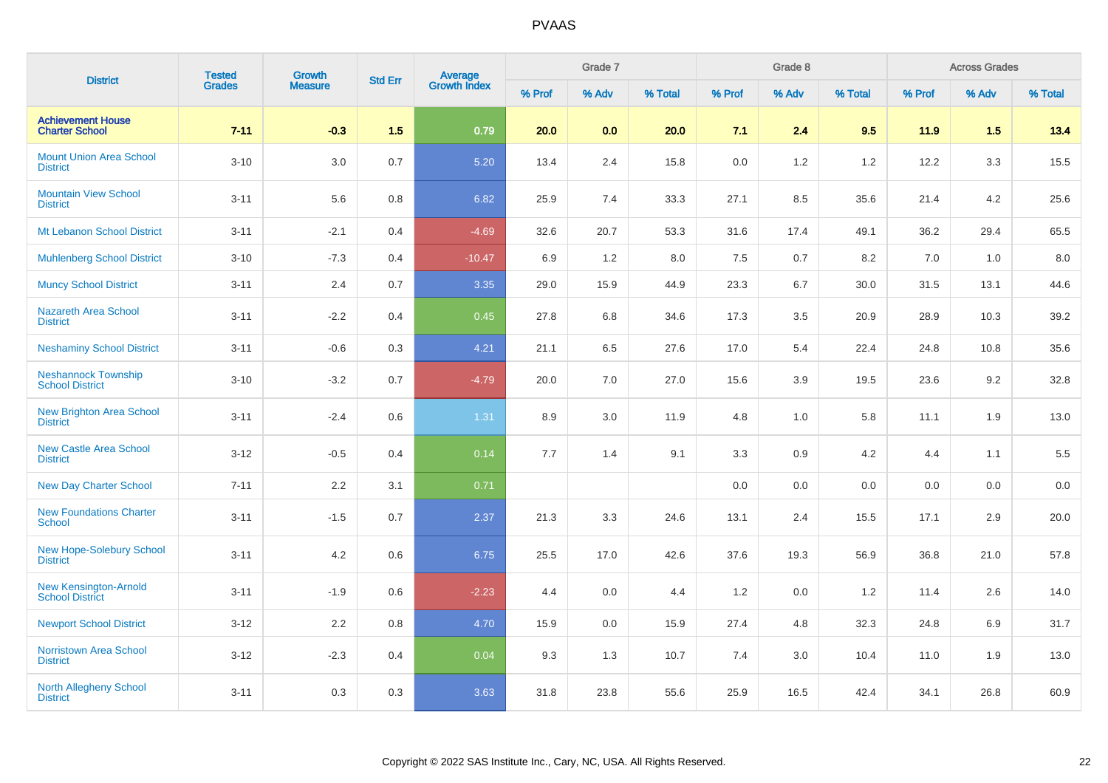| <b>District</b>                                        | <b>Tested</b> | Growth         | <b>Std Err</b> |                                |        | Grade 7 |         |        | Grade 8 |         |        | <b>Across Grades</b> |         |
|--------------------------------------------------------|---------------|----------------|----------------|--------------------------------|--------|---------|---------|--------|---------|---------|--------|----------------------|---------|
|                                                        | <b>Grades</b> | <b>Measure</b> |                | <b>Average</b><br>Growth Index | % Prof | % Adv   | % Total | % Prof | % Adv   | % Total | % Prof | % Adv                | % Total |
| <b>Achievement House</b><br><b>Charter School</b>      | $7 - 11$      | $-0.3$         | 1.5            | 0.79                           | 20.0   | 0.0     | 20.0    | 7.1    | 2.4     | 9.5     | 11.9   | 1.5                  | 13.4    |
| <b>Mount Union Area School</b><br><b>District</b>      | $3 - 10$      | 3.0            | 0.7            | 5.20                           | 13.4   | 2.4     | 15.8    | 0.0    | 1.2     | 1.2     | 12.2   | 3.3                  | 15.5    |
| <b>Mountain View School</b><br><b>District</b>         | $3 - 11$      | 5.6            | $0.8\,$        | 6.82                           | 25.9   | 7.4     | 33.3    | 27.1   | 8.5     | 35.6    | 21.4   | 4.2                  | 25.6    |
| Mt Lebanon School District                             | $3 - 11$      | $-2.1$         | 0.4            | $-4.69$                        | 32.6   | 20.7    | 53.3    | 31.6   | 17.4    | 49.1    | 36.2   | 29.4                 | 65.5    |
| <b>Muhlenberg School District</b>                      | $3 - 10$      | $-7.3$         | 0.4            | $-10.47$                       | 6.9    | 1.2     | 8.0     | 7.5    | 0.7     | 8.2     | 7.0    | 1.0                  | 8.0     |
| <b>Muncy School District</b>                           | $3 - 11$      | 2.4            | 0.7            | 3.35                           | 29.0   | 15.9    | 44.9    | 23.3   | 6.7     | 30.0    | 31.5   | 13.1                 | 44.6    |
| Nazareth Area School<br><b>District</b>                | $3 - 11$      | $-2.2$         | 0.4            | 0.45                           | 27.8   | 6.8     | 34.6    | 17.3   | 3.5     | 20.9    | 28.9   | 10.3                 | 39.2    |
| <b>Neshaminy School District</b>                       | $3 - 11$      | $-0.6$         | 0.3            | 4.21                           | 21.1   | 6.5     | 27.6    | 17.0   | 5.4     | 22.4    | 24.8   | 10.8                 | 35.6    |
| <b>Neshannock Township</b><br><b>School District</b>   | $3 - 10$      | $-3.2$         | 0.7            | $-4.79$                        | 20.0   | 7.0     | 27.0    | 15.6   | 3.9     | 19.5    | 23.6   | 9.2                  | 32.8    |
| <b>New Brighton Area School</b><br><b>District</b>     | $3 - 11$      | $-2.4$         | 0.6            | 1.31                           | 8.9    | 3.0     | 11.9    | 4.8    | 1.0     | 5.8     | 11.1   | 1.9                  | 13.0    |
| <b>New Castle Area School</b><br><b>District</b>       | $3 - 12$      | $-0.5$         | 0.4            | 0.14                           | 7.7    | 1.4     | 9.1     | 3.3    | 0.9     | 4.2     | 4.4    | 1.1                  | 5.5     |
| <b>New Day Charter School</b>                          | $7 - 11$      | 2.2            | 3.1            | 0.71                           |        |         |         | 0.0    | 0.0     | 0.0     | 0.0    | 0.0                  | 0.0     |
| <b>New Foundations Charter</b><br><b>School</b>        | $3 - 11$      | $-1.5$         | 0.7            | 2.37                           | 21.3   | 3.3     | 24.6    | 13.1   | 2.4     | 15.5    | 17.1   | 2.9                  | 20.0    |
| <b>New Hope-Solebury School</b><br><b>District</b>     | $3 - 11$      | 4.2            | 0.6            | 6.75                           | 25.5   | 17.0    | 42.6    | 37.6   | 19.3    | 56.9    | 36.8   | 21.0                 | 57.8    |
| <b>New Kensington-Arnold</b><br><b>School District</b> | $3 - 11$      | $-1.9$         | 0.6            | $-2.23$                        | 4.4    | 0.0     | 4.4     | $1.2$  | 0.0     | 1.2     | 11.4   | 2.6                  | 14.0    |
| <b>Newport School District</b>                         | $3 - 12$      | 2.2            | 0.8            | 4.70                           | 15.9   | 0.0     | 15.9    | 27.4   | 4.8     | 32.3    | 24.8   | 6.9                  | 31.7    |
| <b>Norristown Area School</b><br><b>District</b>       | $3 - 12$      | $-2.3$         | 0.4            | 0.04                           | 9.3    | 1.3     | 10.7    | 7.4    | 3.0     | 10.4    | 11.0   | 1.9                  | 13.0    |
| North Allegheny School<br><b>District</b>              | $3 - 11$      | 0.3            | 0.3            | 3.63                           | 31.8   | 23.8    | 55.6    | 25.9   | 16.5    | 42.4    | 34.1   | 26.8                 | 60.9    |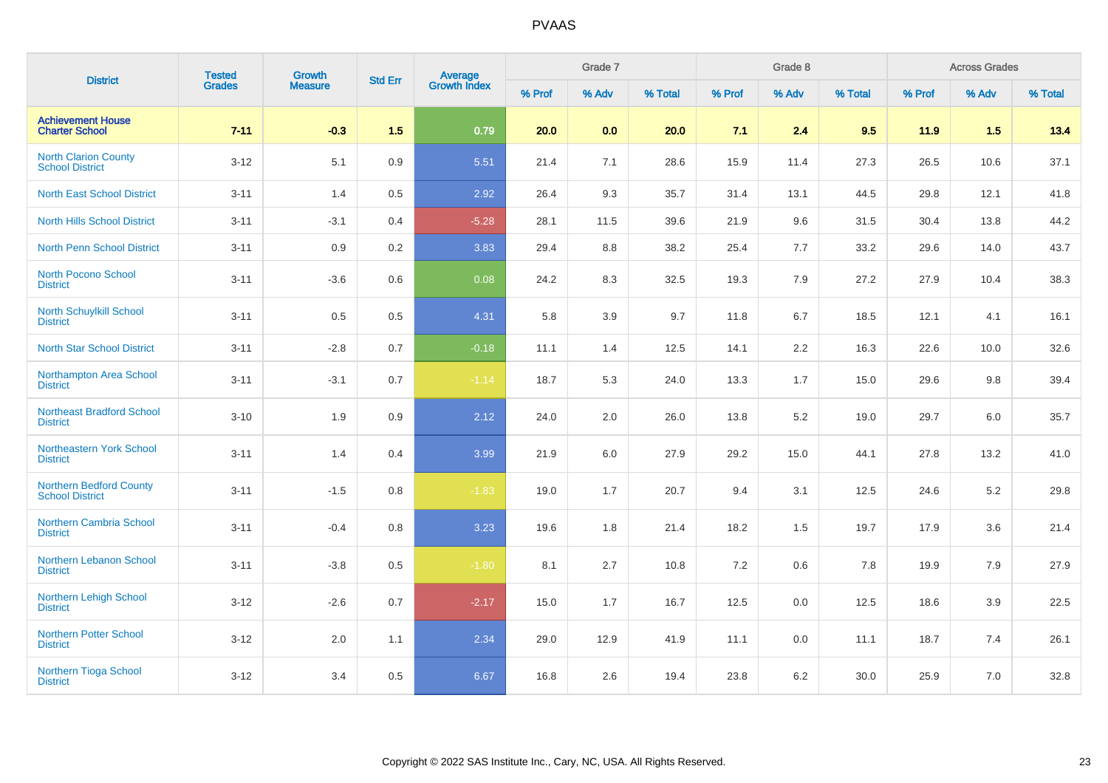| <b>District</b>                                          | <b>Tested</b> | Growth         | <b>Std Err</b> |                                |        | Grade 7 |         |        | Grade 8 |         |        | <b>Across Grades</b> |         |
|----------------------------------------------------------|---------------|----------------|----------------|--------------------------------|--------|---------|---------|--------|---------|---------|--------|----------------------|---------|
|                                                          | <b>Grades</b> | <b>Measure</b> |                | <b>Average</b><br>Growth Index | % Prof | % Adv   | % Total | % Prof | % Adv   | % Total | % Prof | % Adv                | % Total |
| <b>Achievement House</b><br><b>Charter School</b>        | $7 - 11$      | $-0.3$         | 1.5            | 0.79                           | 20.0   | 0.0     | 20.0    | 7.1    | 2.4     | 9.5     | 11.9   | 1.5                  | 13.4    |
| <b>North Clarion County</b><br><b>School District</b>    | $3 - 12$      | 5.1            | 0.9            | 5.51                           | 21.4   | 7.1     | 28.6    | 15.9   | 11.4    | 27.3    | 26.5   | 10.6                 | 37.1    |
| <b>North East School District</b>                        | $3 - 11$      | 1.4            | 0.5            | 2.92                           | 26.4   | 9.3     | 35.7    | 31.4   | 13.1    | 44.5    | 29.8   | 12.1                 | 41.8    |
| <b>North Hills School District</b>                       | $3 - 11$      | $-3.1$         | 0.4            | $-5.28$                        | 28.1   | 11.5    | 39.6    | 21.9   | 9.6     | 31.5    | 30.4   | 13.8                 | 44.2    |
| <b>North Penn School District</b>                        | $3 - 11$      | 0.9            | 0.2            | 3.83                           | 29.4   | 8.8     | 38.2    | 25.4   | 7.7     | 33.2    | 29.6   | 14.0                 | 43.7    |
| <b>North Pocono School</b><br><b>District</b>            | $3 - 11$      | $-3.6$         | 0.6            | 0.08                           | 24.2   | 8.3     | 32.5    | 19.3   | 7.9     | 27.2    | 27.9   | 10.4                 | 38.3    |
| North Schuylkill School<br><b>District</b>               | $3 - 11$      | 0.5            | 0.5            | 4.31                           | 5.8    | 3.9     | 9.7     | 11.8   | 6.7     | 18.5    | 12.1   | 4.1                  | 16.1    |
| <b>North Star School District</b>                        | $3 - 11$      | $-2.8$         | 0.7            | $-0.18$                        | 11.1   | 1.4     | 12.5    | 14.1   | 2.2     | 16.3    | 22.6   | 10.0                 | 32.6    |
| Northampton Area School<br><b>District</b>               | $3 - 11$      | $-3.1$         | 0.7            | $-1.14$                        | 18.7   | 5.3     | 24.0    | 13.3   | 1.7     | 15.0    | 29.6   | 9.8                  | 39.4    |
| <b>Northeast Bradford School</b><br><b>District</b>      | $3 - 10$      | 1.9            | 0.9            | 2.12                           | 24.0   | 2.0     | 26.0    | 13.8   | 5.2     | 19.0    | 29.7   | 6.0                  | 35.7    |
| Northeastern York School<br><b>District</b>              | $3 - 11$      | 1.4            | 0.4            | 3.99                           | 21.9   | 6.0     | 27.9    | 29.2   | 15.0    | 44.1    | 27.8   | 13.2                 | 41.0    |
| <b>Northern Bedford County</b><br><b>School District</b> | $3 - 11$      | $-1.5$         | 0.8            | $-1.83$                        | 19.0   | 1.7     | 20.7    | 9.4    | 3.1     | 12.5    | 24.6   | 5.2                  | 29.8    |
| <b>Northern Cambria School</b><br><b>District</b>        | $3 - 11$      | $-0.4$         | 0.8            | 3.23                           | 19.6   | 1.8     | 21.4    | 18.2   | 1.5     | 19.7    | 17.9   | 3.6                  | 21.4    |
| Northern Lebanon School<br><b>District</b>               | $3 - 11$      | $-3.8$         | 0.5            | $-1.80$                        | 8.1    | 2.7     | 10.8    | 7.2    | 0.6     | 7.8     | 19.9   | 7.9                  | 27.9    |
| <b>Northern Lehigh School</b><br><b>District</b>         | $3-12$        | $-2.6$         | 0.7            | $-2.17$                        | 15.0   | 1.7     | 16.7    | 12.5   | 0.0     | 12.5    | 18.6   | 3.9                  | 22.5    |
| <b>Northern Potter School</b><br><b>District</b>         | $3 - 12$      | 2.0            | 1.1            | 2.34                           | 29.0   | 12.9    | 41.9    | 11.1   | 0.0     | 11.1    | 18.7   | 7.4                  | 26.1    |
| <b>Northern Tioga School</b><br><b>District</b>          | $3 - 12$      | 3.4            | 0.5            | 6.67                           | 16.8   | 2.6     | 19.4    | 23.8   | 6.2     | 30.0    | 25.9   | 7.0                  | 32.8    |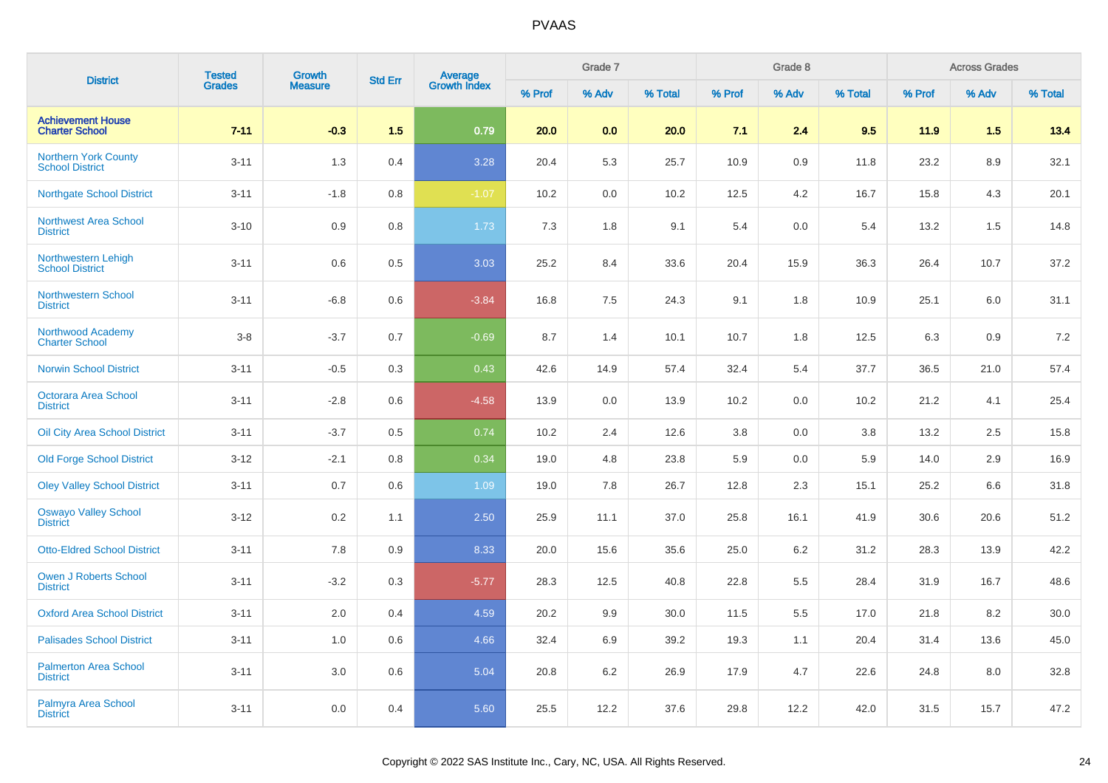| <b>District</b>                                       | <b>Tested</b> | <b>Growth</b>  | <b>Std Err</b> |                                |        | Grade 7 |         |        | Grade 8 |         |        | <b>Across Grades</b> |         |
|-------------------------------------------------------|---------------|----------------|----------------|--------------------------------|--------|---------|---------|--------|---------|---------|--------|----------------------|---------|
|                                                       | <b>Grades</b> | <b>Measure</b> |                | <b>Average</b><br>Growth Index | % Prof | % Adv   | % Total | % Prof | % Adv   | % Total | % Prof | % Adv                | % Total |
| <b>Achievement House</b><br><b>Charter School</b>     | $7 - 11$      | $-0.3$         | 1.5            | 0.79                           | 20.0   | 0.0     | 20.0    | 7.1    | 2.4     | 9.5     | 11.9   | 1.5                  | 13.4    |
| <b>Northern York County</b><br><b>School District</b> | $3 - 11$      | 1.3            | 0.4            | 3.28                           | 20.4   | 5.3     | 25.7    | 10.9   | 0.9     | 11.8    | 23.2   | 8.9                  | 32.1    |
| <b>Northgate School District</b>                      | $3 - 11$      | $-1.8$         | 0.8            | $-1.07$                        | 10.2   | 0.0     | 10.2    | 12.5   | 4.2     | 16.7    | 15.8   | 4.3                  | 20.1    |
| Northwest Area School<br><b>District</b>              | $3 - 10$      | 0.9            | 0.8            | 1.73                           | 7.3    | 1.8     | 9.1     | 5.4    | 0.0     | 5.4     | 13.2   | 1.5                  | 14.8    |
| Northwestern Lehigh<br><b>School District</b>         | $3 - 11$      | 0.6            | 0.5            | 3.03                           | 25.2   | 8.4     | 33.6    | 20.4   | 15.9    | 36.3    | 26.4   | 10.7                 | 37.2    |
| <b>Northwestern School</b><br><b>District</b>         | $3 - 11$      | $-6.8$         | 0.6            | $-3.84$                        | 16.8   | 7.5     | 24.3    | 9.1    | 1.8     | 10.9    | 25.1   | 6.0                  | 31.1    |
| <b>Northwood Academy</b><br><b>Charter School</b>     | $3-8$         | $-3.7$         | 0.7            | $-0.69$                        | 8.7    | 1.4     | 10.1    | 10.7   | 1.8     | 12.5    | 6.3    | 0.9                  | $7.2\,$ |
| <b>Norwin School District</b>                         | $3 - 11$      | $-0.5$         | 0.3            | 0.43                           | 42.6   | 14.9    | 57.4    | 32.4   | 5.4     | 37.7    | 36.5   | 21.0                 | 57.4    |
| <b>Octorara Area School</b><br><b>District</b>        | $3 - 11$      | $-2.8$         | 0.6            | $-4.58$                        | 13.9   | 0.0     | 13.9    | 10.2   | 0.0     | 10.2    | 21.2   | 4.1                  | 25.4    |
| Oil City Area School District                         | $3 - 11$      | $-3.7$         | 0.5            | 0.74                           | 10.2   | 2.4     | 12.6    | 3.8    | 0.0     | 3.8     | 13.2   | 2.5                  | 15.8    |
| <b>Old Forge School District</b>                      | $3 - 12$      | $-2.1$         | 0.8            | 0.34                           | 19.0   | 4.8     | 23.8    | 5.9    | 0.0     | 5.9     | 14.0   | 2.9                  | 16.9    |
| <b>Oley Valley School District</b>                    | $3 - 11$      | 0.7            | 0.6            | 1.09                           | 19.0   | 7.8     | 26.7    | 12.8   | 2.3     | 15.1    | 25.2   | 6.6                  | 31.8    |
| <b>Oswayo Valley School</b><br><b>District</b>        | $3 - 12$      | $0.2\,$        | 1.1            | 2.50                           | 25.9   | 11.1    | 37.0    | 25.8   | 16.1    | 41.9    | 30.6   | 20.6                 | 51.2    |
| <b>Otto-Eldred School District</b>                    | $3 - 11$      | 7.8            | 0.9            | 8.33                           | 20.0   | 15.6    | 35.6    | 25.0   | $6.2\,$ | 31.2    | 28.3   | 13.9                 | 42.2    |
| <b>Owen J Roberts School</b><br><b>District</b>       | $3 - 11$      | $-3.2$         | 0.3            | $-5.77$                        | 28.3   | 12.5    | 40.8    | 22.8   | 5.5     | 28.4    | 31.9   | 16.7                 | 48.6    |
| <b>Oxford Area School District</b>                    | $3 - 11$      | 2.0            | 0.4            | 4.59                           | 20.2   | 9.9     | 30.0    | 11.5   | 5.5     | 17.0    | 21.8   | 8.2                  | 30.0    |
| <b>Palisades School District</b>                      | $3 - 11$      | 1.0            | 0.6            | 4.66                           | 32.4   | 6.9     | 39.2    | 19.3   | 1.1     | 20.4    | 31.4   | 13.6                 | 45.0    |
| <b>Palmerton Area School</b><br><b>District</b>       | $3 - 11$      | 3.0            | 0.6            | 5.04                           | 20.8   | 6.2     | 26.9    | 17.9   | 4.7     | 22.6    | 24.8   | 8.0                  | 32.8    |
| Palmyra Area School<br><b>District</b>                | $3 - 11$      | 0.0            | 0.4            | 5.60                           | 25.5   | 12.2    | 37.6    | 29.8   | 12.2    | 42.0    | 31.5   | 15.7                 | 47.2    |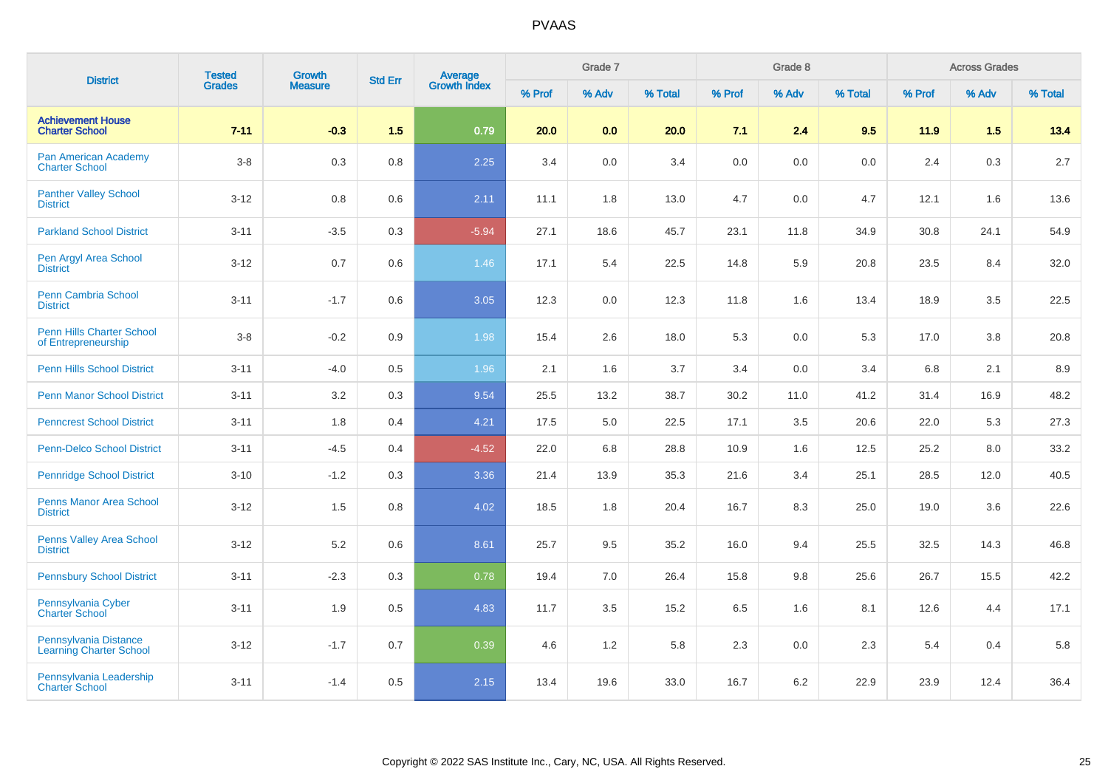| <b>District</b>                                         | <b>Tested</b> | <b>Growth</b>  | <b>Std Err</b> | <b>Average</b><br>Growth Index |        | Grade 7 |         |        | Grade 8 |         |        | <b>Across Grades</b> |         |
|---------------------------------------------------------|---------------|----------------|----------------|--------------------------------|--------|---------|---------|--------|---------|---------|--------|----------------------|---------|
|                                                         | <b>Grades</b> | <b>Measure</b> |                |                                | % Prof | % Adv   | % Total | % Prof | % Adv   | % Total | % Prof | % Adv                | % Total |
| <b>Achievement House</b><br><b>Charter School</b>       | $7 - 11$      | $-0.3$         | 1.5            | 0.79                           | 20.0   | 0.0     | 20.0    | 7.1    | 2.4     | 9.5     | 11.9   | 1.5                  | 13.4    |
| Pan American Academy<br><b>Charter School</b>           | $3-8$         | 0.3            | $0.8\,$        | 2.25                           | 3.4    | 0.0     | 3.4     | 0.0    | 0.0     | 0.0     | 2.4    | 0.3                  | 2.7     |
| <b>Panther Valley School</b><br><b>District</b>         | $3 - 12$      | 0.8            | 0.6            | 2.11                           | 11.1   | 1.8     | 13.0    | 4.7    | 0.0     | 4.7     | 12.1   | 1.6                  | 13.6    |
| <b>Parkland School District</b>                         | $3 - 11$      | $-3.5$         | 0.3            | $-5.94$                        | 27.1   | 18.6    | 45.7    | 23.1   | 11.8    | 34.9    | 30.8   | 24.1                 | 54.9    |
| Pen Argyl Area School<br><b>District</b>                | $3 - 12$      | 0.7            | 0.6            | 1.46                           | 17.1   | 5.4     | 22.5    | 14.8   | 5.9     | 20.8    | 23.5   | 8.4                  | 32.0    |
| <b>Penn Cambria School</b><br><b>District</b>           | $3 - 11$      | $-1.7$         | 0.6            | 3.05                           | 12.3   | 0.0     | 12.3    | 11.8   | 1.6     | 13.4    | 18.9   | 3.5                  | 22.5    |
| Penn Hills Charter School<br>of Entrepreneurship        | $3-8$         | $-0.2$         | 0.9            | 1.98                           | 15.4   | 2.6     | 18.0    | 5.3    | 0.0     | 5.3     | 17.0   | 3.8                  | 20.8    |
| <b>Penn Hills School District</b>                       | $3 - 11$      | $-4.0$         | 0.5            | 1.96                           | 2.1    | 1.6     | 3.7     | 3.4    | 0.0     | 3.4     | 6.8    | 2.1                  | 8.9     |
| <b>Penn Manor School District</b>                       | $3 - 11$      | 3.2            | 0.3            | 9.54                           | 25.5   | 13.2    | 38.7    | 30.2   | 11.0    | 41.2    | 31.4   | 16.9                 | 48.2    |
| <b>Penncrest School District</b>                        | $3 - 11$      | 1.8            | 0.4            | 4.21                           | 17.5   | 5.0     | 22.5    | 17.1   | 3.5     | 20.6    | 22.0   | 5.3                  | 27.3    |
| <b>Penn-Delco School District</b>                       | $3 - 11$      | $-4.5$         | 0.4            | $-4.52$                        | 22.0   | 6.8     | 28.8    | 10.9   | 1.6     | 12.5    | 25.2   | 8.0                  | 33.2    |
| <b>Pennridge School District</b>                        | $3 - 10$      | $-1.2$         | 0.3            | 3.36                           | 21.4   | 13.9    | 35.3    | 21.6   | 3.4     | 25.1    | 28.5   | 12.0                 | 40.5    |
| <b>Penns Manor Area School</b><br><b>District</b>       | $3 - 12$      | 1.5            | 0.8            | 4.02                           | 18.5   | 1.8     | 20.4    | 16.7   | 8.3     | 25.0    | 19.0   | 3.6                  | 22.6    |
| <b>Penns Valley Area School</b><br><b>District</b>      | $3 - 12$      | 5.2            | 0.6            | 8.61                           | 25.7   | 9.5     | 35.2    | 16.0   | 9.4     | 25.5    | 32.5   | 14.3                 | 46.8    |
| <b>Pennsbury School District</b>                        | $3 - 11$      | $-2.3$         | 0.3            | 0.78                           | 19.4   | 7.0     | 26.4    | 15.8   | 9.8     | 25.6    | 26.7   | 15.5                 | 42.2    |
| Pennsylvania Cyber<br><b>Charter School</b>             | $3 - 11$      | 1.9            | 0.5            | 4.83                           | 11.7   | 3.5     | 15.2    | 6.5    | 1.6     | 8.1     | 12.6   | 4.4                  | 17.1    |
| Pennsylvania Distance<br><b>Learning Charter School</b> | $3 - 12$      | $-1.7$         | 0.7            | 0.39                           | 4.6    | $1.2$   | 5.8     | 2.3    | 0.0     | 2.3     | 5.4    | 0.4                  | 5.8     |
| Pennsylvania Leadership<br><b>Charter School</b>        | $3 - 11$      | $-1.4$         | 0.5            | 2.15                           | 13.4   | 19.6    | 33.0    | 16.7   | 6.2     | 22.9    | 23.9   | 12.4                 | 36.4    |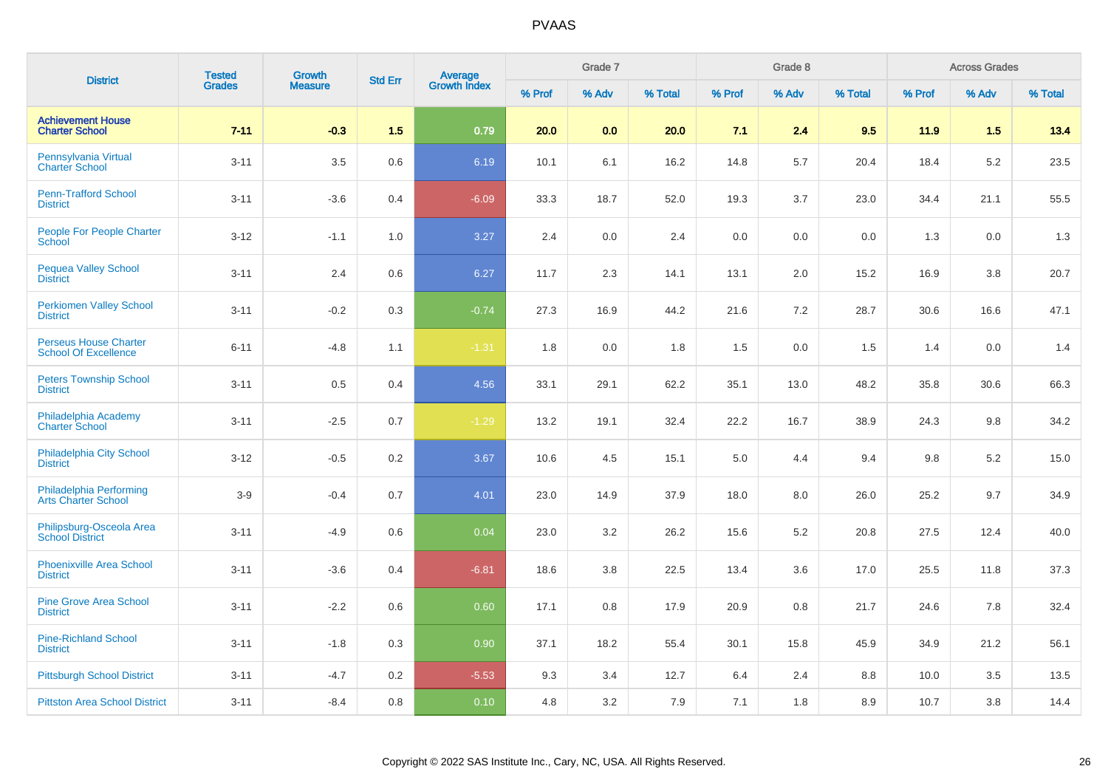| <b>District</b>                                             | <b>Tested</b> | Growth         | <b>Std Err</b> |                                |        | Grade 7 |         |         | Grade 8 |         |        | <b>Across Grades</b> |         |
|-------------------------------------------------------------|---------------|----------------|----------------|--------------------------------|--------|---------|---------|---------|---------|---------|--------|----------------------|---------|
|                                                             | <b>Grades</b> | <b>Measure</b> |                | <b>Average</b><br>Growth Index | % Prof | % Adv   | % Total | % Prof  | % Adv   | % Total | % Prof | % Adv                | % Total |
| <b>Achievement House</b><br><b>Charter School</b>           | $7 - 11$      | $-0.3$         | 1.5            | 0.79                           | 20.0   | 0.0     | 20.0    | 7.1     | 2.4     | 9.5     | 11.9   | 1.5                  | 13.4    |
| Pennsylvania Virtual<br><b>Charter School</b>               | $3 - 11$      | 3.5            | 0.6            | 6.19                           | 10.1   | 6.1     | 16.2    | 14.8    | 5.7     | 20.4    | 18.4   | $5.2\,$              | 23.5    |
| <b>Penn-Trafford School</b><br><b>District</b>              | $3 - 11$      | $-3.6$         | 0.4            | $-6.09$                        | 33.3   | 18.7    | 52.0    | 19.3    | 3.7     | 23.0    | 34.4   | 21.1                 | 55.5    |
| <b>People For People Charter</b><br>School                  | $3 - 12$      | $-1.1$         | 1.0            | 3.27                           | 2.4    | 0.0     | 2.4     | $0.0\,$ | 0.0     | 0.0     | 1.3    | $0.0\,$              | 1.3     |
| <b>Pequea Valley School</b><br><b>District</b>              | $3 - 11$      | 2.4            | 0.6            | 6.27                           | 11.7   | 2.3     | 14.1    | 13.1    | 2.0     | 15.2    | 16.9   | 3.8                  | 20.7    |
| <b>Perkiomen Valley School</b><br><b>District</b>           | $3 - 11$      | $-0.2$         | 0.3            | $-0.74$                        | 27.3   | 16.9    | 44.2    | 21.6    | 7.2     | 28.7    | 30.6   | 16.6                 | 47.1    |
| <b>Perseus House Charter</b><br><b>School Of Excellence</b> | $6 - 11$      | $-4.8$         | 1.1            | $-1.31$                        | 1.8    | 0.0     | 1.8     | 1.5     | 0.0     | 1.5     | 1.4    | $0.0\,$              | 1.4     |
| <b>Peters Township School</b><br><b>District</b>            | $3 - 11$      | 0.5            | 0.4            | 4.56                           | 33.1   | 29.1    | 62.2    | 35.1    | 13.0    | 48.2    | 35.8   | 30.6                 | 66.3    |
| Philadelphia Academy<br><b>Charter School</b>               | $3 - 11$      | $-2.5$         | 0.7            | $-1.29$                        | 13.2   | 19.1    | 32.4    | 22.2    | 16.7    | 38.9    | 24.3   | 9.8                  | 34.2    |
| Philadelphia City School<br><b>District</b>                 | $3-12$        | $-0.5$         | 0.2            | 3.67                           | 10.6   | 4.5     | 15.1    | 5.0     | 4.4     | 9.4     | 9.8    | 5.2                  | 15.0    |
| Philadelphia Performing<br><b>Arts Charter School</b>       | $3-9$         | $-0.4$         | 0.7            | 4.01                           | 23.0   | 14.9    | 37.9    | 18.0    | 8.0     | 26.0    | 25.2   | 9.7                  | 34.9    |
| Philipsburg-Osceola Area<br><b>School District</b>          | $3 - 11$      | $-4.9$         | 0.6            | 0.04                           | 23.0   | $3.2\,$ | 26.2    | 15.6    | 5.2     | 20.8    | 27.5   | 12.4                 | 40.0    |
| <b>Phoenixville Area School</b><br><b>District</b>          | $3 - 11$      | $-3.6$         | 0.4            | $-6.81$                        | 18.6   | 3.8     | 22.5    | 13.4    | 3.6     | 17.0    | 25.5   | 11.8                 | 37.3    |
| <b>Pine Grove Area School</b><br><b>District</b>            | $3 - 11$      | $-2.2$         | 0.6            | 0.60                           | 17.1   | 0.8     | 17.9    | 20.9    | 0.8     | 21.7    | 24.6   | 7.8                  | 32.4    |
| <b>Pine-Richland School</b><br><b>District</b>              | $3 - 11$      | $-1.8$         | 0.3            | 0.90                           | 37.1   | 18.2    | 55.4    | 30.1    | 15.8    | 45.9    | 34.9   | 21.2                 | 56.1    |
| <b>Pittsburgh School District</b>                           | $3 - 11$      | $-4.7$         | 0.2            | $-5.53$                        | 9.3    | 3.4     | 12.7    | 6.4     | 2.4     | 8.8     | 10.0   | 3.5                  | 13.5    |
| <b>Pittston Area School District</b>                        | $3 - 11$      | $-8.4$         | 0.8            | 0.10                           | 4.8    | 3.2     | 7.9     | 7.1     | 1.8     | 8.9     | 10.7   | 3.8                  | 14.4    |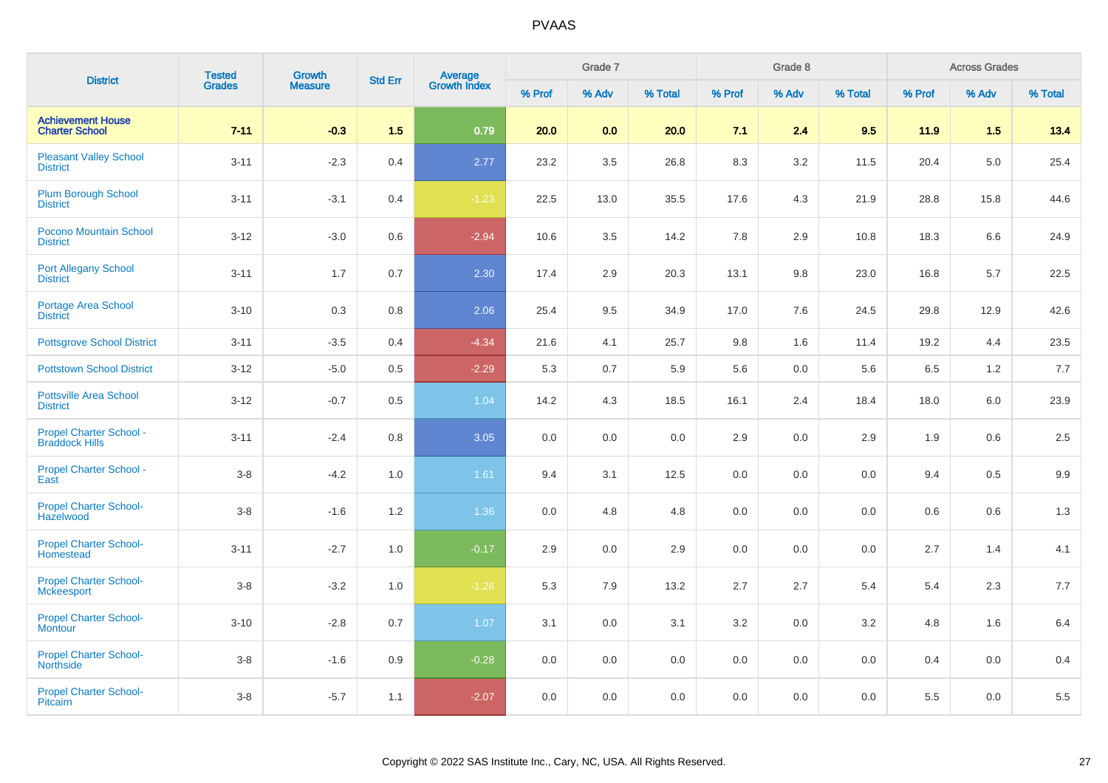| <b>District</b>                                         | <b>Tested</b> | <b>Growth</b>  | <b>Std Err</b> |                                |         | Grade 7 |         |         | Grade 8 |         |        | <b>Across Grades</b> |         |
|---------------------------------------------------------|---------------|----------------|----------------|--------------------------------|---------|---------|---------|---------|---------|---------|--------|----------------------|---------|
|                                                         | <b>Grades</b> | <b>Measure</b> |                | <b>Average</b><br>Growth Index | % Prof  | % Adv   | % Total | % Prof  | % Adv   | % Total | % Prof | % Adv                | % Total |
| <b>Achievement House</b><br><b>Charter School</b>       | $7 - 11$      | $-0.3$         | 1.5            | 0.79                           | 20.0    | 0.0     | 20.0    | 7.1     | 2.4     | 9.5     | 11.9   | 1.5                  | 13.4    |
| <b>Pleasant Valley School</b><br><b>District</b>        | $3 - 11$      | $-2.3$         | 0.4            | 2.77                           | 23.2    | 3.5     | 26.8    | 8.3     | 3.2     | 11.5    | 20.4   | 5.0                  | 25.4    |
| <b>Plum Borough School</b><br><b>District</b>           | $3 - 11$      | $-3.1$         | 0.4            | $-1.23$                        | 22.5    | 13.0    | 35.5    | 17.6    | 4.3     | 21.9    | 28.8   | 15.8                 | 44.6    |
| Pocono Mountain School<br><b>District</b>               | $3 - 12$      | $-3.0$         | 0.6            | $-2.94$                        | 10.6    | 3.5     | 14.2    | 7.8     | 2.9     | 10.8    | 18.3   | 6.6                  | 24.9    |
| Port Allegany School<br><b>District</b>                 | $3 - 11$      | 1.7            | 0.7            | 2.30                           | 17.4    | 2.9     | 20.3    | 13.1    | 9.8     | 23.0    | 16.8   | 5.7                  | 22.5    |
| Portage Area School<br><b>District</b>                  | $3 - 10$      | 0.3            | 0.8            | 2.06                           | 25.4    | 9.5     | 34.9    | 17.0    | 7.6     | 24.5    | 29.8   | 12.9                 | 42.6    |
| <b>Pottsgrove School District</b>                       | $3 - 11$      | $-3.5$         | 0.4            | $-4.34$                        | 21.6    | 4.1     | 25.7    | 9.8     | 1.6     | 11.4    | 19.2   | 4.4                  | 23.5    |
| <b>Pottstown School District</b>                        | $3 - 12$      | $-5.0$         | 0.5            | $-2.29$                        | 5.3     | 0.7     | 5.9     | 5.6     | 0.0     | 5.6     | 6.5    | 1.2                  | 7.7     |
| <b>Pottsville Area School</b><br><b>District</b>        | $3-12$        | $-0.7$         | 0.5            | 1.04                           | 14.2    | 4.3     | 18.5    | 16.1    | 2.4     | 18.4    | 18.0   | 6.0                  | 23.9    |
| <b>Propel Charter School -</b><br><b>Braddock Hills</b> | $3 - 11$      | $-2.4$         | 0.8            | 3.05                           | 0.0     | $0.0\,$ | 0.0     | 2.9     | 0.0     | 2.9     | 1.9    | 0.6                  | $2.5\,$ |
| Propel Charter School -<br>East                         | $3-8$         | $-4.2$         | 1.0            | 1.61                           | 9.4     | 3.1     | 12.5    | 0.0     | 0.0     | 0.0     | 9.4    | 0.5                  | 9.9     |
| <b>Propel Charter School-</b><br>Hazelwood              | $3-8$         | $-1.6$         | 1.2            | 1.36                           | 0.0     | 4.8     | 4.8     | 0.0     | 0.0     | 0.0     | 0.6    | 0.6                  | 1.3     |
| <b>Propel Charter School-</b><br>Homestead              | $3 - 11$      | $-2.7$         | 1.0            | $-0.17$                        | 2.9     | 0.0     | 2.9     | 0.0     | 0.0     | 0.0     | 2.7    | 1.4                  | 4.1     |
| <b>Propel Charter School-</b><br>Mckeesport             | $3-8$         | $-3.2$         | 1.0            | $-1.28$                        | 5.3     | 7.9     | 13.2    | 2.7     | 2.7     | 5.4     | 5.4    | 2.3                  | 7.7     |
| <b>Propel Charter School-</b><br><b>Montour</b>         | $3 - 10$      | $-2.8$         | 0.7            | 1.07                           | 3.1     | 0.0     | 3.1     | 3.2     | 0.0     | 3.2     | 4.8    | 1.6                  | 6.4     |
| <b>Propel Charter School-</b><br><b>Northside</b>       | $3-8$         | $-1.6$         | 0.9            | $-0.28$                        | $0.0\,$ | $0.0\,$ | $0.0\,$ | $0.0\,$ | 0.0     | 0.0     | 0.4    | $0.0\,$              | 0.4     |
| <b>Propel Charter School-</b><br>Pitcairn               | $3-8$         | $-5.7$         | 1.1            | $-2.07$                        | 0.0     | 0.0     | 0.0     | 0.0     | 0.0     | 0.0     | 5.5    | 0.0                  | 5.5     |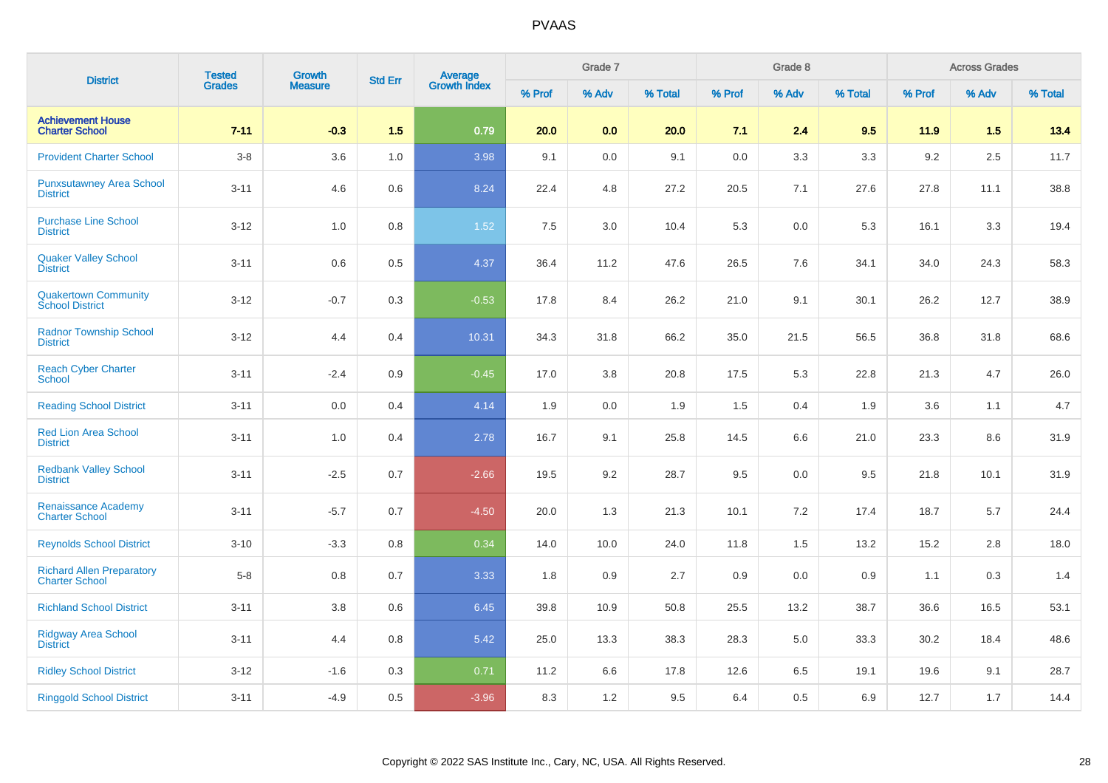| <b>District</b>                                           | <b>Tested</b> | Growth         | <b>Std Err</b> |                                |        | Grade 7 |         |        | Grade 8 |         |        | <b>Across Grades</b> |         |
|-----------------------------------------------------------|---------------|----------------|----------------|--------------------------------|--------|---------|---------|--------|---------|---------|--------|----------------------|---------|
|                                                           | <b>Grades</b> | <b>Measure</b> |                | <b>Average</b><br>Growth Index | % Prof | % Adv   | % Total | % Prof | % Adv   | % Total | % Prof | % Adv                | % Total |
| <b>Achievement House</b><br><b>Charter School</b>         | $7 - 11$      | $-0.3$         | 1.5            | 0.79                           | 20.0   | 0.0     | 20.0    | 7.1    | 2.4     | 9.5     | 11.9   | 1.5                  | 13.4    |
| <b>Provident Charter School</b>                           | $3 - 8$       | 3.6            | 1.0            | 3.98                           | 9.1    | 0.0     | 9.1     | 0.0    | 3.3     | 3.3     | 9.2    | 2.5                  | 11.7    |
| <b>Punxsutawney Area School</b><br><b>District</b>        | $3 - 11$      | 4.6            | 0.6            | 8.24                           | 22.4   | 4.8     | 27.2    | 20.5   | 7.1     | 27.6    | 27.8   | 11.1                 | 38.8    |
| <b>Purchase Line School</b><br><b>District</b>            | $3 - 12$      | 1.0            | 0.8            | 1.52                           | 7.5    | 3.0     | 10.4    | 5.3    | 0.0     | 5.3     | 16.1   | 3.3                  | 19.4    |
| <b>Quaker Valley School</b><br><b>District</b>            | $3 - 11$      | 0.6            | 0.5            | 4.37                           | 36.4   | 11.2    | 47.6    | 26.5   | 7.6     | 34.1    | 34.0   | 24.3                 | 58.3    |
| Quakertown Community<br>School District                   | $3 - 12$      | $-0.7$         | 0.3            | $-0.53$                        | 17.8   | 8.4     | 26.2    | 21.0   | 9.1     | 30.1    | 26.2   | 12.7                 | 38.9    |
| <b>Radnor Township School</b><br><b>District</b>          | $3 - 12$      | 4.4            | 0.4            | 10.31                          | 34.3   | 31.8    | 66.2    | 35.0   | 21.5    | 56.5    | 36.8   | 31.8                 | 68.6    |
| <b>Reach Cyber Charter</b><br><b>School</b>               | $3 - 11$      | $-2.4$         | 0.9            | $-0.45$                        | 17.0   | 3.8     | 20.8    | 17.5   | 5.3     | 22.8    | 21.3   | 4.7                  | 26.0    |
| <b>Reading School District</b>                            | $3 - 11$      | 0.0            | 0.4            | 4.14                           | 1.9    | 0.0     | 1.9     | 1.5    | 0.4     | 1.9     | 3.6    | 1.1                  | 4.7     |
| <b>Red Lion Area School</b><br><b>District</b>            | $3 - 11$      | 1.0            | 0.4            | 2.78                           | 16.7   | 9.1     | 25.8    | 14.5   | 6.6     | 21.0    | 23.3   | 8.6                  | 31.9    |
| <b>Redbank Valley School</b><br><b>District</b>           | $3 - 11$      | $-2.5$         | 0.7            | $-2.66$                        | 19.5   | 9.2     | 28.7    | 9.5    | 0.0     | 9.5     | 21.8   | 10.1                 | 31.9    |
| <b>Renaissance Academy</b><br><b>Charter School</b>       | $3 - 11$      | $-5.7$         | 0.7            | $-4.50$                        | 20.0   | 1.3     | 21.3    | 10.1   | 7.2     | 17.4    | 18.7   | 5.7                  | 24.4    |
| <b>Reynolds School District</b>                           | $3 - 10$      | $-3.3$         | 0.8            | 0.34                           | 14.0   | 10.0    | 24.0    | 11.8   | 1.5     | 13.2    | 15.2   | 2.8                  | 18.0    |
| <b>Richard Allen Preparatory</b><br><b>Charter School</b> | $5-8$         | 0.8            | 0.7            | 3.33                           | 1.8    | 0.9     | 2.7     | 0.9    | 0.0     | 0.9     | 1.1    | 0.3                  | 1.4     |
| <b>Richland School District</b>                           | $3 - 11$      | 3.8            | 0.6            | 6.45                           | 39.8   | 10.9    | 50.8    | 25.5   | 13.2    | 38.7    | 36.6   | 16.5                 | 53.1    |
| <b>Ridgway Area School</b><br><b>District</b>             | $3 - 11$      | 4.4            | 0.8            | 5.42                           | 25.0   | 13.3    | 38.3    | 28.3   | 5.0     | 33.3    | 30.2   | 18.4                 | 48.6    |
| <b>Ridley School District</b>                             | $3 - 12$      | $-1.6$         | 0.3            | 0.71                           | 11.2   | 6.6     | 17.8    | 12.6   | 6.5     | 19.1    | 19.6   | 9.1                  | 28.7    |
| <b>Ringgold School District</b>                           | $3 - 11$      | $-4.9$         | 0.5            | $-3.96$                        | 8.3    | 1.2     | 9.5     | 6.4    | 0.5     | 6.9     | 12.7   | 1.7                  | 14.4    |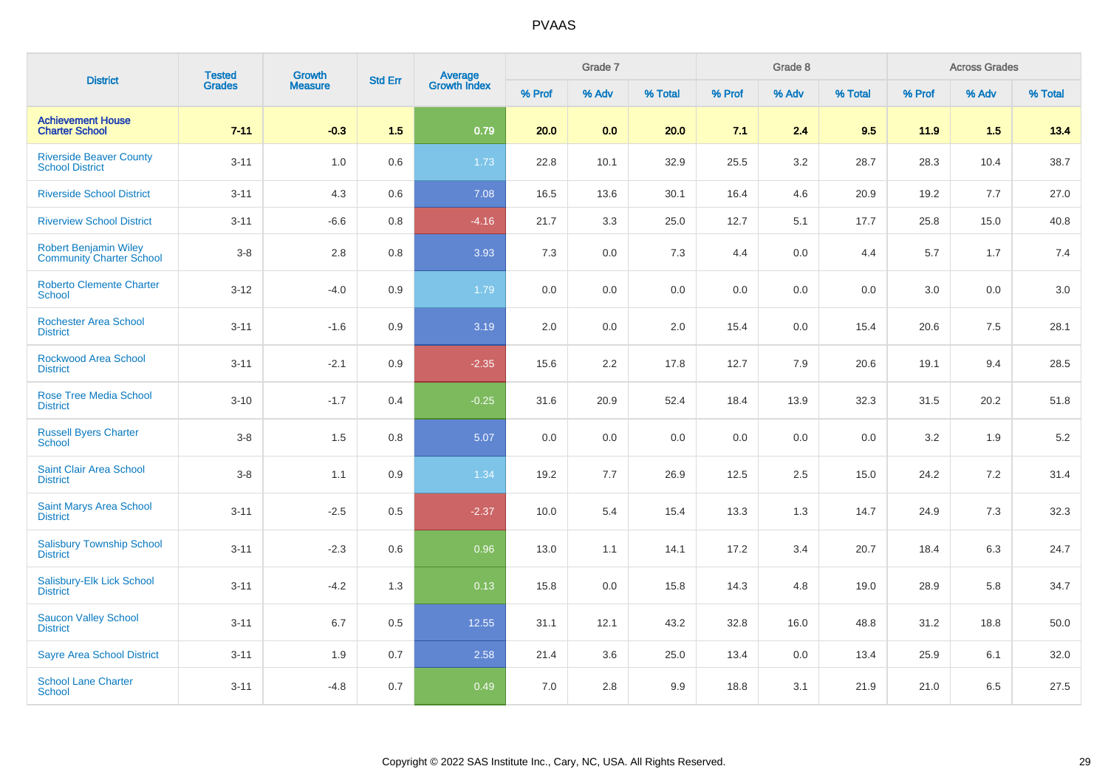| <b>District</b>                                          | <b>Tested</b> | Growth         | <b>Std Err</b> |                                |        | Grade 7 |         |        | Grade 8 |         |         | <b>Across Grades</b> |         |
|----------------------------------------------------------|---------------|----------------|----------------|--------------------------------|--------|---------|---------|--------|---------|---------|---------|----------------------|---------|
|                                                          | <b>Grades</b> | <b>Measure</b> |                | <b>Average</b><br>Growth Index | % Prof | % Adv   | % Total | % Prof | % Adv   | % Total | % Prof  | % Adv                | % Total |
| <b>Achievement House</b><br><b>Charter School</b>        | $7 - 11$      | $-0.3$         | 1.5            | 0.79                           | 20.0   | 0.0     | 20.0    | 7.1    | 2.4     | 9.5     | 11.9    | 1.5                  | 13.4    |
| <b>Riverside Beaver County</b><br><b>School District</b> | $3 - 11$      | 1.0            | 0.6            | 1.73                           | 22.8   | 10.1    | 32.9    | 25.5   | 3.2     | 28.7    | 28.3    | 10.4                 | 38.7    |
| <b>Riverside School District</b>                         | $3 - 11$      | 4.3            | 0.6            | 7.08                           | 16.5   | 13.6    | 30.1    | 16.4   | 4.6     | 20.9    | 19.2    | 7.7                  | 27.0    |
| <b>Riverview School District</b>                         | $3 - 11$      | $-6.6$         | 0.8            | $-4.16$                        | 21.7   | 3.3     | 25.0    | 12.7   | 5.1     | 17.7    | 25.8    | 15.0                 | 40.8    |
| Robert Benjamin Wiley<br><b>Community Charter School</b> | $3-8$         | $2.8\,$        | 0.8            | 3.93                           | 7.3    | 0.0     | 7.3     | 4.4    | 0.0     | 4.4     | 5.7     | 1.7                  | $7.4$   |
| <b>Roberto Clemente Charter</b><br><b>School</b>         | $3 - 12$      | $-4.0$         | 0.9            | 1.79                           | 0.0    | 0.0     | 0.0     | 0.0    | 0.0     | 0.0     | $3.0\,$ | 0.0                  | 3.0     |
| <b>Rochester Area School</b><br><b>District</b>          | $3 - 11$      | $-1.6$         | 0.9            | 3.19                           | 2.0    | 0.0     | 2.0     | 15.4   | 0.0     | 15.4    | 20.6    | 7.5                  | 28.1    |
| Rockwood Area School<br><b>District</b>                  | $3 - 11$      | $-2.1$         | 0.9            | $-2.35$                        | 15.6   | 2.2     | 17.8    | 12.7   | 7.9     | 20.6    | 19.1    | 9.4                  | 28.5    |
| <b>Rose Tree Media School</b><br><b>District</b>         | $3 - 10$      | $-1.7$         | 0.4            | $-0.25$                        | 31.6   | 20.9    | 52.4    | 18.4   | 13.9    | 32.3    | 31.5    | 20.2                 | 51.8    |
| <b>Russell Byers Charter</b><br><b>School</b>            | $3-8$         | 1.5            | 0.8            | 5.07                           | 0.0    | 0.0     | 0.0     | 0.0    | 0.0     | 0.0     | 3.2     | 1.9                  | 5.2     |
| <b>Saint Clair Area School</b><br><b>District</b>        | $3-8$         | 1.1            | 0.9            | 1.34                           | 19.2   | 7.7     | 26.9    | 12.5   | 2.5     | 15.0    | 24.2    | 7.2                  | 31.4    |
| <b>Saint Marys Area School</b><br><b>District</b>        | $3 - 11$      | $-2.5$         | 0.5            | $-2.37$                        | 10.0   | 5.4     | 15.4    | 13.3   | 1.3     | 14.7    | 24.9    | 7.3                  | 32.3    |
| <b>Salisbury Township School</b><br><b>District</b>      | $3 - 11$      | $-2.3$         | 0.6            | 0.96                           | 13.0   | 1.1     | 14.1    | 17.2   | 3.4     | 20.7    | 18.4    | 6.3                  | 24.7    |
| Salisbury-Elk Lick School<br><b>District</b>             | $3 - 11$      | $-4.2$         | 1.3            | 0.13                           | 15.8   | 0.0     | 15.8    | 14.3   | 4.8     | 19.0    | 28.9    | 5.8                  | 34.7    |
| <b>Saucon Valley School</b><br><b>District</b>           | $3 - 11$      | 6.7            | 0.5            | 12.55                          | 31.1   | 12.1    | 43.2    | 32.8   | 16.0    | 48.8    | 31.2    | 18.8                 | 50.0    |
| <b>Sayre Area School District</b>                        | $3 - 11$      | 1.9            | 0.7            | 2.58                           | 21.4   | 3.6     | 25.0    | 13.4   | 0.0     | 13.4    | 25.9    | 6.1                  | 32.0    |
| <b>School Lane Charter</b><br><b>School</b>              | $3 - 11$      | $-4.8$         | 0.7            | 0.49                           | 7.0    | 2.8     | 9.9     | 18.8   | 3.1     | 21.9    | 21.0    | 6.5                  | 27.5    |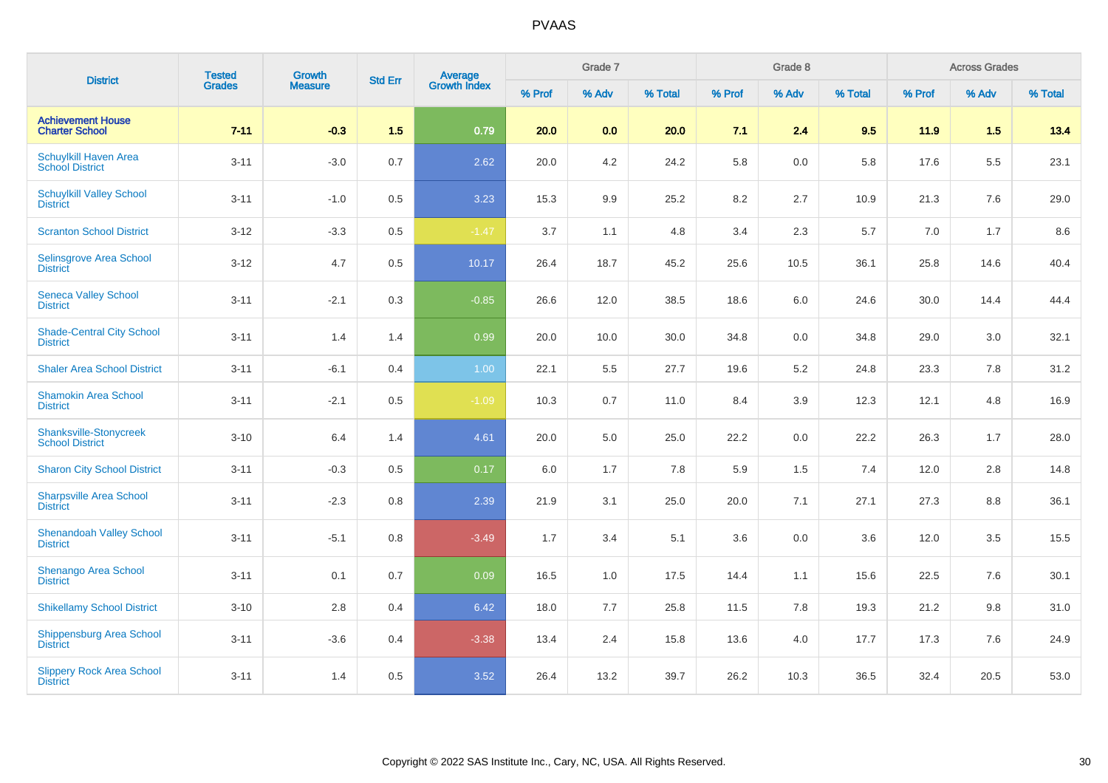| <b>District</b>                                         | <b>Tested</b> | <b>Growth</b>  | <b>Std Err</b> |                                |        | Grade 7 |         |        | Grade 8 |         |        | <b>Across Grades</b> |         |
|---------------------------------------------------------|---------------|----------------|----------------|--------------------------------|--------|---------|---------|--------|---------|---------|--------|----------------------|---------|
|                                                         | <b>Grades</b> | <b>Measure</b> |                | <b>Average</b><br>Growth Index | % Prof | % Adv   | % Total | % Prof | % Adv   | % Total | % Prof | % Adv                | % Total |
| <b>Achievement House</b><br><b>Charter School</b>       | $7 - 11$      | $-0.3$         | 1.5            | 0.79                           | 20.0   | 0.0     | 20.0    | 7.1    | 2.4     | 9.5     | 11.9   | 1.5                  | 13.4    |
| Schuylkill Haven Area<br><b>School District</b>         | $3 - 11$      | $-3.0$         | 0.7            | 2.62                           | 20.0   | 4.2     | 24.2    | 5.8    | 0.0     | 5.8     | 17.6   | 5.5                  | 23.1    |
| <b>Schuylkill Valley School</b><br><b>District</b>      | $3 - 11$      | $-1.0$         | 0.5            | 3.23                           | 15.3   | 9.9     | 25.2    | 8.2    | 2.7     | 10.9    | 21.3   | 7.6                  | 29.0    |
| <b>Scranton School District</b>                         | $3 - 12$      | $-3.3$         | 0.5            | $-1.47$                        | 3.7    | 1.1     | 4.8     | 3.4    | 2.3     | 5.7     | 7.0    | 1.7                  | 8.6     |
| Selinsgrove Area School<br><b>District</b>              | $3 - 12$      | 4.7            | 0.5            | 10.17                          | 26.4   | 18.7    | 45.2    | 25.6   | 10.5    | 36.1    | 25.8   | 14.6                 | 40.4    |
| <b>Seneca Valley School</b><br><b>District</b>          | $3 - 11$      | $-2.1$         | 0.3            | $-0.85$                        | 26.6   | 12.0    | 38.5    | 18.6   | 6.0     | 24.6    | 30.0   | 14.4                 | 44.4    |
| <b>Shade-Central City School</b><br><b>District</b>     | $3 - 11$      | 1.4            | 1.4            | 0.99                           | 20.0   | 10.0    | 30.0    | 34.8   | 0.0     | 34.8    | 29.0   | 3.0                  | 32.1    |
| <b>Shaler Area School District</b>                      | $3 - 11$      | $-6.1$         | 0.4            | 1.00                           | 22.1   | 5.5     | 27.7    | 19.6   | 5.2     | 24.8    | 23.3   | 7.8                  | 31.2    |
| <b>Shamokin Area School</b><br><b>District</b>          | $3 - 11$      | $-2.1$         | 0.5            | $-1.09$                        | 10.3   | 0.7     | 11.0    | 8.4    | 3.9     | 12.3    | 12.1   | 4.8                  | 16.9    |
| <b>Shanksville-Stonycreek</b><br><b>School District</b> | $3 - 10$      | 6.4            | 1.4            | 4.61                           | 20.0   | 5.0     | 25.0    | 22.2   | 0.0     | 22.2    | 26.3   | 1.7                  | 28.0    |
| <b>Sharon City School District</b>                      | $3 - 11$      | $-0.3$         | 0.5            | 0.17                           | 6.0    | 1.7     | 7.8     | 5.9    | 1.5     | 7.4     | 12.0   | $2.8\,$              | 14.8    |
| <b>Sharpsville Area School</b><br><b>District</b>       | $3 - 11$      | $-2.3$         | 0.8            | 2.39                           | 21.9   | 3.1     | 25.0    | 20.0   | 7.1     | 27.1    | 27.3   | 8.8                  | 36.1    |
| <b>Shenandoah Valley School</b><br><b>District</b>      | $3 - 11$      | $-5.1$         | 0.8            | $-3.49$                        | 1.7    | 3.4     | 5.1     | 3.6    | 0.0     | 3.6     | 12.0   | 3.5                  | 15.5    |
| <b>Shenango Area School</b><br><b>District</b>          | $3 - 11$      | 0.1            | 0.7            | 0.09                           | 16.5   | 1.0     | 17.5    | 14.4   | 1.1     | 15.6    | 22.5   | 7.6                  | 30.1    |
| <b>Shikellamy School District</b>                       | $3 - 10$      | 2.8            | 0.4            | 6.42                           | 18.0   | 7.7     | 25.8    | 11.5   | 7.8     | 19.3    | 21.2   | 9.8                  | 31.0    |
| <b>Shippensburg Area School</b><br><b>District</b>      | $3 - 11$      | $-3.6$         | 0.4            | $-3.38$                        | 13.4   | 2.4     | 15.8    | 13.6   | 4.0     | 17.7    | 17.3   | 7.6                  | 24.9    |
| <b>Slippery Rock Area School</b><br><b>District</b>     | $3 - 11$      | 1.4            | 0.5            | 3.52                           | 26.4   | 13.2    | 39.7    | 26.2   | 10.3    | 36.5    | 32.4   | 20.5                 | 53.0    |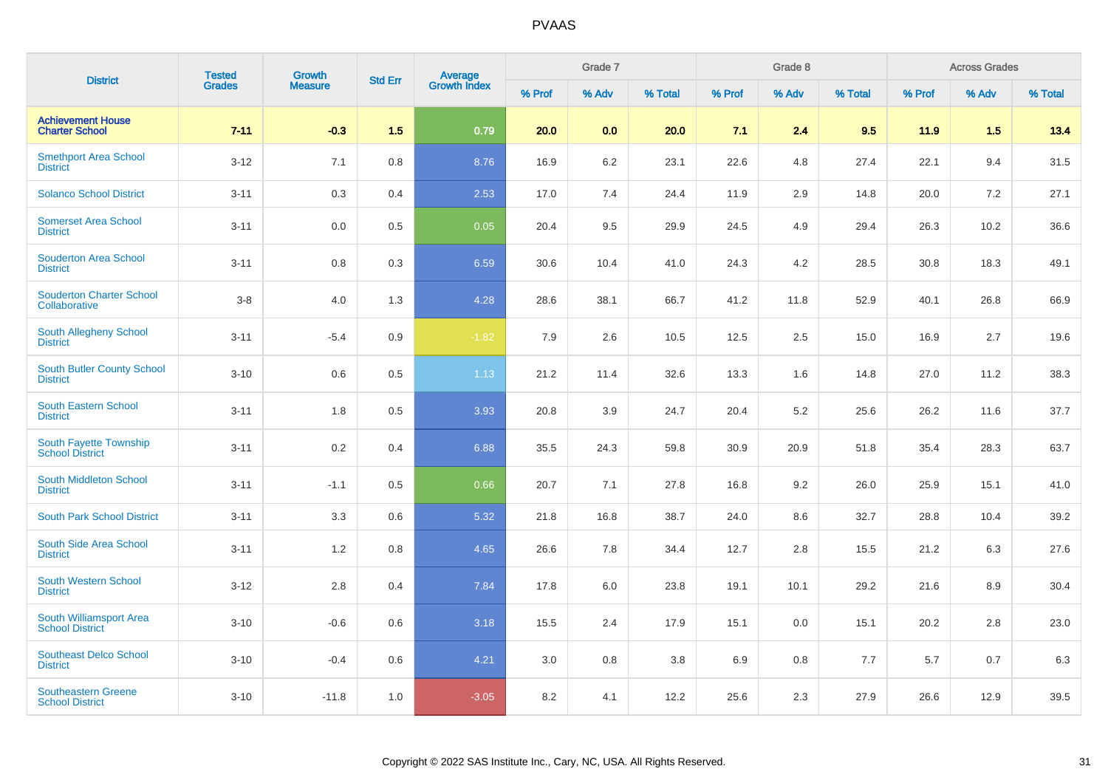| <b>District</b>                                      | <b>Tested</b> | <b>Growth</b>  | <b>Std Err</b> |                                |        | Grade 7 |         |        | Grade 8 |         |        | <b>Across Grades</b> |         |
|------------------------------------------------------|---------------|----------------|----------------|--------------------------------|--------|---------|---------|--------|---------|---------|--------|----------------------|---------|
|                                                      | <b>Grades</b> | <b>Measure</b> |                | <b>Average</b><br>Growth Index | % Prof | % Adv   | % Total | % Prof | % Adv   | % Total | % Prof | % Adv                | % Total |
| <b>Achievement House</b><br><b>Charter School</b>    | $7 - 11$      | $-0.3$         | 1.5            | 0.79                           | 20.0   | 0.0     | 20.0    | 7.1    | 2.4     | 9.5     | 11.9   | 1.5                  | 13.4    |
| <b>Smethport Area School</b><br><b>District</b>      | $3 - 12$      | 7.1            | 0.8            | 8.76                           | 16.9   | $6.2\,$ | 23.1    | 22.6   | 4.8     | 27.4    | 22.1   | 9.4                  | 31.5    |
| <b>Solanco School District</b>                       | $3 - 11$      | 0.3            | 0.4            | 2.53                           | 17.0   | 7.4     | 24.4    | 11.9   | 2.9     | 14.8    | 20.0   | 7.2                  | 27.1    |
| <b>Somerset Area School</b><br><b>District</b>       | $3 - 11$      | 0.0            | 0.5            | 0.05                           | 20.4   | 9.5     | 29.9    | 24.5   | 4.9     | 29.4    | 26.3   | 10.2                 | 36.6    |
| <b>Souderton Area School</b><br><b>District</b>      | $3 - 11$      | 0.8            | 0.3            | 6.59                           | 30.6   | 10.4    | 41.0    | 24.3   | 4.2     | 28.5    | 30.8   | 18.3                 | 49.1    |
| <b>Souderton Charter School</b><br>Collaborative     | $3-8$         | 4.0            | 1.3            | 4.28                           | 28.6   | 38.1    | 66.7    | 41.2   | 11.8    | 52.9    | 40.1   | 26.8                 | 66.9    |
| South Allegheny School<br><b>District</b>            | $3 - 11$      | $-5.4$         | 0.9            | $-1.82$                        | 7.9    | 2.6     | 10.5    | 12.5   | 2.5     | 15.0    | 16.9   | 2.7                  | 19.6    |
| <b>South Butler County School</b><br><b>District</b> | $3 - 10$      | 0.6            | 0.5            | 1.13                           | 21.2   | 11.4    | 32.6    | 13.3   | 1.6     | 14.8    | 27.0   | 11.2                 | 38.3    |
| <b>South Eastern School</b><br><b>District</b>       | $3 - 11$      | 1.8            | 0.5            | 3.93                           | 20.8   | 3.9     | 24.7    | 20.4   | 5.2     | 25.6    | 26.2   | 11.6                 | 37.7    |
| South Fayette Township<br><b>School District</b>     | $3 - 11$      | 0.2            | 0.4            | 6.88                           | 35.5   | 24.3    | 59.8    | 30.9   | 20.9    | 51.8    | 35.4   | 28.3                 | 63.7    |
| South Middleton School<br><b>District</b>            | $3 - 11$      | $-1.1$         | 0.5            | 0.66                           | 20.7   | 7.1     | 27.8    | 16.8   | 9.2     | 26.0    | 25.9   | 15.1                 | 41.0    |
| <b>South Park School District</b>                    | $3 - 11$      | 3.3            | 0.6            | 5.32                           | 21.8   | 16.8    | 38.7    | 24.0   | 8.6     | 32.7    | 28.8   | 10.4                 | 39.2    |
| South Side Area School<br><b>District</b>            | $3 - 11$      | 1.2            | 0.8            | 4.65                           | 26.6   | 7.8     | 34.4    | 12.7   | 2.8     | 15.5    | 21.2   | 6.3                  | 27.6    |
| <b>South Western School</b><br><b>District</b>       | $3 - 12$      | 2.8            | 0.4            | 7.84                           | 17.8   | 6.0     | 23.8    | 19.1   | 10.1    | 29.2    | 21.6   | 8.9                  | 30.4    |
| South Williamsport Area<br><b>School District</b>    | $3 - 10$      | $-0.6$         | 0.6            | 3.18                           | 15.5   | 2.4     | 17.9    | 15.1   | 0.0     | 15.1    | 20.2   | 2.8                  | 23.0    |
| <b>Southeast Delco School</b><br><b>District</b>     | $3 - 10$      | $-0.4$         | 0.6            | 4.21                           | 3.0    | 0.8     | 3.8     | 6.9    | 0.8     | 7.7     | 5.7    | 0.7                  | 6.3     |
| <b>Southeastern Greene</b><br><b>School District</b> | $3 - 10$      | $-11.8$        | 1.0            | $-3.05$                        | 8.2    | 4.1     | 12.2    | 25.6   | 2.3     | 27.9    | 26.6   | 12.9                 | 39.5    |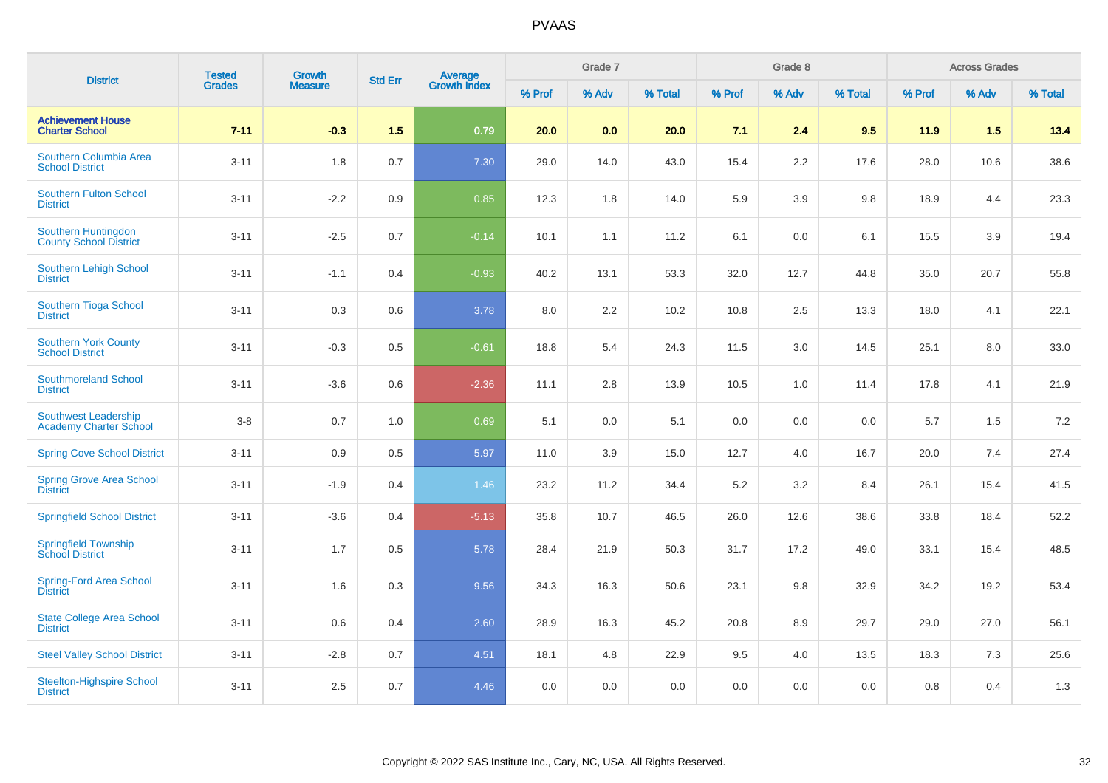| <b>District</b>                                       | <b>Tested</b> | Growth         | <b>Std Err</b> | Average<br>Growth Index |        | Grade 7 |         |        | Grade 8 |         |        | <b>Across Grades</b> |         |
|-------------------------------------------------------|---------------|----------------|----------------|-------------------------|--------|---------|---------|--------|---------|---------|--------|----------------------|---------|
|                                                       | Grades        | <b>Measure</b> |                |                         | % Prof | % Adv   | % Total | % Prof | % Adv   | % Total | % Prof | % Adv                | % Total |
| <b>Achievement House</b><br><b>Charter School</b>     | $7 - 11$      | $-0.3$         | 1.5            | 0.79                    | 20.0   | 0.0     | 20.0    | 7.1    | 2.4     | 9.5     | 11.9   | 1.5                  | 13.4    |
| Southern Columbia Area<br><b>School District</b>      | $3 - 11$      | 1.8            | 0.7            | 7.30                    | 29.0   | 14.0    | 43.0    | 15.4   | 2.2     | 17.6    | 28.0   | 10.6                 | 38.6    |
| <b>Southern Fulton School</b><br><b>District</b>      | $3 - 11$      | $-2.2$         | 0.9            | 0.85                    | 12.3   | 1.8     | 14.0    | 5.9    | 3.9     | 9.8     | 18.9   | 4.4                  | 23.3    |
| Southern Huntingdon<br><b>County School District</b>  | $3 - 11$      | $-2.5$         | 0.7            | $-0.14$                 | 10.1   | 1.1     | 11.2    | 6.1    | 0.0     | 6.1     | 15.5   | 3.9                  | 19.4    |
| Southern Lehigh School<br><b>District</b>             | $3 - 11$      | $-1.1$         | 0.4            | $-0.93$                 | 40.2   | 13.1    | 53.3    | 32.0   | 12.7    | 44.8    | 35.0   | 20.7                 | 55.8    |
| Southern Tioga School<br><b>District</b>              | $3 - 11$      | 0.3            | 0.6            | 3.78                    | 8.0    | 2.2     | 10.2    | 10.8   | 2.5     | 13.3    | 18.0   | 4.1                  | 22.1    |
| <b>Southern York County</b><br><b>School District</b> | $3 - 11$      | $-0.3$         | 0.5            | $-0.61$                 | 18.8   | 5.4     | 24.3    | 11.5   | 3.0     | 14.5    | 25.1   | 8.0                  | 33.0    |
| <b>Southmoreland School</b><br><b>District</b>        | $3 - 11$      | $-3.6$         | 0.6            | $-2.36$                 | 11.1   | 2.8     | 13.9    | 10.5   | 1.0     | 11.4    | 17.8   | 4.1                  | 21.9    |
| Southwest Leadership<br><b>Academy Charter School</b> | $3-8$         | 0.7            | 1.0            | 0.69                    | 5.1    | 0.0     | 5.1     | 0.0    | 0.0     | 0.0     | 5.7    | 1.5                  | 7.2     |
| <b>Spring Cove School District</b>                    | $3 - 11$      | $0.9\,$        | 0.5            | 5.97                    | 11.0   | 3.9     | 15.0    | 12.7   | 4.0     | 16.7    | 20.0   | 7.4                  | 27.4    |
| <b>Spring Grove Area School</b><br><b>District</b>    | $3 - 11$      | $-1.9$         | 0.4            | 1.46                    | 23.2   | 11.2    | 34.4    | 5.2    | 3.2     | 8.4     | 26.1   | 15.4                 | 41.5    |
| <b>Springfield School District</b>                    | $3 - 11$      | $-3.6$         | 0.4            | $-5.13$                 | 35.8   | 10.7    | 46.5    | 26.0   | 12.6    | 38.6    | 33.8   | 18.4                 | 52.2    |
| Springfield Township<br><b>School District</b>        | $3 - 11$      | 1.7            | 0.5            | 5.78                    | 28.4   | 21.9    | 50.3    | 31.7   | 17.2    | 49.0    | 33.1   | 15.4                 | 48.5    |
| <b>Spring-Ford Area School</b><br><b>District</b>     | $3 - 11$      | 1.6            | 0.3            | 9.56                    | 34.3   | 16.3    | 50.6    | 23.1   | 9.8     | 32.9    | 34.2   | 19.2                 | 53.4    |
| <b>State College Area School</b><br><b>District</b>   | $3 - 11$      | 0.6            | 0.4            | 2.60                    | 28.9   | 16.3    | 45.2    | 20.8   | 8.9     | 29.7    | 29.0   | 27.0                 | 56.1    |
| <b>Steel Valley School District</b>                   | $3 - 11$      | $-2.8$         | 0.7            | 4.51                    | 18.1   | 4.8     | 22.9    | 9.5    | 4.0     | 13.5    | 18.3   | 7.3                  | 25.6    |
| <b>Steelton-Highspire School</b><br><b>District</b>   | $3 - 11$      | $2.5\,$        | 0.7            | 4.46                    | 0.0    | 0.0     | 0.0     | 0.0    | 0.0     | 0.0     | 0.8    | 0.4                  | 1.3     |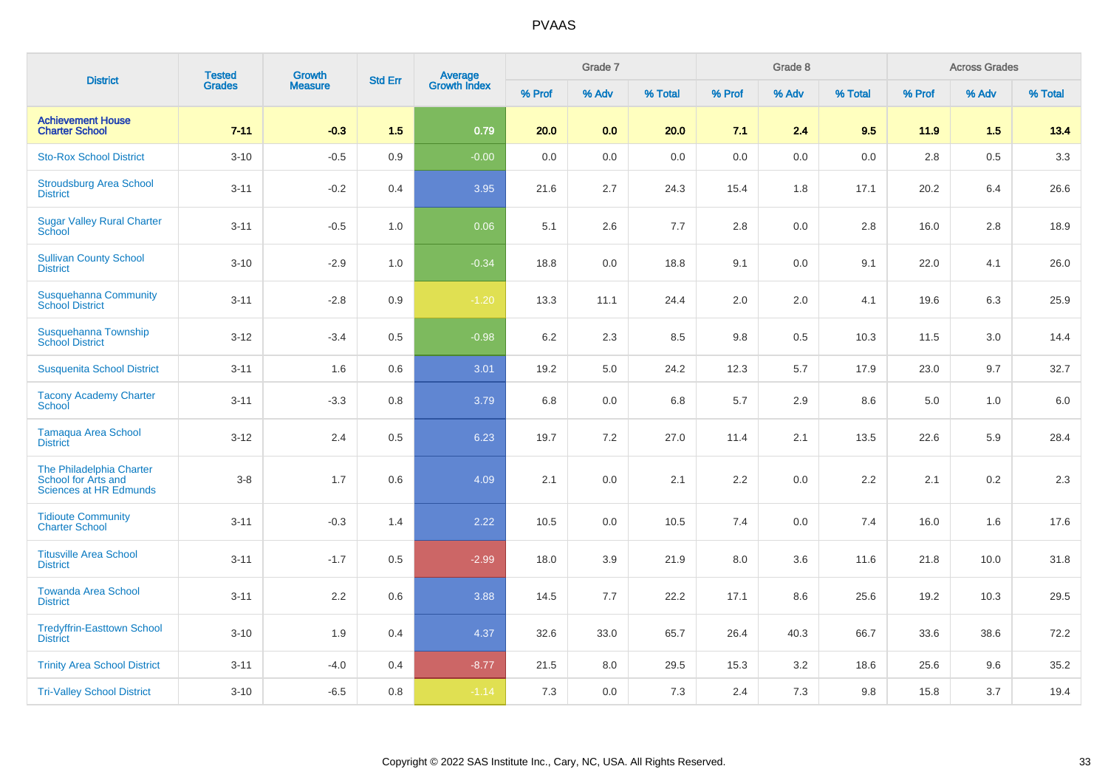| <b>District</b>                                                           | <b>Tested</b> | Growth         | <b>Std Err</b> | <b>Average</b><br>Growth Index |         | Grade 7 |         |         | Grade 8 |         |        | <b>Across Grades</b> |         |
|---------------------------------------------------------------------------|---------------|----------------|----------------|--------------------------------|---------|---------|---------|---------|---------|---------|--------|----------------------|---------|
|                                                                           | <b>Grades</b> | <b>Measure</b> |                |                                | % Prof  | % Adv   | % Total | % Prof  | % Adv   | % Total | % Prof | % Adv                | % Total |
| <b>Achievement House</b><br><b>Charter School</b>                         | $7 - 11$      | $-0.3$         | 1.5            | 0.79                           | 20.0    | 0.0     | 20.0    | 7.1     | 2.4     | 9.5     | 11.9   | 1.5                  | 13.4    |
| <b>Sto-Rox School District</b>                                            | $3 - 10$      | $-0.5$         | 0.9            | $-0.00$                        | 0.0     | 0.0     | 0.0     | 0.0     | 0.0     | 0.0     | 2.8    | 0.5                  | 3.3     |
| <b>Stroudsburg Area School</b><br><b>District</b>                         | $3 - 11$      | $-0.2$         | 0.4            | 3.95                           | 21.6    | 2.7     | 24.3    | 15.4    | 1.8     | 17.1    | 20.2   | 6.4                  | 26.6    |
| <b>Sugar Valley Rural Charter</b><br>School                               | $3 - 11$      | $-0.5$         | 1.0            | 0.06                           | 5.1     | 2.6     | 7.7     | $2.8\,$ | 0.0     | 2.8     | 16.0   | 2.8                  | 18.9    |
| <b>Sullivan County School</b><br><b>District</b>                          | $3 - 10$      | $-2.9$         | 1.0            | $-0.34$                        | 18.8    | 0.0     | 18.8    | 9.1     | 0.0     | 9.1     | 22.0   | 4.1                  | 26.0    |
| <b>Susquehanna Community</b><br><b>School District</b>                    | $3 - 11$      | $-2.8$         | 0.9            | $-1.20$                        | 13.3    | 11.1    | 24.4    | 2.0     | 2.0     | 4.1     | 19.6   | 6.3                  | 25.9    |
| Susquehanna Township<br><b>School District</b>                            | $3 - 12$      | $-3.4$         | 0.5            | $-0.98$                        | $6.2\,$ | 2.3     | 8.5     | 9.8     | 0.5     | 10.3    | 11.5   | 3.0                  | 14.4    |
| <b>Susquenita School District</b>                                         | $3 - 11$      | 1.6            | 0.6            | 3.01                           | 19.2    | 5.0     | 24.2    | 12.3    | 5.7     | 17.9    | 23.0   | 9.7                  | 32.7    |
| <b>Tacony Academy Charter</b><br>School                                   | $3 - 11$      | $-3.3$         | 0.8            | 3.79                           | 6.8     | 0.0     | 6.8     | 5.7     | 2.9     | 8.6     | 5.0    | 1.0                  | 6.0     |
| <b>Tamaqua Area School</b><br><b>District</b>                             | $3 - 12$      | 2.4            | 0.5            | 6.23                           | 19.7    | 7.2     | 27.0    | 11.4    | 2.1     | 13.5    | 22.6   | 5.9                  | 28.4    |
| The Philadelphia Charter<br>School for Arts and<br>Sciences at HR Edmunds | $3-8$         | 1.7            | 0.6            | 4.09                           | 2.1     | 0.0     | 2.1     | 2.2     | 0.0     | 2.2     | 2.1    | 0.2                  | 2.3     |
| <b>Tidioute Community</b><br><b>Charter School</b>                        | $3 - 11$      | $-0.3$         | 1.4            | 2.22                           | 10.5    | 0.0     | 10.5    | 7.4     | 0.0     | 7.4     | 16.0   | 1.6                  | 17.6    |
| <b>Titusville Area School</b><br><b>District</b>                          | $3 - 11$      | $-1.7$         | 0.5            | $-2.99$                        | 18.0    | 3.9     | 21.9    | 8.0     | 3.6     | 11.6    | 21.8   | 10.0                 | 31.8    |
| <b>Towanda Area School</b><br><b>District</b>                             | $3 - 11$      | $2.2\,$        | 0.6            | 3.88                           | 14.5    | 7.7     | 22.2    | 17.1    | 8.6     | 25.6    | 19.2   | 10.3                 | 29.5    |
| <b>Tredyffrin-Easttown School</b><br><b>District</b>                      | $3 - 10$      | 1.9            | 0.4            | 4.37                           | 32.6    | 33.0    | 65.7    | 26.4    | 40.3    | 66.7    | 33.6   | 38.6                 | 72.2    |
| <b>Trinity Area School District</b>                                       | $3 - 11$      | $-4.0$         | 0.4            | $-8.77$                        | 21.5    | 8.0     | 29.5    | 15.3    | $3.2\,$ | 18.6    | 25.6   | 9.6                  | 35.2    |
| <b>Tri-Valley School District</b>                                         | $3 - 10$      | $-6.5$         | 0.8            | $-1.14$                        | 7.3     | 0.0     | 7.3     | 2.4     | 7.3     | 9.8     | 15.8   | 3.7                  | 19.4    |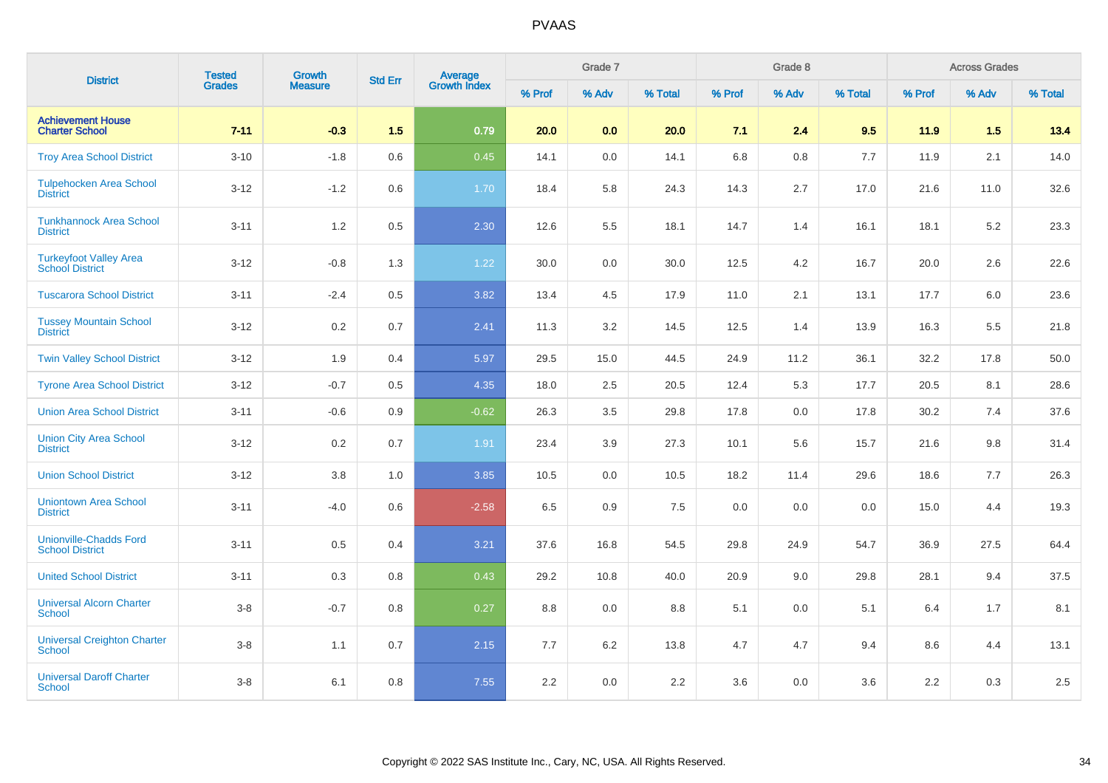| <b>District</b>                                         | <b>Tested</b> | <b>Growth</b>  | <b>Std Err</b> | <b>Average</b><br>Growth Index |        | Grade 7 |         |        | Grade 8 |         |        | <b>Across Grades</b> |         |
|---------------------------------------------------------|---------------|----------------|----------------|--------------------------------|--------|---------|---------|--------|---------|---------|--------|----------------------|---------|
|                                                         | <b>Grades</b> | <b>Measure</b> |                |                                | % Prof | % Adv   | % Total | % Prof | % Adv   | % Total | % Prof | % Adv                | % Total |
| <b>Achievement House</b><br><b>Charter School</b>       | $7 - 11$      | $-0.3$         | 1.5            | 0.79                           | 20.0   | 0.0     | 20.0    | 7.1    | 2.4     | 9.5     | 11.9   | 1.5                  | 13.4    |
| <b>Troy Area School District</b>                        | $3 - 10$      | $-1.8$         | 0.6            | 0.45                           | 14.1   | 0.0     | 14.1    | 6.8    | 0.8     | 7.7     | 11.9   | 2.1                  | 14.0    |
| <b>Tulpehocken Area School</b><br><b>District</b>       | $3 - 12$      | $-1.2$         | 0.6            | 1.70                           | 18.4   | 5.8     | 24.3    | 14.3   | 2.7     | 17.0    | 21.6   | 11.0                 | 32.6    |
| <b>Tunkhannock Area School</b><br><b>District</b>       | $3 - 11$      | 1.2            | 0.5            | 2.30                           | 12.6   | 5.5     | 18.1    | 14.7   | 1.4     | 16.1    | 18.1   | 5.2                  | 23.3    |
| <b>Turkeyfoot Valley Area</b><br><b>School District</b> | $3 - 12$      | $-0.8$         | 1.3            | 1.22                           | 30.0   | 0.0     | 30.0    | 12.5   | 4.2     | 16.7    | 20.0   | 2.6                  | 22.6    |
| <b>Tuscarora School District</b>                        | $3 - 11$      | $-2.4$         | 0.5            | 3.82                           | 13.4   | 4.5     | 17.9    | 11.0   | 2.1     | 13.1    | 17.7   | 6.0                  | 23.6    |
| <b>Tussey Mountain School</b><br><b>District</b>        | $3 - 12$      | 0.2            | 0.7            | 2.41                           | 11.3   | 3.2     | 14.5    | 12.5   | 1.4     | 13.9    | 16.3   | 5.5                  | 21.8    |
| <b>Twin Valley School District</b>                      | $3 - 12$      | 1.9            | 0.4            | 5.97                           | 29.5   | 15.0    | 44.5    | 24.9   | 11.2    | 36.1    | 32.2   | 17.8                 | 50.0    |
| <b>Tyrone Area School District</b>                      | $3-12$        | $-0.7$         | 0.5            | 4.35                           | 18.0   | 2.5     | 20.5    | 12.4   | 5.3     | 17.7    | 20.5   | 8.1                  | 28.6    |
| <b>Union Area School District</b>                       | $3 - 11$      | $-0.6$         | 0.9            | $-0.62$                        | 26.3   | 3.5     | 29.8    | 17.8   | 0.0     | 17.8    | 30.2   | 7.4                  | 37.6    |
| <b>Union City Area School</b><br><b>District</b>        | $3 - 12$      | $0.2\,$        | 0.7            | 1.91                           | 23.4   | 3.9     | 27.3    | 10.1   | 5.6     | 15.7    | 21.6   | 9.8                  | 31.4    |
| <b>Union School District</b>                            | $3-12$        | 3.8            | 1.0            | 3.85                           | 10.5   | 0.0     | 10.5    | 18.2   | 11.4    | 29.6    | 18.6   | 7.7                  | 26.3    |
| <b>Uniontown Area School</b><br><b>District</b>         | $3 - 11$      | $-4.0$         | 0.6            | $-2.58$                        | 6.5    | 0.9     | 7.5     | 0.0    | 0.0     | 0.0     | 15.0   | 4.4                  | 19.3    |
| <b>Unionville-Chadds Ford</b><br><b>School District</b> | $3 - 11$      | $0.5\,$        | 0.4            | 3.21                           | 37.6   | 16.8    | 54.5    | 29.8   | 24.9    | 54.7    | 36.9   | 27.5                 | 64.4    |
| <b>United School District</b>                           | $3 - 11$      | 0.3            | 0.8            | 0.43                           | 29.2   | 10.8    | 40.0    | 20.9   | 9.0     | 29.8    | 28.1   | 9.4                  | 37.5    |
| <b>Universal Alcorn Charter</b><br><b>School</b>        | $3-8$         | $-0.7$         | 0.8            | 0.27                           | 8.8    | 0.0     | 8.8     | 5.1    | 0.0     | 5.1     | 6.4    | 1.7                  | 8.1     |
| <b>Universal Creighton Charter</b><br><b>School</b>     | $3-8$         | 1.1            | 0.7            | 2.15                           | 7.7    | 6.2     | 13.8    | 4.7    | 4.7     | 9.4     | 8.6    | 4.4                  | 13.1    |
| <b>Universal Daroff Charter</b><br><b>School</b>        | $3 - 8$       | 6.1            | 0.8            | 7.55                           | 2.2    | 0.0     | 2.2     | 3.6    | 0.0     | 3.6     | 2.2    | 0.3                  | $2.5\,$ |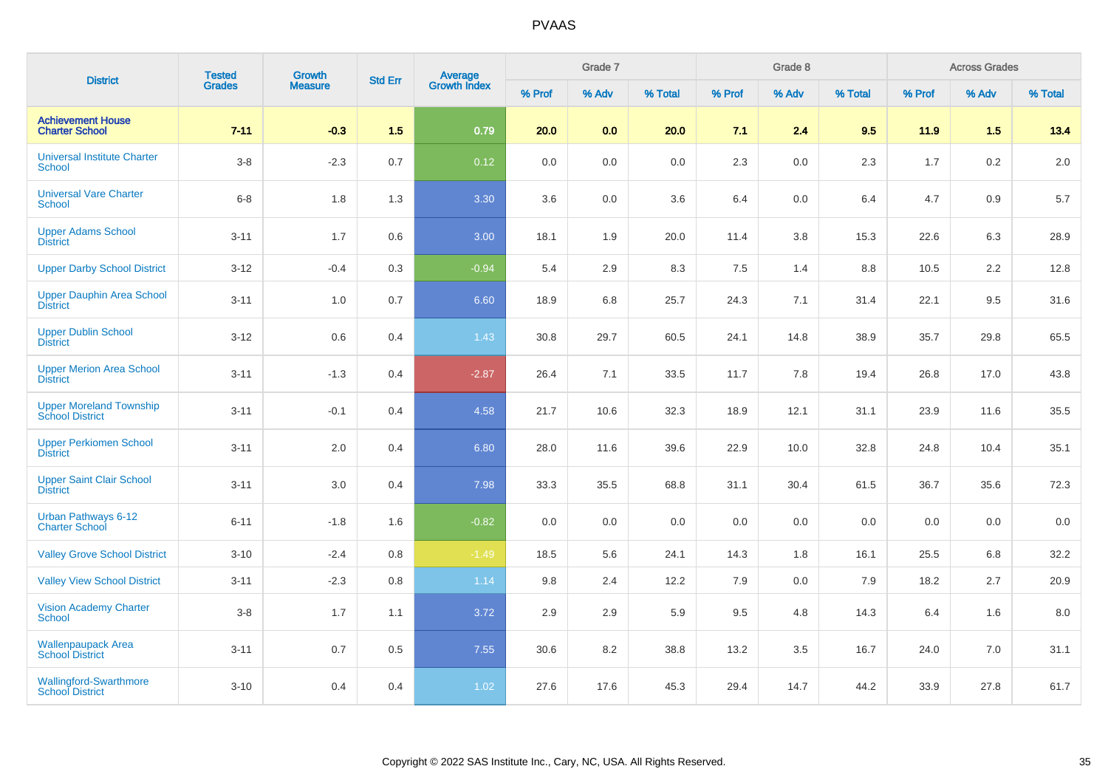| <b>District</b>                                          | <b>Tested</b> | Growth         | <b>Std Err</b> | <b>Average</b><br>Growth Index |        | Grade 7 |         |        | Grade 8 |         |        | <b>Across Grades</b> |         |
|----------------------------------------------------------|---------------|----------------|----------------|--------------------------------|--------|---------|---------|--------|---------|---------|--------|----------------------|---------|
|                                                          | <b>Grades</b> | <b>Measure</b> |                |                                | % Prof | % Adv   | % Total | % Prof | % Adv   | % Total | % Prof | % Adv                | % Total |
| <b>Achievement House</b><br><b>Charter School</b>        | $7 - 11$      | $-0.3$         | 1.5            | 0.79                           | 20.0   | 0.0     | 20.0    | 7.1    | 2.4     | 9.5     | 11.9   | 1.5                  | 13.4    |
| <b>Universal Institute Charter</b><br><b>School</b>      | $3-8$         | $-2.3$         | 0.7            | 0.12                           | 0.0    | 0.0     | 0.0     | 2.3    | 0.0     | 2.3     | 1.7    | 0.2                  | 2.0     |
| <b>Universal Vare Charter</b><br><b>School</b>           | $6 - 8$       | 1.8            | 1.3            | 3.30                           | 3.6    | 0.0     | 3.6     | 6.4    | 0.0     | 6.4     | 4.7    | 0.9                  | $5.7\,$ |
| <b>Upper Adams School</b><br><b>District</b>             | $3 - 11$      | 1.7            | 0.6            | 3.00                           | 18.1   | 1.9     | 20.0    | 11.4   | 3.8     | 15.3    | 22.6   | 6.3                  | 28.9    |
| <b>Upper Darby School District</b>                       | $3 - 12$      | $-0.4$         | 0.3            | $-0.94$                        | 5.4    | 2.9     | 8.3     | 7.5    | 1.4     | $8.8\,$ | 10.5   | 2.2                  | 12.8    |
| <b>Upper Dauphin Area School</b><br><b>District</b>      | $3 - 11$      | $1.0$          | 0.7            | 6.60                           | 18.9   | 6.8     | 25.7    | 24.3   | 7.1     | 31.4    | 22.1   | 9.5                  | 31.6    |
| <b>Upper Dublin School</b><br><b>District</b>            | $3 - 12$      | $0.6\,$        | 0.4            | 1.43                           | 30.8   | 29.7    | 60.5    | 24.1   | 14.8    | 38.9    | 35.7   | 29.8                 | 65.5    |
| <b>Upper Merion Area School</b><br><b>District</b>       | $3 - 11$      | $-1.3$         | 0.4            | $-2.87$                        | 26.4   | 7.1     | 33.5    | 11.7   | 7.8     | 19.4    | 26.8   | 17.0                 | 43.8    |
| <b>Upper Moreland Township</b><br><b>School District</b> | $3 - 11$      | $-0.1$         | 0.4            | 4.58                           | 21.7   | 10.6    | 32.3    | 18.9   | 12.1    | 31.1    | 23.9   | 11.6                 | 35.5    |
| <b>Upper Perkiomen School</b><br><b>District</b>         | $3 - 11$      | 2.0            | 0.4            | 6.80                           | 28.0   | 11.6    | 39.6    | 22.9   | 10.0    | 32.8    | 24.8   | 10.4                 | 35.1    |
| <b>Upper Saint Clair School</b><br><b>District</b>       | $3 - 11$      | 3.0            | 0.4            | 7.98                           | 33.3   | 35.5    | 68.8    | 31.1   | 30.4    | 61.5    | 36.7   | 35.6                 | 72.3    |
| <b>Urban Pathways 6-12</b><br>Charter School             | $6 - 11$      | $-1.8$         | 1.6            | $-0.82$                        | 0.0    | 0.0     | 0.0     | 0.0    | 0.0     | 0.0     | 0.0    | 0.0                  | $0.0\,$ |
| <b>Valley Grove School District</b>                      | $3 - 10$      | $-2.4$         | 0.8            | $-1.49$                        | 18.5   | 5.6     | 24.1    | 14.3   | 1.8     | 16.1    | 25.5   | 6.8                  | 32.2    |
| <b>Valley View School District</b>                       | $3 - 11$      | $-2.3$         | 0.8            | 1.14                           | 9.8    | 2.4     | 12.2    | 7.9    | 0.0     | 7.9     | 18.2   | 2.7                  | 20.9    |
| <b>Vision Academy Charter</b><br>School                  | $3 - 8$       | 1.7            | 1.1            | 3.72                           | 2.9    | 2.9     | 5.9     | 9.5    | 4.8     | 14.3    | 6.4    | 1.6                  | 8.0     |
| <b>Wallenpaupack Area</b><br><b>School District</b>      | $3 - 11$      | 0.7            | 0.5            | 7.55                           | 30.6   | 8.2     | 38.8    | 13.2   | 3.5     | 16.7    | 24.0   | 7.0                  | 31.1    |
| <b>Wallingford-Swarthmore</b><br><b>School District</b>  | $3 - 10$      | 0.4            | 0.4            | 1.02                           | 27.6   | 17.6    | 45.3    | 29.4   | 14.7    | 44.2    | 33.9   | 27.8                 | 61.7    |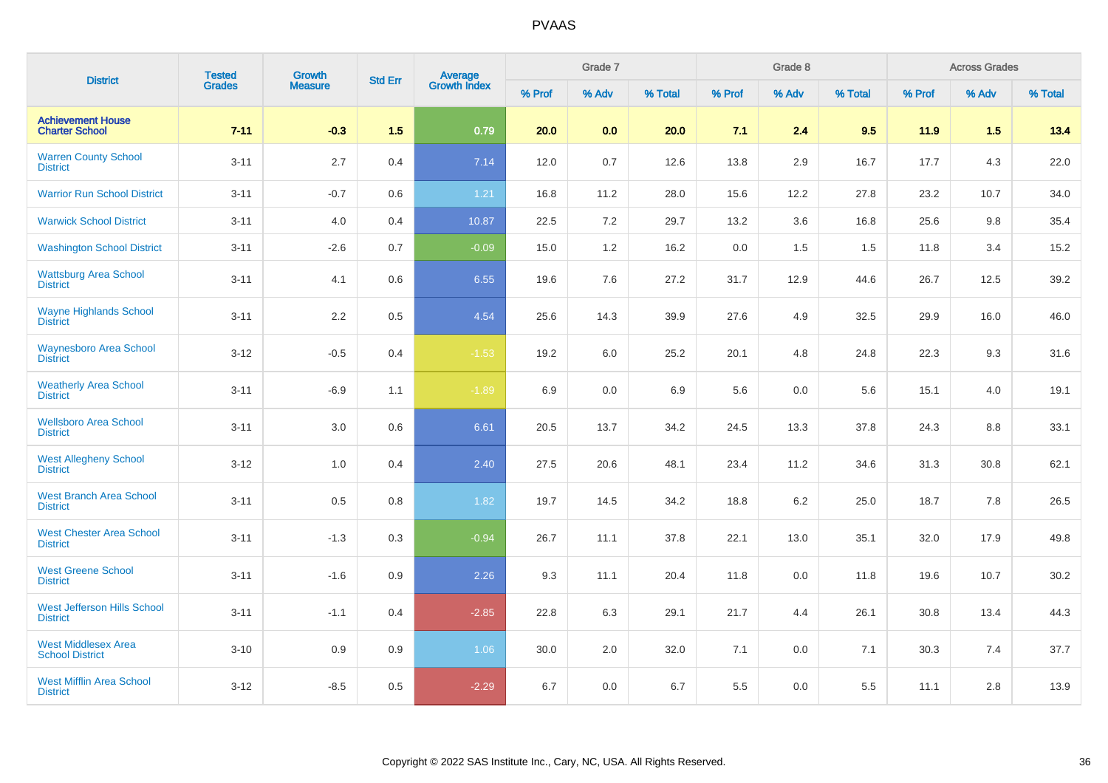| <b>District</b>                                       | <b>Tested</b> | Growth<br><b>Measure</b> | <b>Std Err</b> | <b>Average</b><br>Growth Index |        | Grade 7 |         |        | Grade 8 |         | <b>Across Grades</b> |       |         |
|-------------------------------------------------------|---------------|--------------------------|----------------|--------------------------------|--------|---------|---------|--------|---------|---------|----------------------|-------|---------|
|                                                       | <b>Grades</b> |                          |                |                                | % Prof | % Adv   | % Total | % Prof | % Adv   | % Total | % Prof               | % Adv | % Total |
| <b>Achievement House</b><br><b>Charter School</b>     | $7 - 11$      | $-0.3$                   | 1.5            | 0.79                           | 20.0   | 0.0     | 20.0    | 7.1    | 2.4     | 9.5     | 11.9                 | 1.5   | 13.4    |
| <b>Warren County School</b><br><b>District</b>        | $3 - 11$      | 2.7                      | 0.4            | 7.14                           | 12.0   | 0.7     | 12.6    | 13.8   | 2.9     | 16.7    | 17.7                 | 4.3   | 22.0    |
| <b>Warrior Run School District</b>                    | $3 - 11$      | $-0.7$                   | 0.6            | 1.21                           | 16.8   | 11.2    | 28.0    | 15.6   | 12.2    | 27.8    | 23.2                 | 10.7  | 34.0    |
| <b>Warwick School District</b>                        | $3 - 11$      | 4.0                      | 0.4            | 10.87                          | 22.5   | 7.2     | 29.7    | 13.2   | 3.6     | 16.8    | 25.6                 | 9.8   | 35.4    |
| <b>Washington School District</b>                     | $3 - 11$      | $-2.6$                   | 0.7            | $-0.09$                        | 15.0   | 1.2     | 16.2    | 0.0    | 1.5     | 1.5     | 11.8                 | 3.4   | 15.2    |
| <b>Wattsburg Area School</b><br><b>District</b>       | $3 - 11$      | 4.1                      | 0.6            | 6.55                           | 19.6   | 7.6     | 27.2    | 31.7   | 12.9    | 44.6    | 26.7                 | 12.5  | 39.2    |
| <b>Wayne Highlands School</b><br><b>District</b>      | $3 - 11$      | 2.2                      | 0.5            | 4.54                           | 25.6   | 14.3    | 39.9    | 27.6   | 4.9     | 32.5    | 29.9                 | 16.0  | 46.0    |
| <b>Waynesboro Area School</b><br><b>District</b>      | $3 - 12$      | $-0.5$                   | 0.4            | $-1.53$                        | 19.2   | 6.0     | 25.2    | 20.1   | 4.8     | 24.8    | 22.3                 | 9.3   | 31.6    |
| <b>Weatherly Area School</b><br><b>District</b>       | $3 - 11$      | $-6.9$                   | 1.1            | $-1.89$                        | 6.9    | 0.0     | 6.9     | 5.6    | 0.0     | 5.6     | 15.1                 | 4.0   | 19.1    |
| <b>Wellsboro Area School</b><br><b>District</b>       | $3 - 11$      | 3.0                      | 0.6            | 6.61                           | 20.5   | 13.7    | 34.2    | 24.5   | 13.3    | 37.8    | 24.3                 | 8.8   | 33.1    |
| <b>West Allegheny School</b><br><b>District</b>       | $3 - 12$      | 1.0                      | 0.4            | 2.40                           | 27.5   | 20.6    | 48.1    | 23.4   | 11.2    | 34.6    | 31.3                 | 30.8  | 62.1    |
| <b>West Branch Area School</b><br><b>District</b>     | $3 - 11$      | 0.5                      | 0.8            | 1.82                           | 19.7   | 14.5    | 34.2    | 18.8   | 6.2     | 25.0    | 18.7                 | 7.8   | 26.5    |
| <b>West Chester Area School</b><br><b>District</b>    | $3 - 11$      | $-1.3$                   | 0.3            | $-0.94$                        | 26.7   | 11.1    | 37.8    | 22.1   | 13.0    | 35.1    | 32.0                 | 17.9  | 49.8    |
| <b>West Greene School</b><br><b>District</b>          | $3 - 11$      | $-1.6$                   | 0.9            | 2.26                           | 9.3    | 11.1    | 20.4    | 11.8   | 0.0     | 11.8    | 19.6                 | 10.7  | 30.2    |
| <b>West Jefferson Hills School</b><br><b>District</b> | $3 - 11$      | $-1.1$                   | 0.4            | $-2.85$                        | 22.8   | 6.3     | 29.1    | 21.7   | 4.4     | 26.1    | 30.8                 | 13.4  | 44.3    |
| <b>West Middlesex Area</b><br><b>School District</b>  | $3 - 10$      | 0.9                      | 0.9            | 1.06                           | 30.0   | 2.0     | 32.0    | 7.1    | 0.0     | 7.1     | 30.3                 | 7.4   | 37.7    |
| <b>West Mifflin Area School</b><br><b>District</b>    | $3 - 12$      | $-8.5$                   | 0.5            | $-2.29$                        | 6.7    | 0.0     | 6.7     | 5.5    | 0.0     | 5.5     | 11.1                 | 2.8   | 13.9    |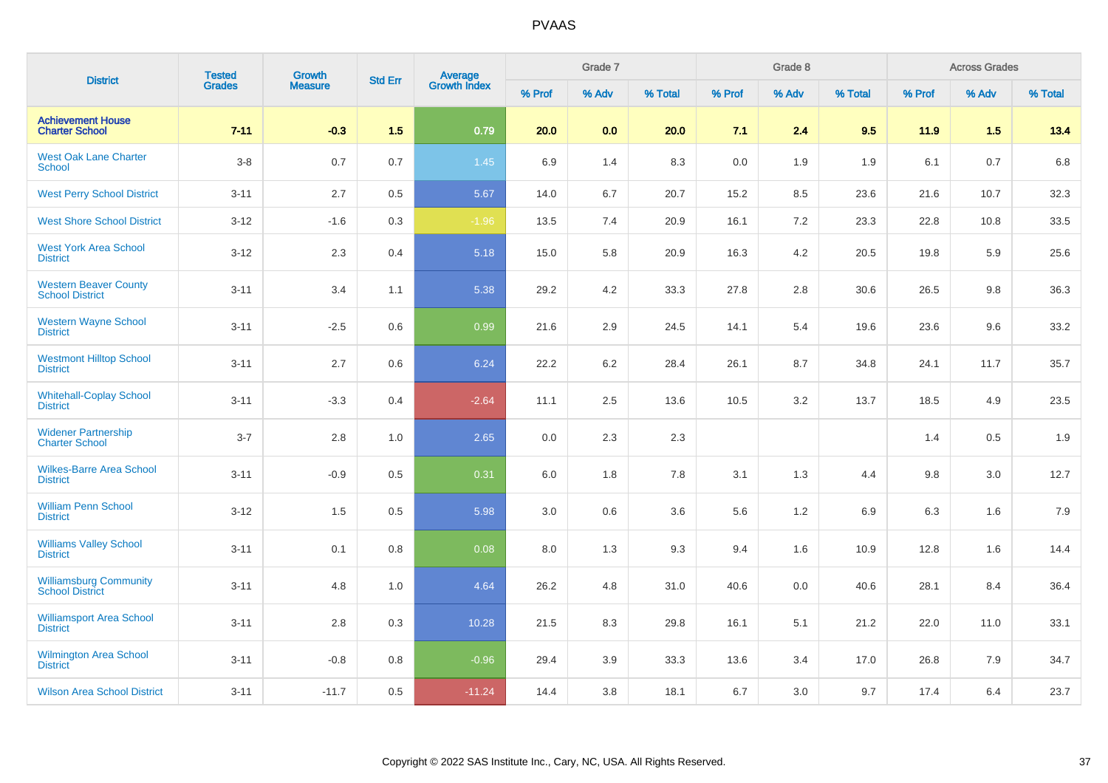| <b>District</b>                                         | <b>Tested</b> | <b>Growth</b><br><b>Measure</b> | <b>Std Err</b> | Average<br>Growth Index |        | Grade 7 |         |        | Grade 8 |         | <b>Across Grades</b> |       |         |
|---------------------------------------------------------|---------------|---------------------------------|----------------|-------------------------|--------|---------|---------|--------|---------|---------|----------------------|-------|---------|
|                                                         | Grades        |                                 |                |                         | % Prof | % Adv   | % Total | % Prof | % Adv   | % Total | % Prof               | % Adv | % Total |
| <b>Achievement House</b><br><b>Charter School</b>       | $7 - 11$      | $-0.3$                          | 1.5            | 0.79                    | 20.0   | 0.0     | 20.0    | 7.1    | 2.4     | 9.5     | 11.9                 | 1.5   | 13.4    |
| <b>West Oak Lane Charter</b><br><b>School</b>           | $3-8$         | 0.7                             | 0.7            | 1.45                    | 6.9    | 1.4     | 8.3     | 0.0    | 1.9     | 1.9     | 6.1                  | 0.7   | 6.8     |
| <b>West Perry School District</b>                       | $3 - 11$      | 2.7                             | 0.5            | 5.67                    | 14.0   | 6.7     | 20.7    | 15.2   | 8.5     | 23.6    | 21.6                 | 10.7  | 32.3    |
| <b>West Shore School District</b>                       | $3 - 12$      | $-1.6$                          | 0.3            | $-1.96$                 | 13.5   | 7.4     | 20.9    | 16.1   | 7.2     | 23.3    | 22.8                 | 10.8  | 33.5    |
| <b>West York Area School</b><br><b>District</b>         | $3 - 12$      | 2.3                             | 0.4            | 5.18                    | 15.0   | 5.8     | 20.9    | 16.3   | 4.2     | 20.5    | 19.8                 | 5.9   | 25.6    |
| <b>Western Beaver County</b><br><b>School District</b>  | $3 - 11$      | 3.4                             | 1.1            | 5.38                    | 29.2   | 4.2     | 33.3    | 27.8   | 2.8     | 30.6    | 26.5                 | 9.8   | 36.3    |
| <b>Western Wayne School</b><br><b>District</b>          | $3 - 11$      | $-2.5$                          | 0.6            | 0.99                    | 21.6   | 2.9     | 24.5    | 14.1   | 5.4     | 19.6    | 23.6                 | 9.6   | 33.2    |
| <b>Westmont Hilltop School</b><br><b>District</b>       | $3 - 11$      | 2.7                             | 0.6            | 6.24                    | 22.2   | 6.2     | 28.4    | 26.1   | 8.7     | 34.8    | 24.1                 | 11.7  | 35.7    |
| <b>Whitehall-Coplay School</b><br><b>District</b>       | $3 - 11$      | $-3.3$                          | 0.4            | $-2.64$                 | 11.1   | 2.5     | 13.6    | 10.5   | 3.2     | 13.7    | 18.5                 | 4.9   | 23.5    |
| <b>Widener Partnership</b><br><b>Charter School</b>     | $3 - 7$       | 2.8                             | 1.0            | 2.65                    | 0.0    | 2.3     | 2.3     |        |         |         | 1.4                  | 0.5   | 1.9     |
| <b>Wilkes-Barre Area School</b><br><b>District</b>      | $3 - 11$      | $-0.9$                          | 0.5            | 0.31                    | 6.0    | 1.8     | 7.8     | 3.1    | 1.3     | 4.4     | 9.8                  | 3.0   | 12.7    |
| <b>William Penn School</b><br><b>District</b>           | $3 - 12$      | 1.5                             | 0.5            | 5.98                    | 3.0    | 0.6     | 3.6     | 5.6    | 1.2     | 6.9     | 6.3                  | 1.6   | 7.9     |
| <b>Williams Valley School</b><br><b>District</b>        | $3 - 11$      | 0.1                             | 0.8            | 0.08                    | 8.0    | 1.3     | 9.3     | 9.4    | 1.6     | 10.9    | 12.8                 | 1.6   | 14.4    |
| <b>Williamsburg Community</b><br><b>School District</b> | $3 - 11$      | 4.8                             | 1.0            | 4.64                    | 26.2   | 4.8     | 31.0    | 40.6   | 0.0     | 40.6    | 28.1                 | 8.4   | 36.4    |
| <b>Williamsport Area School</b><br><b>District</b>      | $3 - 11$      | 2.8                             | 0.3            | 10.28                   | 21.5   | 8.3     | 29.8    | 16.1   | 5.1     | 21.2    | 22.0                 | 11.0  | 33.1    |
| Wilmington Area School<br><b>District</b>               | $3 - 11$      | $-0.8$                          | 0.8            | $-0.96$                 | 29.4   | 3.9     | 33.3    | 13.6   | 3.4     | 17.0    | 26.8                 | 7.9   | 34.7    |
| <b>Wilson Area School District</b>                      | $3 - 11$      | $-11.7$                         | 0.5            | $-11.24$                | 14.4   | 3.8     | 18.1    | 6.7    | 3.0     | 9.7     | 17.4                 | 6.4   | 23.7    |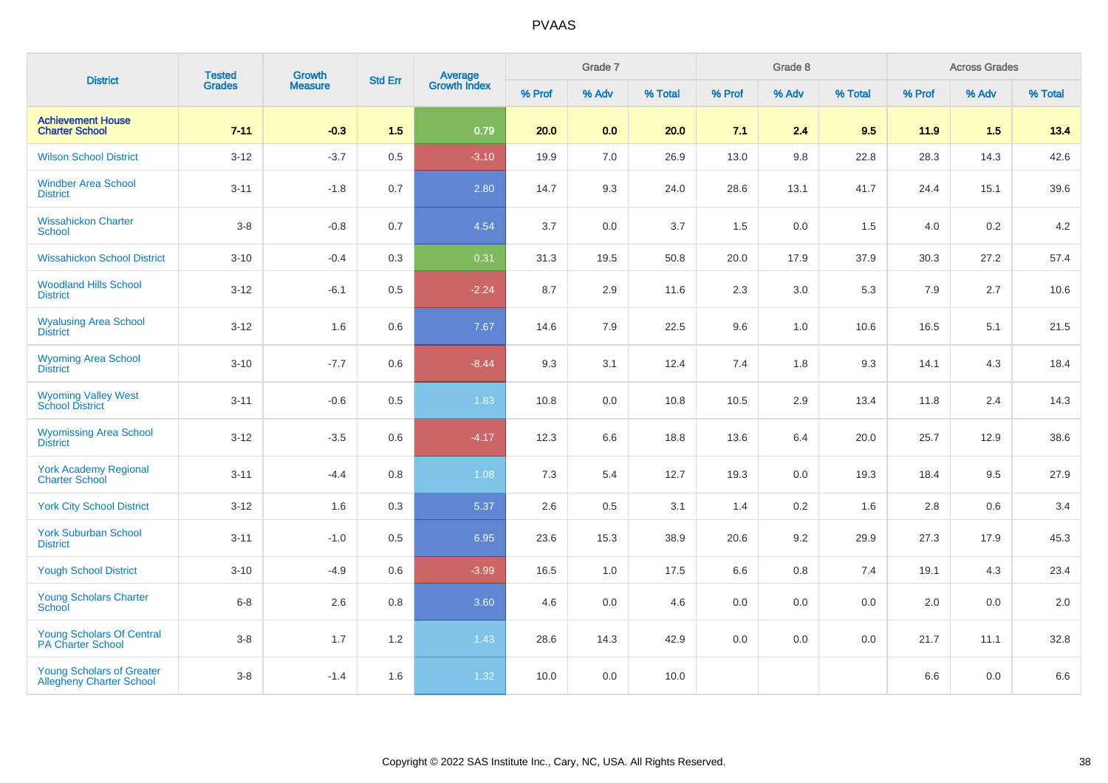| <b>District</b>                                                     | <b>Tested</b> | <b>Growth</b>  | <b>Std Err</b> | <b>Average</b><br>Growth Index | Grade 7 |         |         | Grade 8 |       |         | <b>Across Grades</b> |       |         |
|---------------------------------------------------------------------|---------------|----------------|----------------|--------------------------------|---------|---------|---------|---------|-------|---------|----------------------|-------|---------|
|                                                                     | <b>Grades</b> | <b>Measure</b> |                |                                | % Prof  | % Adv   | % Total | % Prof  | % Adv | % Total | % Prof               | % Adv | % Total |
| <b>Achievement House</b><br><b>Charter School</b>                   | $7 - 11$      | $-0.3$         | 1.5            | 0.79                           | 20.0    | 0.0     | 20.0    | 7.1     | 2.4   | 9.5     | 11.9                 | 1.5   | 13.4    |
| <b>Wilson School District</b>                                       | $3 - 12$      | $-3.7$         | 0.5            | $-3.10$                        | 19.9    | 7.0     | 26.9    | 13.0    | 9.8   | 22.8    | 28.3                 | 14.3  | 42.6    |
| <b>Windber Area School</b><br><b>District</b>                       | $3 - 11$      | $-1.8$         | 0.7            | 2.80                           | 14.7    | 9.3     | 24.0    | 28.6    | 13.1  | 41.7    | 24.4                 | 15.1  | 39.6    |
| <b>Wissahickon Charter</b><br><b>School</b>                         | $3-8$         | $-0.8$         | 0.7            | 4.54                           | 3.7     | 0.0     | 3.7     | 1.5     | 0.0   | 1.5     | 4.0                  | 0.2   | 4.2     |
| <b>Wissahickon School District</b>                                  | $3 - 10$      | $-0.4$         | 0.3            | 0.31                           | 31.3    | 19.5    | 50.8    | 20.0    | 17.9  | 37.9    | 30.3                 | 27.2  | 57.4    |
| <b>Woodland Hills School</b><br><b>District</b>                     | $3 - 12$      | $-6.1$         | 0.5            | $-2.24$                        | 8.7     | 2.9     | 11.6    | 2.3     | 3.0   | 5.3     | 7.9                  | 2.7   | 10.6    |
| <b>Wyalusing Area School</b><br><b>District</b>                     | $3 - 12$      | 1.6            | 0.6            | 7.67                           | 14.6    | 7.9     | 22.5    | 9.6     | 1.0   | 10.6    | 16.5                 | 5.1   | 21.5    |
| <b>Wyoming Area School</b><br><b>District</b>                       | $3 - 10$      | $-7.7$         | 0.6            | $-8.44$                        | 9.3     | 3.1     | 12.4    | 7.4     | 1.8   | 9.3     | 14.1                 | 4.3   | 18.4    |
| <b>Wyoming Valley West</b><br><b>School District</b>                | $3 - 11$      | $-0.6$         | 0.5            | 1.83                           | 10.8    | 0.0     | 10.8    | 10.5    | 2.9   | 13.4    | 11.8                 | 2.4   | 14.3    |
| <b>Wyomissing Area School</b><br><b>District</b>                    | $3-12$        | $-3.5$         | 0.6            | $-4.17$                        | 12.3    | 6.6     | 18.8    | 13.6    | 6.4   | 20.0    | 25.7                 | 12.9  | 38.6    |
| <b>York Academy Regional</b><br><b>Charter School</b>               | $3 - 11$      | $-4.4$         | 0.8            | 1.08                           | 7.3     | 5.4     | 12.7    | 19.3    | 0.0   | 19.3    | 18.4                 | 9.5   | 27.9    |
| <b>York City School District</b>                                    | $3 - 12$      | 1.6            | 0.3            | 5.37                           | 2.6     | 0.5     | 3.1     | 1.4     | 0.2   | 1.6     | 2.8                  | 0.6   | 3.4     |
| <b>York Suburban School</b><br><b>District</b>                      | $3 - 11$      | $-1.0$         | 0.5            | 6.95                           | 23.6    | 15.3    | 38.9    | 20.6    | 9.2   | 29.9    | 27.3                 | 17.9  | 45.3    |
| <b>Yough School District</b>                                        | $3 - 10$      | $-4.9$         | 0.6            | $-3.99$                        | 16.5    | 1.0     | 17.5    | 6.6     | 0.8   | 7.4     | 19.1                 | 4.3   | 23.4    |
| Young Scholars Charter<br>School                                    | $6 - 8$       | 2.6            | 0.8            | 3.60                           | 4.6     | $0.0\,$ | 4.6     | 0.0     | 0.0   | 0.0     | 2.0                  | 0.0   | 2.0     |
| <b>Young Scholars Of Central</b><br><b>PA Charter School</b>        | $3-8$         | 1.7            | 1.2            | 1.43                           | 28.6    | 14.3    | 42.9    | 0.0     | 0.0   | 0.0     | 21.7                 | 11.1  | 32.8    |
| <b>Young Scholars of Greater</b><br><b>Allegheny Charter School</b> | $3-8$         | $-1.4$         | 1.6            | 1.32                           | 10.0    | 0.0     | 10.0    |         |       |         | 6.6                  | 0.0   | 6.6     |